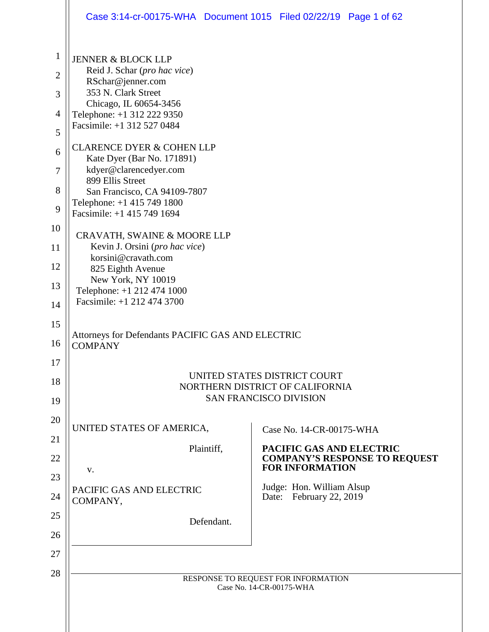|                                     | Case 3:14-cr-00175-WHA Document 1015 Filed 02/22/19 Page 1 of 62                                                                                 |                                                                                                  |
|-------------------------------------|--------------------------------------------------------------------------------------------------------------------------------------------------|--------------------------------------------------------------------------------------------------|
| $\mathbf{1}$<br>$\overline{2}$<br>3 | <b>JENNER &amp; BLOCK LLP</b><br>Reid J. Schar (pro hac vice)<br>RSchar@jenner.com<br>353 N. Clark Street                                        |                                                                                                  |
| $\overline{4}$<br>5                 | Chicago, IL 60654-3456<br>Telephone: +1 312 222 9350<br>Facsimile: +1 312 527 0484                                                               |                                                                                                  |
| 6<br>$\tau$<br>8                    | <b>CLARENCE DYER &amp; COHEN LLP</b><br>Kate Dyer (Bar No. 171891)<br>kdyer@clarencedyer.com<br>899 Ellis Street<br>San Francisco, CA 94109-7807 |                                                                                                  |
| 9                                   | Telephone: +1 415 749 1800<br>Facsimile: +1 415 749 1694                                                                                         |                                                                                                  |
| 10                                  | CRAVATH, SWAINE & MOORE LLP                                                                                                                      |                                                                                                  |
| 11<br>12                            | Kevin J. Orsini (pro hac vice)<br>korsini@cravath.com<br>825 Eighth Avenue                                                                       |                                                                                                  |
| 13                                  | New York, NY 10019<br>Telephone: +1 212 474 1000                                                                                                 |                                                                                                  |
| 14                                  | Facsimile: +1 212 474 3700                                                                                                                       |                                                                                                  |
| 15<br>16                            | Attorneys for Defendants PACIFIC GAS AND ELECTRIC<br><b>COMPANY</b>                                                                              |                                                                                                  |
| 17<br>18<br>19                      |                                                                                                                                                  | UNITED STATES DISTRICT COURT<br>NORTHERN DISTRICT OF CALIFORNIA<br><b>SAN FRANCISCO DIVISION</b> |
| 20<br>21                            | UNITED STATES OF AMERICA,                                                                                                                        | Case No. 14-CR-00175-WHA                                                                         |
| 22                                  | Plaintiff,                                                                                                                                       | PACIFIC GAS AND ELECTRIC<br><b>COMPANY'S RESPONSE TO REQUEST</b>                                 |
| 23                                  | V.                                                                                                                                               | <b>FOR INFORMATION</b><br>Judge: Hon. William Alsup                                              |
| 24                                  | PACIFIC GAS AND ELECTRIC<br>COMPANY,                                                                                                             | Date: February 22, 2019                                                                          |
| 25<br>26                            | Defendant.                                                                                                                                       |                                                                                                  |
| 27                                  |                                                                                                                                                  |                                                                                                  |
| 28                                  |                                                                                                                                                  | RESPONSE TO REQUEST FOR INFORMATION<br>Case No. 14-CR-00175-WHA                                  |
|                                     |                                                                                                                                                  |                                                                                                  |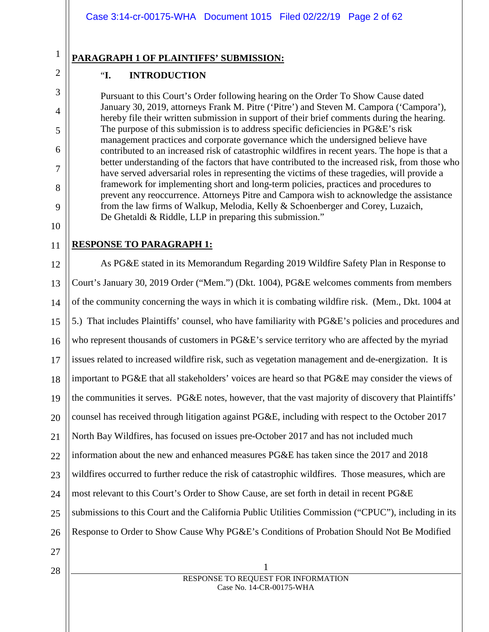# **PARAGRAPH 1 OF PLAINTIFFS' SUBMISSION:**

#### "**I. INTRODUCTION**

Pursuant to this Court's Order following hearing on the Order To Show Cause dated January 30, 2019, attorneys Frank M. Pitre ('Pitre') and Steven M. Campora ('Campora'), hereby file their written submission in support of their brief comments during the hearing. The purpose of this submission is to address specific deficiencies in PG&E's risk management practices and corporate governance which the undersigned believe have contributed to an increased risk of catastrophic wildfires in recent years. The hope is that a better understanding of the factors that have contributed to the increased risk, from those who have served adversarial roles in representing the victims of these tragedies, will provide a framework for implementing short and long-term policies, practices and procedures to prevent any reoccurrence. Attorneys Pitre and Campora wish to acknowledge the assistance from the law firms of Walkup, Melodia, Kelly & Schoenberger and Corey, Luzaich, De Ghetaldi & Riddle, LLP in preparing this submission."

10 11

1

2

3

4

5

6

7

8

9

# **RESPONSE TO PARAGRAPH 1:**

12 13 14 15 16 17 18 19 20 21 22 23 24 25 26 As PG&E stated in its Memorandum Regarding 2019 Wildfire Safety Plan in Response to Court's January 30, 2019 Order ("Mem.") (Dkt. 1004), PG&E welcomes comments from members of the community concerning the ways in which it is combating wildfire risk. (Mem., Dkt. 1004 at 5.) That includes Plaintiffs' counsel, who have familiarity with PG&E's policies and procedures and who represent thousands of customers in PG&E's service territory who are affected by the myriad issues related to increased wildfire risk, such as vegetation management and de-energization. It is important to PG&E that all stakeholders' voices are heard so that PG&E may consider the views of the communities it serves. PG&E notes, however, that the vast majority of discovery that Plaintiffs' counsel has received through litigation against PG&E, including with respect to the October 2017 North Bay Wildfires, has focused on issues pre-October 2017 and has not included much information about the new and enhanced measures PG&E has taken since the 2017 and 2018 wildfires occurred to further reduce the risk of catastrophic wildfires. Those measures, which are most relevant to this Court's Order to Show Cause, are set forth in detail in recent PG&E submissions to this Court and the California Public Utilities Commission ("CPUC"), including in its Response to Order to Show Cause Why PG&E's Conditions of Probation Should Not Be Modified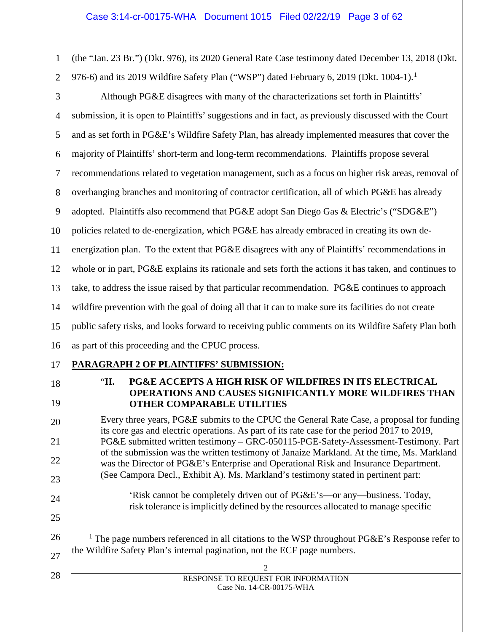(the "Jan. 23 Br.") (Dkt. 976), its 2020 General Rate Case testimony dated December 13, 2018 (Dkt. 976-6) and its 20[1](#page-2-0)9 Wildfire Safety Plan ("WSP") dated February 6, 2019 (Dkt.  $1004-1$ ).<sup>1</sup>

3 4 5 6 7 8 9 10 11 12 13 14 15 16 Although PG&E disagrees with many of the characterizations set forth in Plaintiffs' submission, it is open to Plaintiffs' suggestions and in fact, as previously discussed with the Court and as set forth in PG&E's Wildfire Safety Plan, has already implemented measures that cover the majority of Plaintiffs' short-term and long-term recommendations. Plaintiffs propose several recommendations related to vegetation management, such as a focus on higher risk areas, removal of overhanging branches and monitoring of contractor certification, all of which PG&E has already adopted. Plaintiffs also recommend that PG&E adopt San Diego Gas & Electric's ("SDG&E") policies related to de-energization, which PG&E has already embraced in creating its own deenergization plan. To the extent that PG&E disagrees with any of Plaintiffs' recommendations in whole or in part, PG&E explains its rationale and sets forth the actions it has taken, and continues to take, to address the issue raised by that particular recommendation. PG&E continues to approach wildfire prevention with the goal of doing all that it can to make sure its facilities do not create public safety risks, and looks forward to receiving public comments on its Wildfire Safety Plan both as part of this proceeding and the CPUC process.

# 17

1

2

18

19

20

21

22

23

24

25

<span id="page-2-0"></span>26

27

28

- **PARAGRAPH 2 OF PLAINTIFFS' SUBMISSION:**
	- "**II. PG&E ACCEPTS A HIGH RISK OF WILDFIRES IN ITS ELECTRICAL OPERATIONS AND CAUSES SIGNIFICANTLY MORE WILDFIRES THAN OTHER COMPARABLE UTILITIES**

Every three years, PG&E submits to the CPUC the General Rate Case, a proposal for funding its core gas and electric operations. As part of its rate case for the period 2017 to 2019, PG&E submitted written testimony – GRC-050115-PGE-Safety-Assessment-Testimony. Part of the submission was the written testimony of Janaize Markland. At the time, Ms. Markland was the Director of PG&E's Enterprise and Operational Risk and Insurance Department. (See Campora Decl., Exhibit A). Ms. Markland's testimony stated in pertinent part:

'Risk cannot be completely driven out of PG&E's—or any—business. Today, risk tolerance is implicitly defined by the resources allocated to manage specific

<sup>1</sup> The page numbers referenced in all citations to the WSP throughout PG&E's Response refer to the Wildfire Safety Plan's internal pagination, not the ECF page numbers.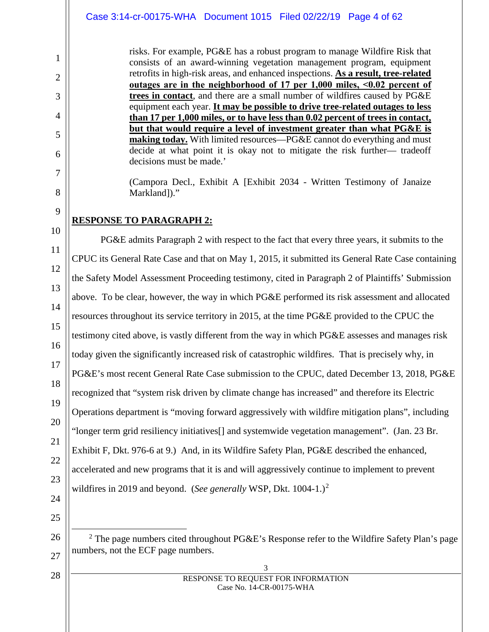risks. For example, PG&E has a robust program to manage Wildfire Risk that consists of an award-winning vegetation management program, equipment retrofits in high-risk areas, and enhanced inspections. **As a result, tree-related outages are in the neighborhood of 17 per 1,000 miles, ˂0.02 percent of trees in contact**, and there are a small number of wildfires caused by PG&E equipment each year. **It may be possible to drive tree-related outages to less than 17 per 1,000 miles, or to have less than 0.02 percent of trees in contact, but that would require a level of investment greater than what PG&E is making today.** With limited resources—PG&E cannot do everything and must decide at what point it is okay not to mitigate the risk further— tradeoff decisions must be made.'

(Campora Decl., Exhibit A [Exhibit 2034 - Written Testimony of Janaize Markland])."

# **RESPONSE TO PARAGRAPH 2:**

PG&E admits Paragraph 2 with respect to the fact that every three years, it submits to the CPUC its General Rate Case and that on May 1, 2015, it submitted its General Rate Case containing the Safety Model Assessment Proceeding testimony, cited in Paragraph 2 of Plaintiffs' Submission above. To be clear, however, the way in which PG&E performed its risk assessment and allocated resources throughout its service territory in 2015, at the time PG&E provided to the CPUC the testimony cited above, is vastly different from the way in which PG&E assesses and manages risk today given the significantly increased risk of catastrophic wildfires. That is precisely why, in PG&E's most recent General Rate Case submission to the CPUC, dated December 13, 2018, PG&E recognized that "system risk driven by climate change has increased" and therefore its Electric Operations department is "moving forward aggressively with wildfire mitigation plans", including "longer term grid resiliency initiatives[] and systemwide vegetation management". (Jan. 23 Br. Exhibit F, Dkt. 976-6 at 9.) And, in its Wildfire Safety Plan, PG&E described the enhanced, accelerated and new programs that it is and will aggressively continue to implement to prevent wildfires in [2](#page-3-0)019 and beyond. (*See generally* WSP, Dkt. 1004-1.)<sup>2</sup>

1

2

3

4

5

6

7

8

9

<span id="page-3-0"></span>28

<sup>2</sup> The page numbers cited throughout PG&E's Response refer to the Wildfire Safety Plan's page numbers, not the ECF page numbers.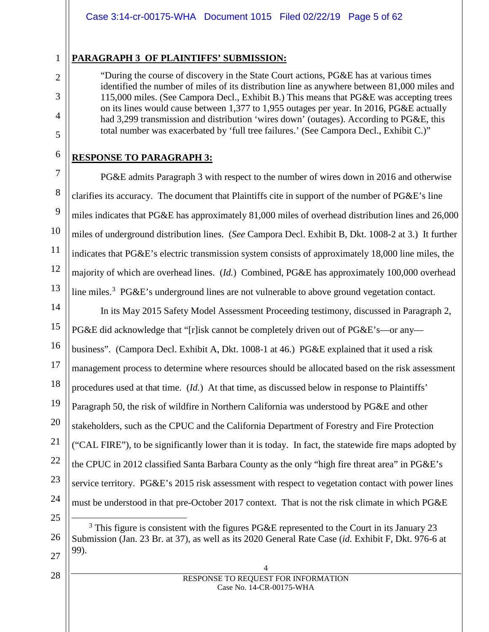#### **PARAGRAPH 3 OF PLAINTIFFS' SUBMISSION:**

"During the course of discovery in the State Court actions, PG&E has at various times identified the number of miles of its distribution line as anywhere between 81,000 miles and 115,000 miles. (See Campora Decl., Exhibit B.) This means that PG&E was accepting trees on its lines would cause between 1,377 to 1,955 outages per year. In 2016, PG&E actually had 3,299 transmission and distribution 'wires down' (outages). According to PG&E, this total number was exacerbated by 'full tree failures.' (See Campora Decl., Exhibit C.)"

# **RESPONSE TO PARAGRAPH 3:**

1

2

3

4

5

6

7

8

9

10

11

12

13

<span id="page-4-0"></span>25

26

27

28

PG&E admits Paragraph 3 with respect to the number of wires down in 2016 and otherwise clarifies its accuracy. The document that Plaintiffs cite in support of the number of PG&E's line miles indicates that PG&E has approximately 81,000 miles of overhead distribution lines and 26,000 miles of underground distribution lines. (*See* Campora Decl. Exhibit B, Dkt. 1008-2 at 3.) It further indicates that PG&E's electric transmission system consists of approximately 18,000 line miles, the majority of which are overhead lines. (*Id.*) Combined, PG&E has approximately 100,000 overhead line miles.<sup>[3](#page-4-0)</sup> PG&E's underground lines are not vulnerable to above ground vegetation contact.

14 15 16 17 18 19 20 21 22 23 24 In its May 2015 Safety Model Assessment Proceeding testimony, discussed in Paragraph 2, PG&E did acknowledge that "[r]isk cannot be completely driven out of PG&E's—or any business". (Campora Decl. Exhibit A, Dkt. 1008-1 at 46.) PG&E explained that it used a risk management process to determine where resources should be allocated based on the risk assessment procedures used at that time. (*Id.*) At that time, as discussed below in response to Plaintiffs' Paragraph 50, the risk of wildfire in Northern California was understood by PG&E and other stakeholders, such as the CPUC and the California Department of Forestry and Fire Protection ("CAL FIRE"), to be significantly lower than it is today. In fact, the statewide fire maps adopted by the CPUC in 2012 classified Santa Barbara County as the only "high fire threat area" in PG&E's service territory. PG&E's 2015 risk assessment with respect to vegetation contact with power lines must be understood in that pre-October 2017 context. That is not the risk climate in which PG&E

4 RESPONSE TO REQUEST FOR INFORMATION Case No. 14-CR-00175-WHA

<sup>&</sup>lt;sup>3</sup> This figure is consistent with the figures PG&E represented to the Court in its January 23 Submission (Jan. 23 Br. at 37), as well as its 2020 General Rate Case (*id.* Exhibit F, Dkt. 976-6 at 99).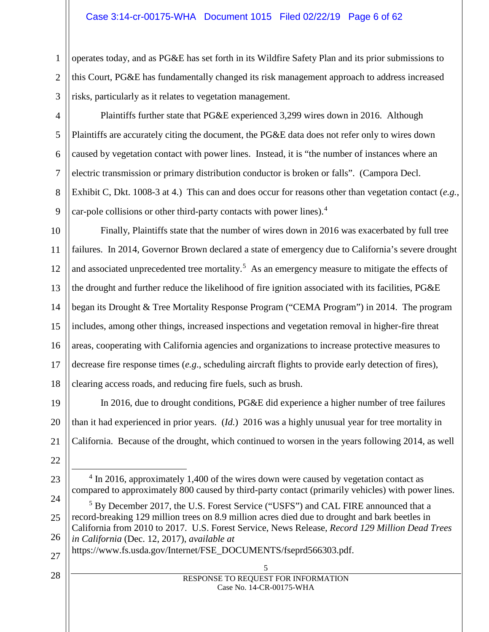#### Case 3:14-cr-00175-WHA Document 1015 Filed 02/22/19 Page 6 of 62

operates today, and as PG&E has set forth in its Wildfire Safety Plan and its prior submissions to this Court, PG&E has fundamentally changed its risk management approach to address increased risks, particularly as it relates to vegetation management.

Plaintiffs further state that PG&E experienced 3,299 wires down in 2016. Although Plaintiffs are accurately citing the document, the PG&E data does not refer only to wires down caused by vegetation contact with power lines. Instead, it is "the number of instances where an electric transmission or primary distribution conductor is broken or falls". (Campora Decl. Exhibit C, Dkt. 1008-3 at 4.) This can and does occur for reasons other than vegetation contact (*e.g.*, car-pole collisions or other third-party contacts with power lines).<sup>[4](#page-5-0)</sup>

10 11 12 13 14 15 16 17 18 Finally, Plaintiffs state that the number of wires down in 2016 was exacerbated by full tree failures. In 2014, Governor Brown declared a state of emergency due to California's severe drought and associated unprecedented tree mortality.<sup>[5](#page-5-1)</sup> As an emergency measure to mitigate the effects of the drought and further reduce the likelihood of fire ignition associated with its facilities, PG&E began its Drought & Tree Mortality Response Program ("CEMA Program") in 2014. The program includes, among other things, increased inspections and vegetation removal in higher-fire threat areas, cooperating with California agencies and organizations to increase protective measures to decrease fire response times (*e.g*., scheduling aircraft flights to provide early detection of fires), clearing access roads, and reducing fire fuels, such as brush.

19 20 21 In 2016, due to drought conditions, PG&E did experience a higher number of tree failures than it had experienced in prior years. (*Id.*) 2016 was a highly unusual year for tree mortality in California. Because of the drought, which continued to worsen in the years following 2014, as well

1

2

3

4

5

6

7

8

9

<span id="page-5-0"></span>23

<sup>22</sup>

<sup>&</sup>lt;sup>4</sup> In 2016, approximately 1,400 of the wires down were caused by vegetation contact as compared to approximately 800 caused by third-party contact (primarily vehicles) with power lines.

<span id="page-5-1"></span><sup>24</sup> 25 26 <sup>5</sup> By December 2017, the U.S. Forest Service ("USFS") and CAL FIRE announced that a record-breaking 129 million trees on 8.9 million acres died due to drought and bark beetles in California from 2010 to 2017. U.S. Forest Service, News Release, *Record 129 Million Dead Trees in California* (Dec. 12, 2017), *available at*

<sup>27</sup> https://www.fs.usda.gov/Internet/FSE\_DOCUMENTS/fseprd566303.pdf.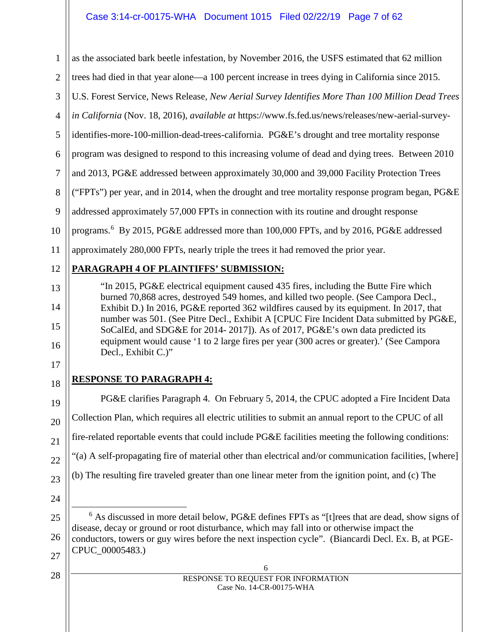# Case 3:14-cr-00175-WHA Document 1015 Filed 02/22/19 Page 7 of 62

1 2 3 4 5 6 7 8 9 10 11 12 13 14 15 16 as the associated bark beetle infestation, by November 2016, the USFS estimated that 62 million trees had died in that year alone—a 100 percent increase in trees dying in California since 2015. U.S. Forest Service, News Release, *New Aerial Survey Identifies More Than 100 Million Dead Trees in California* (Nov. 18, 2016), *available at* https://www.fs.fed.us/news/releases/new-aerial-surveyidentifies-more-100-million-dead-trees-california. PG&E's drought and tree mortality response program was designed to respond to this increasing volume of dead and dying trees. Between 2010 and 2013, PG&E addressed between approximately 30,000 and 39,000 Facility Protection Trees ("FPTs") per year, and in 2014, when the drought and tree mortality response program began, PG&E addressed approximately 57,000 FPTs in connection with its routine and drought response programs. [6](#page-6-0) By 2015, PG&E addressed more than 100,000 FPTs, and by 2016, PG&E addressed approximately 280,000 FPTs, nearly triple the trees it had removed the prior year. **PARAGRAPH 4 OF PLAINTIFFS' SUBMISSION:** "In 2015, PG&E electrical equipment caused 435 fires, including the Butte Fire which burned 70,868 acres, destroyed 549 homes, and killed two people. (See Campora Decl., Exhibit D.) In 2016, PG&E reported 362 wildfires caused by its equipment. In 2017, that number was 501. (See Pitre Decl., Exhibit A [CPUC Fire Incident Data submitted by PG&E, SoCalEd, and SDG&E for 2014- 2017]). As of 2017, PG&E's own data predicted its equipment would cause '1 to 2 large fires per year (300 acres or greater).' (See Campora Decl., Exhibit C.)"

17 18

19

20

21

22

23

# **RESPONSE TO PARAGRAPH 4:**

PG&E clarifies Paragraph 4. On February 5, 2014, the CPUC adopted a Fire Incident Data Collection Plan, which requires all electric utilities to submit an annual report to the CPUC of all fire-related reportable events that could include PG&E facilities meeting the following conditions: "(a) A self-propagating fire of material other than electrical and/or communication facilities, [where] (b) The resulting fire traveled greater than one linear meter from the ignition point, and (c) The

24

<span id="page-6-0"></span>25

26

28

 <sup>6</sup> As discussed in more detail below, PG&E defines FPTs as "[t]rees that are dead, show signs of disease, decay or ground or root disturbance, which may fall into or otherwise impact the conductors, towers or guy wires before the next inspection cycle". (Biancardi Decl. Ex. B, at PGE-CPUC\_00005483.)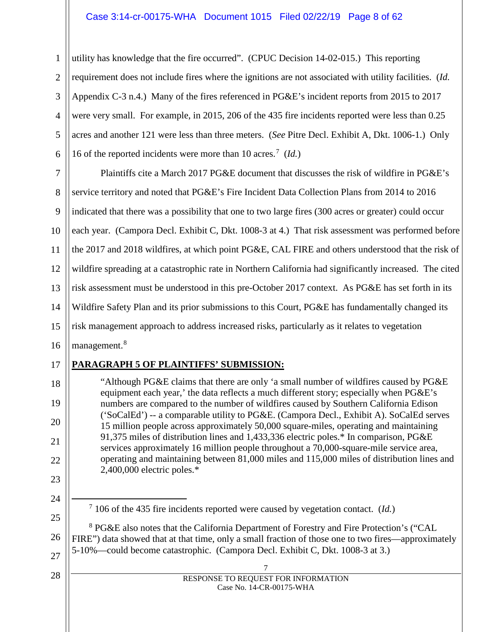#### Case 3:14-cr-00175-WHA Document 1015 Filed 02/22/19 Page 8 of 62

1 2 3 4 5 6 utility has knowledge that the fire occurred". (CPUC Decision 14-02-015.) This reporting requirement does not include fires where the ignitions are not associated with utility facilities. (*Id.* Appendix C-3 n.4.) Many of the fires referenced in PG&E's incident reports from 2015 to 2017 were very small. For example, in 2015, 206 of the 435 fire incidents reported were less than 0.25 acres and another 121 were less than three meters. (*See* Pitre Decl. Exhibit A, Dkt. 1006-1.) Only 16 of the reported incidents were more than 10 acres.[7](#page-7-0) (*Id.*)

7 8 9 10 11 12 13 14 15 16 Plaintiffs cite a March 2017 PG&E document that discusses the risk of wildfire in PG&E's service territory and noted that PG&E's Fire Incident Data Collection Plans from 2014 to 2016 indicated that there was a possibility that one to two large fires (300 acres or greater) could occur each year. (Campora Decl. Exhibit C, Dkt. 1008-3 at 4.) That risk assessment was performed before the 2017 and 2018 wildfires, at which point PG&E, CAL FIRE and others understood that the risk of wildfire spreading at a catastrophic rate in Northern California had significantly increased. The cited risk assessment must be understood in this pre-October 2017 context. As PG&E has set forth in its Wildfire Safety Plan and its prior submissions to this Court, PG&E has fundamentally changed its risk management approach to address increased risks, particularly as it relates to vegetation management.<sup>[8](#page-7-1)</sup>

17

# **PARAGRAPH 5 OF PLAINTIFFS' SUBMISSION:**

18 19 20 21 22 "Although PG&E claims that there are only 'a small number of wildfires caused by PG&E equipment each year,' the data reflects a much different story; especially when PG&E's numbers are compared to the number of wildfires caused by Southern California Edison ('SoCalEd') -- a comparable utility to PG&E. (Campora Decl., Exhibit A). SoCalEd serves 15 million people across approximately 50,000 square-miles, operating and maintaining 91,375 miles of distribution lines and 1,433,336 electric poles.\* In comparison, PG&E services approximately 16 million people throughout a 70,000-square-mile service area, operating and maintaining between 81,000 miles and 115,000 miles of distribution lines and 2,400,000 electric poles.\*

- 23
- <span id="page-7-0"></span>24 25

<span id="page-7-1"></span>26

27

28

7 106 of the 435 fire incidents reported were caused by vegetation contact. (*Id.*)

<sup>8</sup> PG&E also notes that the California Department of Forestry and Fire Protection's ("CAL FIRE") data showed that at that time, only a small fraction of those one to two fires—approximately 5-10%—could become catastrophic. (Campora Decl. Exhibit C, Dkt. 1008-3 at 3.)

> 7 RESPONSE TO REQUEST FOR INFORMATION Case No. 14-CR-00175-WHA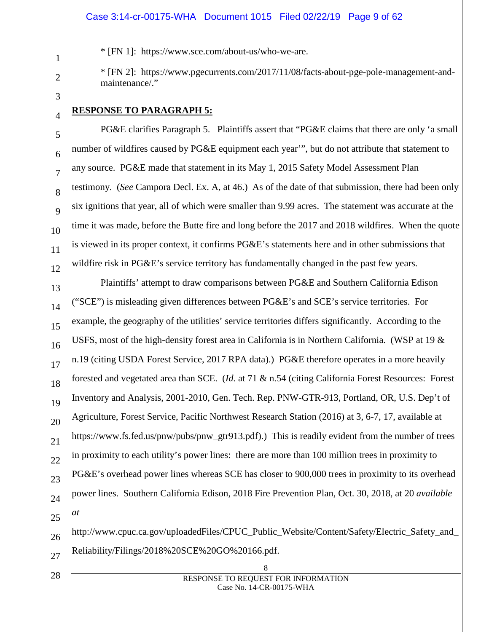#### Case 3:14-cr-00175-WHA Document 1015 Filed 02/22/19 Page 9 of 62

\* [FN 1]: https:/[/www.sce.com/about-us/who-we-are.](http://www.sce.com/about-us/who-we-are)

\* [FN 2]: https:/[/www.pgecurrents.com/2017/11/08/facts-about-pge-pole-management-and](http://www.pgecurrents.com/2017/11/08/facts-about-pge-pole-management-and-maintenance/)[maintenance/."](http://www.pgecurrents.com/2017/11/08/facts-about-pge-pole-management-and-maintenance/)

#### **RESPONSE TO PARAGRAPH 5:**

PG&E clarifies Paragraph 5. Plaintiffs assert that "PG&E claims that there are only 'a small number of wildfires caused by PG&E equipment each year'", but do not attribute that statement to any source. PG&E made that statement in its May 1, 2015 Safety Model Assessment Plan testimony. (*See* Campora Decl. Ex. A, at 46.) As of the date of that submission, there had been only six ignitions that year, all of which were smaller than 9.99 acres. The statement was accurate at the time it was made, before the Butte fire and long before the 2017 and 2018 wildfires. When the quote is viewed in its proper context, it confirms PG&E's statements here and in other submissions that wildfire risk in PG&E's service territory has fundamentally changed in the past few years.

Plaintiffs' attempt to draw comparisons between PG&E and Southern California Edison ("SCE") is misleading given differences between PG&E's and SCE's service territories. For example, the geography of the utilities' service territories differs significantly. According to the USFS, most of the high-density forest area in California is in Northern California. (WSP at 19 & n.19 (citing USDA Forest Service, 2017 RPA data).) PG&E therefore operates in a more heavily forested and vegetated area than SCE. (*Id.* at 71 & n.54 (citing California Forest Resources: Forest Inventory and Analysis, 2001-2010, Gen. Tech. Rep. PNW-GTR-913, Portland, OR, U.S. Dep't of Agriculture, Forest Service, Pacific Northwest Research Station (2016) at 3, 6-7, 17, available at https://www.fs.fed.us/pnw/pubs/pnw\_gtr913.pdf).) This is readily evident from the number of trees in proximity to each utility's power lines: there are more than 100 million trees in proximity to PG&E's overhead power lines whereas SCE has closer to 900,000 trees in proximity to its overhead power lines. Southern California Edison, 2018 Fire Prevention Plan, Oct. 30, 2018, at 20 *available at* 

http://www.cpuc.ca.gov/uploadedFiles/CPUC\_Public\_Website/Content/Safety/Electric\_Safety\_and\_ Reliability/Filings/2018%20SCE%20GO%20166.pdf.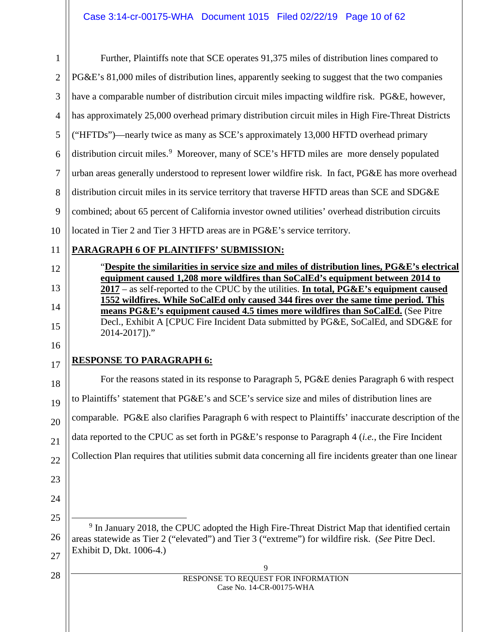| $\mathbf{1}$   | Further, Plaintiffs note that SCE operates 91,375 miles of distribution lines compared to                                                                                 |
|----------------|---------------------------------------------------------------------------------------------------------------------------------------------------------------------------|
| $\overline{2}$ | PG&E's 81,000 miles of distribution lines, apparently seeking to suggest that the two companies                                                                           |
| 3              | have a comparable number of distribution circuit miles impacting wildfire risk. PG&E, however,                                                                            |
| $\overline{4}$ | has approximately 25,000 overhead primary distribution circuit miles in High Fire-Threat Districts                                                                        |
| 5              | ("HFTDs")—nearly twice as many as SCE's approximately 13,000 HFTD overhead primary                                                                                        |
| 6              | distribution circuit miles. <sup>9</sup> Moreover, many of SCE's HFTD miles are more densely populated                                                                    |
| $\overline{7}$ | urban areas generally understood to represent lower wildfire risk. In fact, PG&E has more overhead                                                                        |
| 8              | distribution circuit miles in its service territory that traverse HFTD areas than SCE and SDG&E                                                                           |
| 9              | combined; about 65 percent of California investor owned utilities' overhead distribution circuits                                                                         |
| 10             | located in Tier 2 and Tier 3 HFTD areas are in PG&E's service territory.                                                                                                  |
| 11             | PARAGRAPH 6 OF PLAINTIFFS' SUBMISSION:                                                                                                                                    |
| 12             | "Despite the similarities in service size and miles of distribution lines, PG&E's electrical                                                                              |
| 13             | equipment caused 1,208 more wildfires than SoCalEd's equipment between 2014 to<br>2017 – as self-reported to the CPUC by the utilities. In total, PG&E's equipment caused |
| 14             | 1552 wildfires. While SoCalEd only caused 344 fires over the same time period. This<br>means PG&E's equipment caused 4.5 times more wildfires than SoCalEd. (See Pitre    |
| 15             | Decl., Exhibit A [CPUC Fire Incident Data submitted by PG&E, SoCalEd, and SDG&E for<br>2014-2017)."                                                                       |
| 16             |                                                                                                                                                                           |
| 17             | <b>RESPONSE TO PARAGRAPH 6:</b>                                                                                                                                           |

18 19 20 21 22 23 For the reasons stated in its response to Paragraph 5, PG&E denies Paragraph 6 with respect to Plaintiffs' statement that PG&E's and SCE's service size and miles of distribution lines are comparable. PG&E also clarifies Paragraph 6 with respect to Plaintiffs' inaccurate description of the data reported to the CPUC as set forth in PG&E's response to Paragraph 4 (*i.e.*, the Fire Incident Collection Plan requires that utilities submit data concerning all fire incidents greater than one linear

<span id="page-9-0"></span>25 26 27 <sup>9</sup> In January 2018, the CPUC adopted the High Fire-Threat District Map that identified certain areas statewide as Tier 2 ("elevated") and Tier 3 ("extreme") for wildfire risk. (*See* Pitre Decl. Exhibit D, Dkt. 1006-4.)

24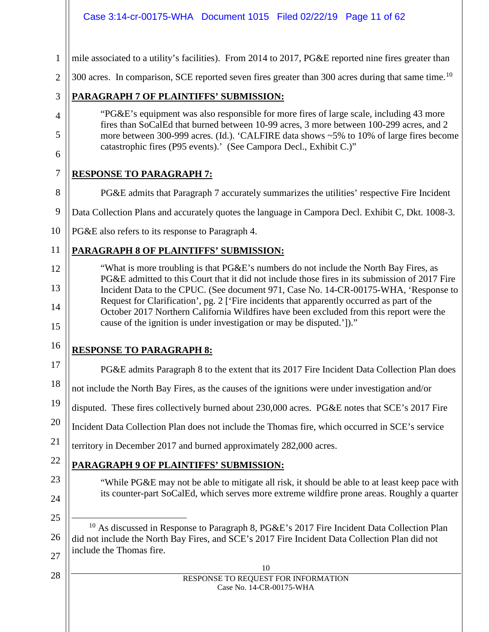<span id="page-10-0"></span>

|                | Case 3:14-cr-00175-WHA  Document 1015  Filed 02/22/19  Page 11 of 62                                                                                                                                                                                                                 |
|----------------|--------------------------------------------------------------------------------------------------------------------------------------------------------------------------------------------------------------------------------------------------------------------------------------|
| $\mathbf{1}$   | mile associated to a utility's facilities). From 2014 to 2017, PG&E reported nine fires greater than                                                                                                                                                                                 |
| $\overline{2}$ | 300 acres. In comparison, SCE reported seven fires greater than 300 acres during that same time. <sup>10</sup>                                                                                                                                                                       |
| 3              | <b>PARAGRAPH 7 OF PLAINTIFFS' SUBMISSION:</b>                                                                                                                                                                                                                                        |
| 4              | "PG&E's equipment was also responsible for more fires of large scale, including 43 more<br>fires than SoCalEd that burned between 10-99 acres, 3 more between 100-299 acres, and 2                                                                                                   |
| 5<br>6         | more between 300-999 acres. (Id.). 'CALFIRE data shows ~5% to 10% of large fires become<br>catastrophic fires (P95 events).' (See Campora Decl., Exhibit C.)"                                                                                                                        |
| 7              | <b>RESPONSE TO PARAGRAPH 7:</b>                                                                                                                                                                                                                                                      |
| 8              | PG&E admits that Paragraph 7 accurately summarizes the utilities' respective Fire Incident                                                                                                                                                                                           |
| 9              | Data Collection Plans and accurately quotes the language in Campora Decl. Exhibit C, Dkt. 1008-3.                                                                                                                                                                                    |
| 10             | PG&E also refers to its response to Paragraph 4.                                                                                                                                                                                                                                     |
| 11             | PARAGRAPH 8 OF PLAINTIFFS' SUBMISSION:                                                                                                                                                                                                                                               |
| 12             | "What is more troubling is that PG&E's numbers do not include the North Bay Fires, as                                                                                                                                                                                                |
| 13             | PG&E admitted to this Court that it did not include those fires in its submission of 2017 Fire<br>Incident Data to the CPUC. (See document 971, Case No. 14-CR-00175-WHA, 'Response to<br>Request for Clarification', pg. 2 ['Fire incidents that apparently occurred as part of the |
| 14<br>15       | October 2017 Northern California Wildfires have been excluded from this report were the<br>cause of the ignition is under investigation or may be disputed.'])."                                                                                                                     |
| 16             | <b>RESPONSE TO PARAGRAPH 8:</b>                                                                                                                                                                                                                                                      |
| 17             | PG&E admits Paragraph 8 to the extent that its 2017 Fire Incident Data Collection Plan does                                                                                                                                                                                          |
| 18             | not include the North Bay Fires, as the causes of the ignitions were under investigation and/or                                                                                                                                                                                      |
| 19             | disputed. These fires collectively burned about 230,000 acres. PG&E notes that SCE's 2017 Fire                                                                                                                                                                                       |
| 20             | Incident Data Collection Plan does not include the Thomas fire, which occurred in SCE's service                                                                                                                                                                                      |
| 21             | territory in December 2017 and burned approximately 282,000 acres.                                                                                                                                                                                                                   |
| 22             | <b>PARAGRAPH 9 OF PLAINTIFFS' SUBMISSION:</b>                                                                                                                                                                                                                                        |
| 23<br>24       | "While PG&E may not be able to mitigate all risk, it should be able to at least keep pace with<br>its counter-part SoCalEd, which serves more extreme wildfire prone areas. Roughly a quarter                                                                                        |
| 25             |                                                                                                                                                                                                                                                                                      |
| 26             | <sup>10</sup> As discussed in Response to Paragraph 8, PG&E's 2017 Fire Incident Data Collection Plan<br>did not include the North Bay Fires, and SCE's 2017 Fire Incident Data Collection Plan did not                                                                              |
| 27             | include the Thomas fire.                                                                                                                                                                                                                                                             |
| 28             | 10<br>RESPONSE TO REQUEST FOR INFORMATION                                                                                                                                                                                                                                            |
|                | Case No. 14-CR-00175-WHA                                                                                                                                                                                                                                                             |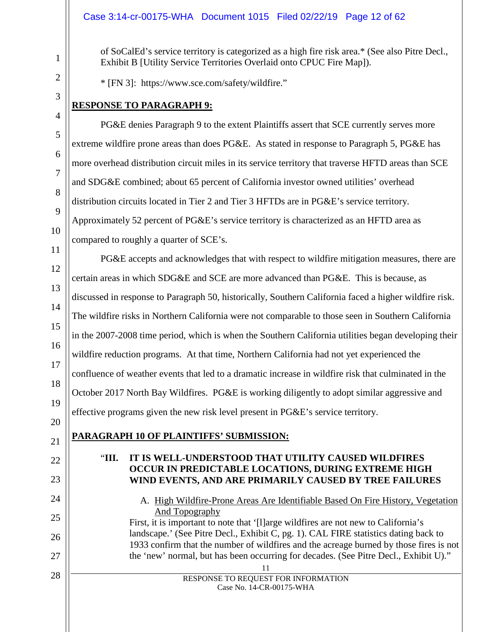#### Case 3:14-cr-00175-WHA Document 1015 Filed 02/22/19 Page 12 of 62

of SoCalEd's service territory is categorized as a high fire risk area.\* (See also Pitre Decl., Exhibit B [Utility Service Territories Overlaid onto CPUC Fire Map]).

\* [FN 3]: https://www.sce.com/safety/wildfire."

# **RESPONSE TO PARAGRAPH 9:**

PG&E denies Paragraph 9 to the extent Plaintiffs assert that SCE currently serves more extreme wildfire prone areas than does PG&E. As stated in response to Paragraph 5, PG&E has more overhead distribution circuit miles in its service territory that traverse HFTD areas than SCE and SDG&E combined; about 65 percent of California investor owned utilities' overhead distribution circuits located in Tier 2 and Tier 3 HFTDs are in PG&E's service territory. Approximately 52 percent of PG&E's service territory is characterized as an HFTD area as compared to roughly a quarter of SCE's.

PG&E accepts and acknowledges that with respect to wildfire mitigation measures, there are certain areas in which SDG&E and SCE are more advanced than PG&E. This is because, as discussed in response to Paragraph 50, historically, Southern California faced a higher wildfire risk. The wildfire risks in Northern California were not comparable to those seen in Southern California in the 2007-2008 time period, which is when the Southern California utilities began developing their wildfire reduction programs. At that time, Northern California had not yet experienced the confluence of weather events that led to a dramatic increase in wildfire risk that culminated in the October 2017 North Bay Wildfires. PG&E is working diligently to adopt similar aggressive and effective programs given the new risk level present in PG&E's service territory.

**PARAGRAPH 10 OF PLAINTIFFS' SUBMISSION:**

# "**III. IT IS WELL-UNDERSTOOD THAT UTILITY CAUSED WILDFIRES OCCUR IN PREDICTABLE LOCATIONS, DURING EXTREME HIGH WIND EVENTS, AND ARE PRIMARILY CAUSED BY TREE FAILURES**

#### A. High Wildfire-Prone Areas Are Identifiable Based On Fire History, Vegetation And Topography First, it is important to note that '[l]arge wildfires are not new to California's

landscape.' (See Pitre Decl., Exhibit C, pg. 1). CAL FIRE statistics dating back to 1933 confirm that the number of wildfires and the acreage burned by those fires is not the 'new' normal, but has been occurring for decades. (See Pitre Decl., Exhibit U)."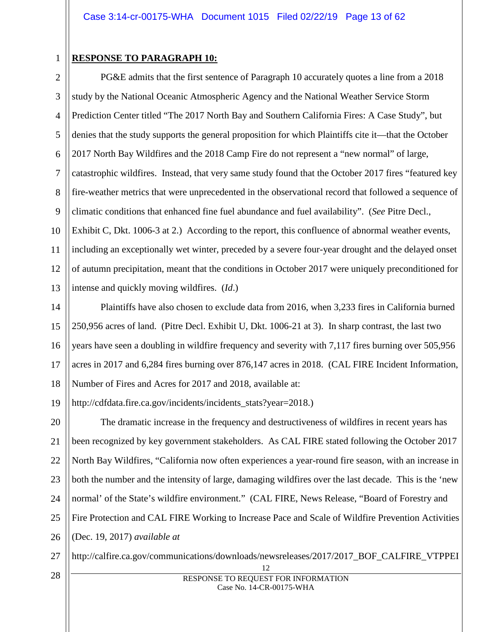1

# **RESPONSE TO PARAGRAPH 10:**

2 3 4 5 6 7 8 9 10 11 12 13 PG&E admits that the first sentence of Paragraph 10 accurately quotes a line from a 2018 study by the National Oceanic Atmospheric Agency and the National Weather Service Storm Prediction Center titled "The 2017 North Bay and Southern California Fires: A Case Study", but denies that the study supports the general proposition for which Plaintiffs cite it—that the October 2017 North Bay Wildfires and the 2018 Camp Fire do not represent a "new normal" of large, catastrophic wildfires. Instead, that very same study found that the October 2017 fires "featured key fire-weather metrics that were unprecedented in the observational record that followed a sequence of climatic conditions that enhanced fine fuel abundance and fuel availability". (*See* Pitre Decl., Exhibit C, Dkt. 1006-3 at 2.) According to the report, this confluence of abnormal weather events, including an exceptionally wet winter, preceded by a severe four-year drought and the delayed onset of autumn precipitation, meant that the conditions in October 2017 were uniquely preconditioned for intense and quickly moving wildfires. (*Id*.)

14 15 16 17 18 Plaintiffs have also chosen to exclude data from 2016, when 3,233 fires in California burned 250,956 acres of land. (Pitre Decl. Exhibit U, Dkt. 1006-21 at 3). In sharp contrast, the last two years have seen a doubling in wildfire frequency and severity with 7,117 fires burning over 505,956 acres in 2017 and 6,284 fires burning over 876,147 acres in 2018. (CAL FIRE Incident Information, Number of Fires and Acres for 2017 and 2018, available at:

19 http://cdfdata.fire.ca.gov/incidents/incidents\_stats?year=2018.)

20 21 22 23 24 25 26 The dramatic increase in the frequency and destructiveness of wildfires in recent years has been recognized by key government stakeholders. As CAL FIRE stated following the October 2017 North Bay Wildfires, "California now often experiences a year-round fire season, with an increase in both the number and the intensity of large, damaging wildfires over the last decade. This is the 'new normal' of the State's wildfire environment." (CAL FIRE, News Release, "Board of Forestry and Fire Protection and CAL FIRE Working to Increase Pace and Scale of Wildfire Prevention Activities (Dec. 19, 2017) *available at* 

27 http://calfire.ca.gov/communications/downloads/newsreleases/2017/2017\_BOF\_CALFIRE\_VTPPEI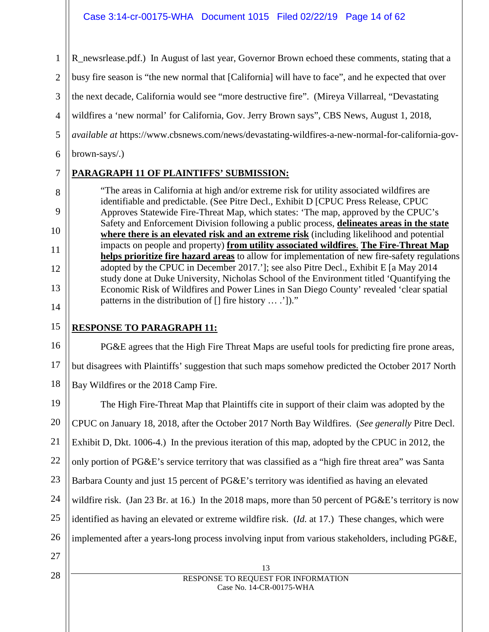1 2 3 4 5 6 R newsrlease.pdf.) In August of last year, Governor Brown echoed these comments, stating that a busy fire season is "the new normal that [California] will have to face", and he expected that over the next decade, California would see "more destructive fire". (Mireya Villarreal, "Devastating wildfires a 'new normal' for California, Gov. Jerry Brown says", CBS News, August 1, 2018, *available at* https://www.cbsnews.com/news/devastating-wildfires-a-new-normal-for-california-govbrown-says/.)

# **PARAGRAPH 11 OF PLAINTIFFS' SUBMISSION:**

"The areas in California at high and/or extreme risk for utility associated wildfires are identifiable and predictable. (See Pitre Decl., Exhibit D [CPUC Press Release, CPUC Approves Statewide Fire-Threat Map, which states: 'The map, approved by the CPUC's Safety and Enforcement Division following a public process, **delineates areas in the state where there is an elevated risk and an extreme risk** (including likelihood and potential impacts on people and property) **from utility associated wildfires**. **The Fire-Threat Map helps prioritize fire hazard areas** to allow for implementation of new fire-safety regulations adopted by the CPUC in December 2017.']; see also Pitre Decl., Exhibit E [a May 2014 study done at Duke University, Nicholas School of the Environment titled 'Quantifying the Economic Risk of Wildfires and Power Lines in San Diego County' revealed 'clear spatial patterns in the distribution of [] fire history … .'])."

14 15

7

8

9

10

11

12

13

# **RESPONSE TO PARAGRAPH 11:**

16 17 18 PG&E agrees that the High Fire Threat Maps are useful tools for predicting fire prone areas, but disagrees with Plaintiffs' suggestion that such maps somehow predicted the October 2017 North Bay Wildfires or the 2018 Camp Fire.

13 19 20 21 22 23 24 25 26 27 28 The High Fire-Threat Map that Plaintiffs cite in support of their claim was adopted by the CPUC on January 18, 2018, after the October 2017 North Bay Wildfires. (*See generally* Pitre Decl. Exhibit D, Dkt. 1006-4.) In the previous iteration of this map, adopted by the CPUC in 2012, the only portion of PG&E's service territory that was classified as a "high fire threat area" was Santa Barbara County and just 15 percent of PG&E's territory was identified as having an elevated wildfire risk. (Jan 23 Br. at 16.) In the 2018 maps, more than 50 percent of PG&E's territory is now identified as having an elevated or extreme wildfire risk. (*Id.* at 17.) These changes, which were implemented after a years-long process involving input from various stakeholders, including PG&E,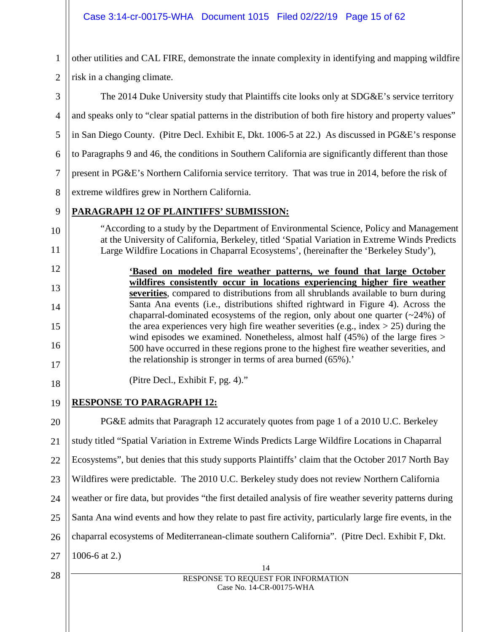14 RESPONSE TO REQUEST FOR INFORMATION Case No. 14-CR-00175-WHA 1 2 3 4 5 6 7 8 9 10 11 12 13 14 15 16 17 18 19 20 21 22 23 24 25 26 27 28 other utilities and CAL FIRE, demonstrate the innate complexity in identifying and mapping wildfire risk in a changing climate. The 2014 Duke University study that Plaintiffs cite looks only at SDG&E's service territory and speaks only to "clear spatial patterns in the distribution of both fire history and property values" in San Diego County. (Pitre Decl. Exhibit E, Dkt. 1006-5 at 22.) As discussed in PG&E's response to Paragraphs 9 and 46, the conditions in Southern California are significantly different than those present in PG&E's Northern California service territory. That was true in 2014, before the risk of extreme wildfires grew in Northern California. **PARAGRAPH 12 OF PLAINTIFFS' SUBMISSION:** "According to a study by the Department of Environmental Science, Policy and Management at the University of California, Berkeley, titled 'Spatial Variation in Extreme Winds Predicts Large Wildfire Locations in Chaparral Ecosystems', (hereinafter the 'Berkeley Study'), **'Based on modeled fire weather patterns, we found that large October wildfires consistently occur in locations experiencing higher fire weather severities**, compared to distributions from all shrublands available to burn during Santa Ana events (i.e., distributions shifted rightward in Figure 4). Across the chaparral-dominated ecosystems of the region, only about one quarter  $(\sim 24\%)$  of the area experiences very high fire weather severities (e.g., index  $> 25$ ) during the wind episodes we examined. Nonetheless, almost half (45%) of the large fires > 500 have occurred in these regions prone to the highest fire weather severities, and the relationship is stronger in terms of area burned (65%).' (Pitre Decl., Exhibit F, pg. 4)." **RESPONSE TO PARAGRAPH 12:** PG&E admits that Paragraph 12 accurately quotes from page 1 of a 2010 U.C. Berkeley study titled "Spatial Variation in Extreme Winds Predicts Large Wildfire Locations in Chaparral Ecosystems", but denies that this study supports Plaintiffs' claim that the October 2017 North Bay Wildfires were predictable. The 2010 U.C. Berkeley study does not review Northern California weather or fire data, but provides "the first detailed analysis of fire weather severity patterns during Santa Ana wind events and how they relate to past fire activity, particularly large fire events, in the chaparral ecosystems of Mediterranean-climate southern California". (Pitre Decl. Exhibit F, Dkt. 1006-6 at 2.)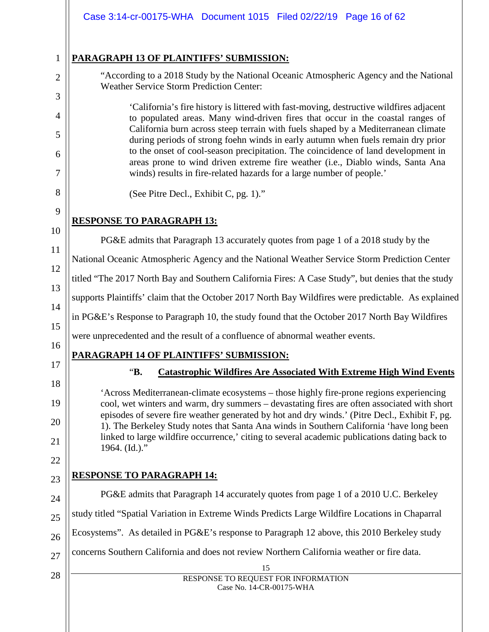|                | Case 3:14-cr-00175-WHA Document 1015 Filed 02/22/19 Page 16 of 62                                                                                                                                                                                                                       |
|----------------|-----------------------------------------------------------------------------------------------------------------------------------------------------------------------------------------------------------------------------------------------------------------------------------------|
| $\mathbf{1}$   | <b>PARAGRAPH 13 OF PLAINTIFFS' SUBMISSION:</b>                                                                                                                                                                                                                                          |
| $\overline{2}$ | "According to a 2018 Study by the National Oceanic Atmospheric Agency and the National<br><b>Weather Service Storm Prediction Center:</b>                                                                                                                                               |
| 3              | 'California's fire history is littered with fast-moving, destructive wildfires adjacent                                                                                                                                                                                                 |
| 4<br>5         | to populated areas. Many wind-driven fires that occur in the coastal ranges of<br>California burn across steep terrain with fuels shaped by a Mediterranean climate                                                                                                                     |
| 6              | during periods of strong foehn winds in early autumn when fuels remain dry prior<br>to the onset of cool-season precipitation. The coincidence of land development in                                                                                                                   |
| 7              | areas prone to wind driven extreme fire weather (i.e., Diablo winds, Santa Ana<br>winds) results in fire-related hazards for a large number of people.'                                                                                                                                 |
| 8              | (See Pitre Decl., Exhibit C, pg. 1)."                                                                                                                                                                                                                                                   |
| 9              | <b>RESPONSE TO PARAGRAPH 13:</b>                                                                                                                                                                                                                                                        |
| 10             | PG&E admits that Paragraph 13 accurately quotes from page 1 of a 2018 study by the                                                                                                                                                                                                      |
| 11             | National Oceanic Atmospheric Agency and the National Weather Service Storm Prediction Center                                                                                                                                                                                            |
| 12             | titled "The 2017 North Bay and Southern California Fires: A Case Study", but denies that the study                                                                                                                                                                                      |
| 13             | supports Plaintiffs' claim that the October 2017 North Bay Wildfires were predictable. As explained                                                                                                                                                                                     |
| 14             | in PG&E's Response to Paragraph 10, the study found that the October 2017 North Bay Wildfires                                                                                                                                                                                           |
| 15             | were unprecedented and the result of a confluence of abnormal weather events.                                                                                                                                                                                                           |
| 16             | PARAGRAPH 14 OF PLAINTIFFS' SUBMISSION:                                                                                                                                                                                                                                                 |
| 17             | "В.<br><b>Catastrophic Wildfires Are Associated With Extreme High Wind Events</b>                                                                                                                                                                                                       |
| 18<br>19       | 'Across Mediterranean-climate ecosystems – those highly fire-prone regions experiencing<br>cool, wet winters and warm, dry summers – devastating fires are often associated with short<br>episodes of severe fire weather generated by hot and dry winds.' (Pitre Decl., Exhibit F, pg. |
| 20<br>21       | 1). The Berkeley Study notes that Santa Ana winds in Southern California 'have long been<br>linked to large wildfire occurrence,' citing to several academic publications dating back to<br>1964. (Id.)."                                                                               |
| 22             | <b>RESPONSE TO PARAGRAPH 14:</b>                                                                                                                                                                                                                                                        |
| 23             | PG&E admits that Paragraph 14 accurately quotes from page 1 of a 2010 U.C. Berkeley                                                                                                                                                                                                     |
| 24             |                                                                                                                                                                                                                                                                                         |
| 25             | study titled "Spatial Variation in Extreme Winds Predicts Large Wildfire Locations in Chaparral                                                                                                                                                                                         |
| 26             | Ecosystems". As detailed in PG&E's response to Paragraph 12 above, this 2010 Berkeley study                                                                                                                                                                                             |
| 27             | concerns Southern California and does not review Northern California weather or fire data.<br>15                                                                                                                                                                                        |
| 28             | RESPONSE TO REQUEST FOR INFORMATION<br>Case No. 14-CR-00175-WHA                                                                                                                                                                                                                         |
|                |                                                                                                                                                                                                                                                                                         |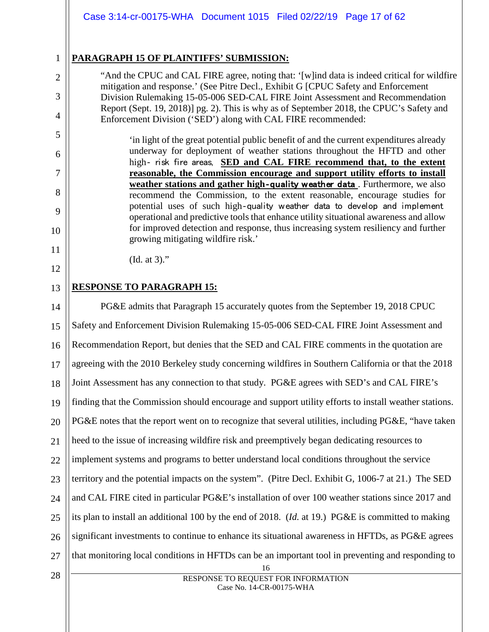# **PARAGRAPH 15 OF PLAINTIFFS' SUBMISSION:**

1

2

3

4

5

6

7

8

9

10

11

12

13

"And the CPUC and CAL FIRE agree, noting that: '[w]ind data is indeed critical for wildfire mitigation and response.' (See Pitre Decl., Exhibit G [CPUC Safety and Enforcement Division Rulemaking 15-05-006 SED-CAL FIRE Joint Assessment and Recommendation Report (Sept. 19, 2018)] pg. 2). This is why as of September 2018, the CPUC's Safety and Enforcement Division ('SED') along with CAL FIRE recommended:

'in light of the great potential public benefit of and the current expenditures already underway for deployment of weather stations throughout the HFTD and other high- risk fire areas, **SED and CAL FIRE recommend that, to the extent reasonable, the Commission encourage and support utility efforts to install weather stations and gather high-quality weather data**. Furthermore, we also recommend the Commission, to the extent reasonable, encourage studies for potential uses of such high-quality weather data to develop and implement operational and predictive tools that enhance utility situational awareness and allow for improved detection and response, thus increasing system resiliency and further growing mitigating wildfire risk.'

(Id. at 3)."

# **RESPONSE TO PARAGRAPH 15:**

16 14 15 16 17 18 19 20 21 22 23 24 25 26 27 28 PG&E admits that Paragraph 15 accurately quotes from the September 19, 2018 CPUC Safety and Enforcement Division Rulemaking 15-05-006 SED-CAL FIRE Joint Assessment and Recommendation Report, but denies that the SED and CAL FIRE comments in the quotation are agreeing with the 2010 Berkeley study concerning wildfires in Southern California or that the 2018 Joint Assessment has any connection to that study. PG&E agrees with SED's and CAL FIRE's finding that the Commission should encourage and support utility efforts to install weather stations. PG&E notes that the report went on to recognize that several utilities, including PG&E, "have taken heed to the issue of increasing wildfire risk and preemptively began dedicating resources to implement systems and programs to better understand local conditions throughout the service territory and the potential impacts on the system". (Pitre Decl. Exhibit G, 1006-7 at 21.) The SED and CAL FIRE cited in particular PG&E's installation of over 100 weather stations since 2017 and its plan to install an additional 100 by the end of 2018. (*Id.* at 19.) PG&E is committed to making significant investments to continue to enhance its situational awareness in HFTDs, as PG&E agrees that monitoring local conditions in HFTDs can be an important tool in preventing and responding to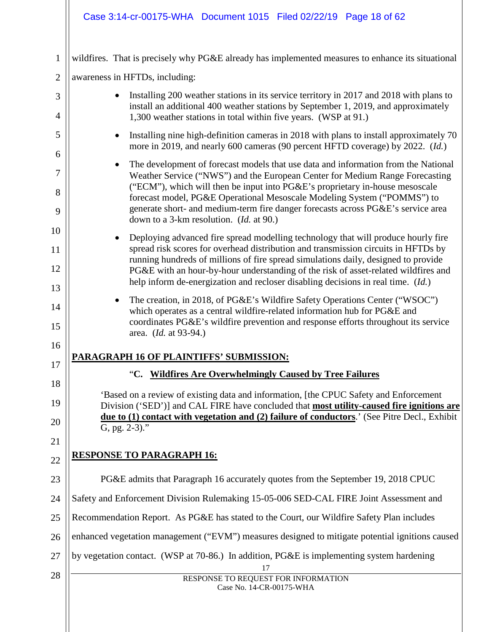# Case 3:14-cr-00175-WHA Document 1015 Filed 02/22/19 Page 18 of 62

| $\mathbf{1}$         | wildfires. That is precisely why PG&E already has implemented measures to enhance its situational                                                                                                                                                                                                                                                                                                                                                                 |
|----------------------|-------------------------------------------------------------------------------------------------------------------------------------------------------------------------------------------------------------------------------------------------------------------------------------------------------------------------------------------------------------------------------------------------------------------------------------------------------------------|
| $\overline{2}$       | awareness in HFTDs, including:                                                                                                                                                                                                                                                                                                                                                                                                                                    |
| 3<br>4               | Installing 200 weather stations in its service territory in 2017 and 2018 with plans to<br>install an additional 400 weather stations by September 1, 2019, and approximately<br>1,300 weather stations in total within five years. (WSP at 91.)                                                                                                                                                                                                                  |
| 5                    | Installing nine high-definition cameras in 2018 with plans to install approximately 70<br>$\bullet$<br>more in 2019, and nearly 600 cameras (90 percent HFTD coverage) by 2022. (Id.)                                                                                                                                                                                                                                                                             |
| 6<br>7<br>8<br>9     | The development of forecast models that use data and information from the National<br>٠<br>Weather Service ("NWS") and the European Center for Medium Range Forecasting<br>("ECM"), which will then be input into PG&E's proprietary in-house mesoscale<br>forecast model, PG&E Operational Mesoscale Modeling System ("POMMS") to<br>generate short- and medium-term fire danger forecasts across PG&E's service area<br>down to a 3-km resolution. (Id. at 90.) |
| 10<br>11<br>12<br>13 | Deploying advanced fire spread modelling technology that will produce hourly fire<br>spread risk scores for overhead distribution and transmission circuits in HFTDs by<br>running hundreds of millions of fire spread simulations daily, designed to provide<br>PG&E with an hour-by-hour understanding of the risk of asset-related wildfires and<br>help inform de-energization and recloser disabling decisions in real time. (Id.)                           |
| 14<br>15<br>16       | The creation, in 2018, of PG&E's Wildfire Safety Operations Center ("WSOC")<br>which operates as a central wildfire-related information hub for PG&E and<br>coordinates PG&E's wildfire prevention and response efforts throughout its service<br>area. (Id. at 93-94.)                                                                                                                                                                                           |
| 17                   | PARAGRAPH 16 OF PLAINTIFFS' SUBMISSION:                                                                                                                                                                                                                                                                                                                                                                                                                           |
| 18                   | "C. Wildfires Are Overwhelmingly Caused by Tree Failures                                                                                                                                                                                                                                                                                                                                                                                                          |
| 19<br>20<br>21       | 'Based on a review of existing data and information, [the CPUC Safety and Enforcement<br>Division ('SED')] and CAL FIRE have concluded that most utility-caused fire ignitions are<br>due to (1) contact with vegetation and (2) failure of conductors.' (See Pitre Decl., Exhibit<br>G, pg. $2-3$ )."                                                                                                                                                            |
| 22                   | <b>RESPONSE TO PARAGRAPH 16:</b>                                                                                                                                                                                                                                                                                                                                                                                                                                  |
| 23                   | PG&E admits that Paragraph 16 accurately quotes from the September 19, 2018 CPUC                                                                                                                                                                                                                                                                                                                                                                                  |
| 24                   | Safety and Enforcement Division Rulemaking 15-05-006 SED-CAL FIRE Joint Assessment and                                                                                                                                                                                                                                                                                                                                                                            |
| 25                   | Recommendation Report. As PG&E has stated to the Court, our Wildfire Safety Plan includes                                                                                                                                                                                                                                                                                                                                                                         |
| 26                   | enhanced vegetation management ("EVM") measures designed to mitigate potential ignitions caused                                                                                                                                                                                                                                                                                                                                                                   |
| 27                   | by vegetation contact. (WSP at 70-86.) In addition, PG&E is implementing system hardening<br>17                                                                                                                                                                                                                                                                                                                                                                   |
| 28                   | RESPONSE TO REQUEST FOR INFORMATION<br>Case No. 14-CR-00175-WHA                                                                                                                                                                                                                                                                                                                                                                                                   |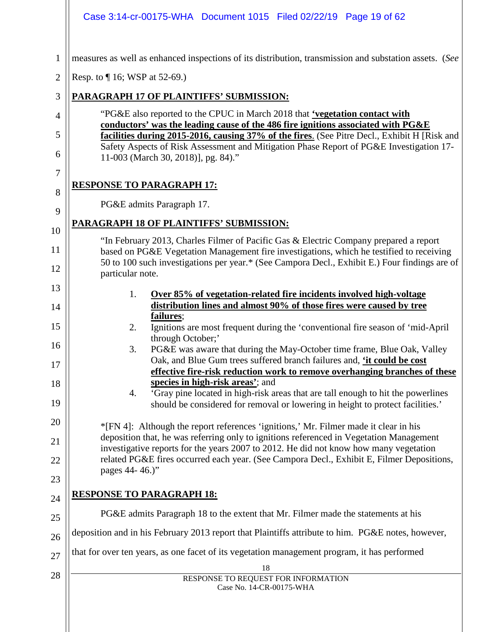|                | Case 3:14-cr-00175-WHA Document 1015 Filed 02/22/19 Page 19 of 62                                                                                                                                                              |
|----------------|--------------------------------------------------------------------------------------------------------------------------------------------------------------------------------------------------------------------------------|
| $\mathbf{1}$   | measures as well as enhanced inspections of its distribution, transmission and substation assets. (See                                                                                                                         |
| $\overline{2}$ | Resp. to $\P$ 16; WSP at 52-69.)                                                                                                                                                                                               |
| 3              | <b>PARAGRAPH 17 OF PLAINTIFFS' SUBMISSION:</b>                                                                                                                                                                                 |
| 4              | "PG&E also reported to the CPUC in March 2018 that 'vegetation contact with<br>conductors' was the leading cause of the 486 fire ignitions associated with PG&E                                                                |
| 5<br>6         | facilities during 2015-2016, causing 37% of the fires. (See Pitre Decl., Exhibit H [Risk and<br>Safety Aspects of Risk Assessment and Mitigation Phase Report of PG&E Investigation 17-<br>11-003 (March 30, 2018)], pg. 84)." |
| 7              |                                                                                                                                                                                                                                |
| 8              | <b>RESPONSE TO PARAGRAPH 17:</b>                                                                                                                                                                                               |
| 9              | PG&E admits Paragraph 17.                                                                                                                                                                                                      |
| 10             | <b>PARAGRAPH 18 OF PLAINTIFFS' SUBMISSION:</b>                                                                                                                                                                                 |
| 11             | "In February 2013, Charles Filmer of Pacific Gas & Electric Company prepared a report<br>based on PG&E Vegetation Management fire investigations, which he testified to receiving                                              |
| 12             | 50 to 100 such investigations per year.* (See Campora Decl., Exhibit E.) Four findings are of<br>particular note.                                                                                                              |
| 13<br>14       | Over 85% of vegetation-related fire incidents involved high-voltage<br>1.<br>distribution lines and almost 90% of those fires were caused by tree                                                                              |
| 15             | failures;<br>Ignitions are most frequent during the 'conventional fire season of 'mid-April<br>2.<br>through October;'                                                                                                         |
| 16<br>17       | PG&E was aware that during the May-October time frame, Blue Oak, Valley<br>3.<br>Oak, and Blue Gum trees suffered branch failures and, 'it could be cost                                                                       |
| 18             | effective fire-risk reduction work to remove overhanging branches of these<br>species in high-risk areas'; and                                                                                                                 |
| 19             | 'Gray pine located in high-risk areas that are tall enough to hit the powerlines<br>4.<br>should be considered for removal or lowering in height to protect facilities.'                                                       |
| 20             | *[FN 4]: Although the report references 'ignitions,' Mr. Filmer made it clear in his                                                                                                                                           |
| 21             | deposition that, he was referring only to ignitions referenced in Vegetation Management<br>investigative reports for the years 2007 to 2012. He did not know how many vegetation                                               |
| 22             | related PG&E fires occurred each year. (See Campora Decl., Exhibit E, Filmer Depositions,<br>pages 44-46.)"                                                                                                                    |
| 23             |                                                                                                                                                                                                                                |
| 24             | <b>RESPONSE TO PARAGRAPH 18:</b>                                                                                                                                                                                               |
| 25             | PG&E admits Paragraph 18 to the extent that Mr. Filmer made the statements at his                                                                                                                                              |
| 26             | deposition and in his February 2013 report that Plaintiffs attribute to him. PG&E notes, however,                                                                                                                              |
| 27             | that for over ten years, as one facet of its vegetation management program, it has performed                                                                                                                                   |
| 28             | 18<br>RESPONSE TO REQUEST FOR INFORMATION<br>Case No. 14-CR-00175-WHA                                                                                                                                                          |
|                |                                                                                                                                                                                                                                |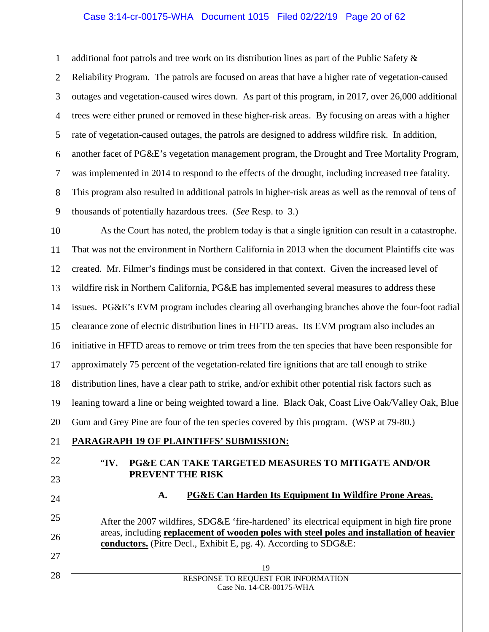#### Case 3:14-cr-00175-WHA Document 1015 Filed 02/22/19 Page 20 of 62

1 2 3 4 5 6 7 8 9 additional foot patrols and tree work on its distribution lines as part of the Public Safety  $\&$ Reliability Program. The patrols are focused on areas that have a higher rate of vegetation-caused outages and vegetation-caused wires down. As part of this program, in 2017, over 26,000 additional trees were either pruned or removed in these higher-risk areas. By focusing on areas with a higher rate of vegetation-caused outages, the patrols are designed to address wildfire risk. In addition, another facet of PG&E's vegetation management program, the Drought and Tree Mortality Program, was implemented in 2014 to respond to the effects of the drought, including increased tree fatality. This program also resulted in additional patrols in higher-risk areas as well as the removal of tens of thousands of potentially hazardous trees. (*See* Resp. to 3.)

10 11 12 13 14 15 16 17 18 19 20 As the Court has noted, the problem today is that a single ignition can result in a catastrophe. That was not the environment in Northern California in 2013 when the document Plaintiffs cite was created. Mr. Filmer's findings must be considered in that context. Given the increased level of wildfire risk in Northern California, PG&E has implemented several measures to address these issues. PG&E's EVM program includes clearing all overhanging branches above the four-foot radial clearance zone of electric distribution lines in HFTD areas. Its EVM program also includes an initiative in HFTD areas to remove or trim trees from the ten species that have been responsible for approximately 75 percent of the vegetation-related fire ignitions that are tall enough to strike distribution lines, have a clear path to strike, and/or exhibit other potential risk factors such as leaning toward a line or being weighted toward a line. Black Oak, Coast Live Oak/Valley Oak, Blue Gum and Grey Pine are four of the ten species covered by this program. (WSP at 79-80.)

#### **PARAGRAPH 19 OF PLAINTIFFS' SUBMISSION:**

21

22

23

24

25

26

27

28

### "**IV. PG&E CAN TAKE TARGETED MEASURES TO MITIGATE AND/OR PREVENT THE RISK**

**A. PG&E Can Harden Its Equipment In Wildfire Prone Areas.**

After the 2007 wildfires, SDG&E 'fire-hardened' its electrical equipment in high fire prone areas, including **replacement of wooden poles with steel poles and installation of heavier conductors.** (Pitre Decl., Exhibit E, pg. 4). According to SDG&E: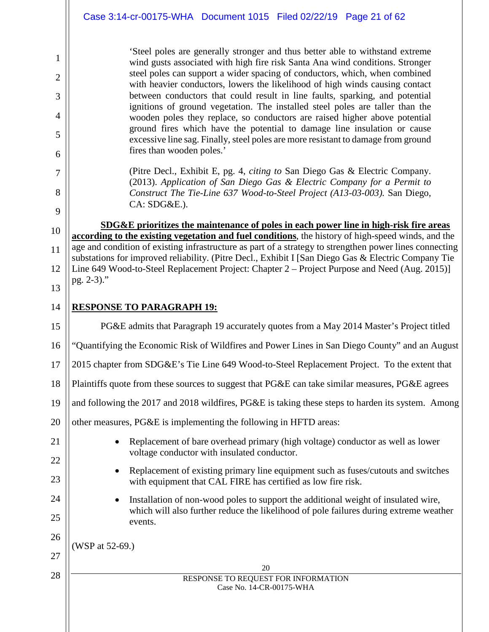|    | Case 3:14-cr-00175-WHA Document 1015 Filed 02/22/19 Page 21 of 62                                                                                                                                              |
|----|----------------------------------------------------------------------------------------------------------------------------------------------------------------------------------------------------------------|
|    | 'Steel poles are generally stronger and thus better able to withstand extreme                                                                                                                                  |
| 1  | wind gusts associated with high fire risk Santa Ana wind conditions. Stronger<br>steel poles can support a wider spacing of conductors, which, when combined                                                   |
| 2  | with heavier conductors, lowers the likelihood of high winds causing contact                                                                                                                                   |
| 3  | between conductors that could result in line faults, sparking, and potential<br>ignitions of ground vegetation. The installed steel poles are taller than the                                                  |
| 4  | wooden poles they replace, so conductors are raised higher above potential<br>ground fires which have the potential to damage line insulation or cause                                                         |
| 5  | excessive line sag. Finally, steel poles are more resistant to damage from ground                                                                                                                              |
| 6  | fires than wooden poles.'                                                                                                                                                                                      |
| 7  | (Pitre Decl., Exhibit E, pg. 4, <i>citing to</i> San Diego Gas & Electric Company.<br>(2013). Application of San Diego Gas & Electric Company for a Permit to                                                  |
| 8  | Construct The Tie-Line 637 Wood-to-Steel Project (A13-03-003). San Diego,                                                                                                                                      |
| 9  | CA: SDG&E.).                                                                                                                                                                                                   |
| 10 | SDG&E prioritizes the maintenance of poles in each power line in high-risk fire areas<br>according to the existing vegetation and fuel conditions, the history of high-speed winds, and the                    |
| 11 | age and condition of existing infrastructure as part of a strategy to strengthen power lines connecting<br>substations for improved reliability. (Pitre Decl., Exhibit I [San Diego Gas & Electric Company Tie |
| 12 | Line 649 Wood-to-Steel Replacement Project: Chapter 2 – Project Purpose and Need (Aug. 2015)]                                                                                                                  |
| 13 | pg. 2-3)."                                                                                                                                                                                                     |
| 14 | <b>RESPONSE TO PARAGRAPH 19:</b>                                                                                                                                                                               |
| 15 | PG&E admits that Paragraph 19 accurately quotes from a May 2014 Master's Project titled                                                                                                                        |
| 16 | "Quantifying the Economic Risk of Wildfires and Power Lines in San Diego County" and an August                                                                                                                 |
| 17 | 2015 chapter from SDG&E's Tie Line 649 Wood-to-Steel Replacement Project. To the extent that                                                                                                                   |
| 18 | Plaintiffs quote from these sources to suggest that PG&E can take similar measures, PG&E agrees                                                                                                                |
| 19 | and following the 2017 and 2018 wildfires, PG&E is taking these steps to harden its system. Among                                                                                                              |
| 20 | other measures, PG&E is implementing the following in HFTD areas:                                                                                                                                              |
| 21 | Replacement of bare overhead primary (high voltage) conductor as well as lower<br>٠                                                                                                                            |
| 22 | voltage conductor with insulated conductor.                                                                                                                                                                    |
| 23 | Replacement of existing primary line equipment such as fuses/cutouts and switches<br>with equipment that CAL FIRE has certified as low fire risk.                                                              |
| 24 | Installation of non-wood poles to support the additional weight of insulated wire,<br>٠                                                                                                                        |
| 25 | which will also further reduce the likelihood of pole failures during extreme weather<br>events.                                                                                                               |
| 26 | (WSP at 52-69.)                                                                                                                                                                                                |
| 27 |                                                                                                                                                                                                                |
| 28 | 20<br>RESPONSE TO REQUEST FOR INFORMATION                                                                                                                                                                      |
|    | Case No. 14-CR-00175-WHA                                                                                                                                                                                       |

 $\parallel$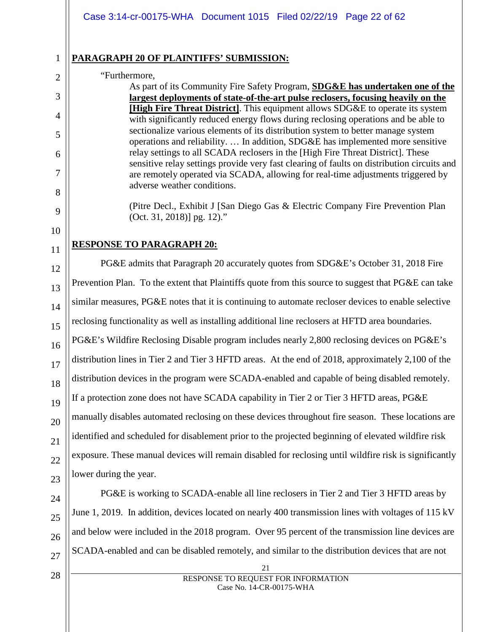# **PARAGRAPH 20 OF PLAINTIFFS' SUBMISSION:**

#### "Furthermore,

As part of its Community Fire Safety Program, **SDG&E has undertaken one of the largest deployments of state-of-the-art pulse reclosers, focusing heavily on the [High Fire Threat District]**. This equipment allows SDG&E to operate its system with significantly reduced energy flows during reclosing operations and be able to sectionalize various elements of its distribution system to better manage system operations and reliability. … In addition, SDG&E has implemented more sensitive relay settings to all SCADA reclosers in the [High Fire Threat District]. These sensitive relay settings provide very fast clearing of faults on distribution circuits and are remotely operated via SCADA, allowing for real-time adjustments triggered by adverse weather conditions.

(Pitre Decl., Exhibit J [San Diego Gas & Electric Company Fire Prevention Plan (Oct. 31, 2018)] pg. 12)."

# **RESPONSE TO PARAGRAPH 20:**

PG&E admits that Paragraph 20 accurately quotes from SDG&E's October 31, 2018 Fire Prevention Plan. To the extent that Plaintiffs quote from this source to suggest that PG&E can take similar measures, PG&E notes that it is continuing to automate recloser devices to enable selective reclosing functionality as well as installing additional line reclosers at HFTD area boundaries. PG&E's Wildfire Reclosing Disable program includes nearly 2,800 reclosing devices on PG&E's distribution lines in Tier 2 and Tier 3 HFTD areas. At the end of 2018, approximately 2,100 of the distribution devices in the program were SCADA-enabled and capable of being disabled remotely. If a protection zone does not have SCADA capability in Tier 2 or Tier 3 HFTD areas, PG&E manually disables automated reclosing on these devices throughout fire season. These locations are identified and scheduled for disablement prior to the projected beginning of elevated wildfire risk exposure. These manual devices will remain disabled for reclosing until wildfire risk is significantly lower during the year.

PG&E is working to SCADA-enable all line reclosers in Tier 2 and Tier 3 HFTD areas by June 1, 2019. In addition, devices located on nearly 400 transmission lines with voltages of 115 kV and below were included in the 2018 program. Over 95 percent of the transmission line devices are SCADA-enabled and can be disabled remotely, and similar to the distribution devices that are not

> 21 RESPONSE TO REQUEST FOR INFORMATION Case No. 14-CR-00175-WHA

1

2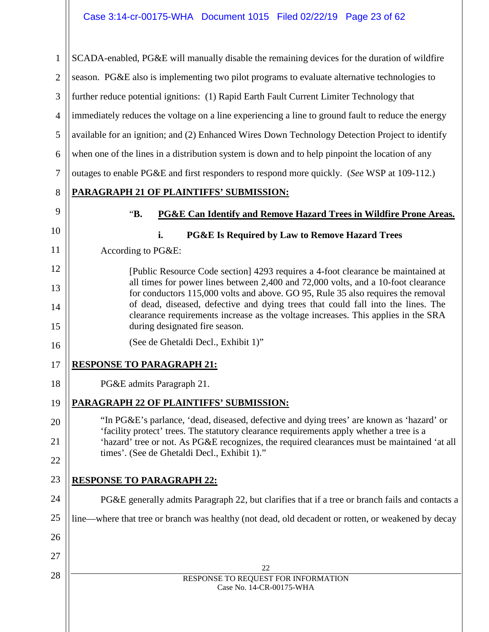22 RESPONSE TO REQUEST FOR INFORMATION Case No. 14-CR-00175-WHA 1 2 3 4 5 6 7 8 9 10 11 12 13 14 15 16 17 18 19 20 21 22 23 24 25 26 27 28 SCADA-enabled, PG&E will manually disable the remaining devices for the duration of wildfire season. PG&E also is implementing two pilot programs to evaluate alternative technologies to further reduce potential ignitions: (1) Rapid Earth Fault Current Limiter Technology that immediately reduces the voltage on a line experiencing a line to ground fault to reduce the energy available for an ignition; and (2) Enhanced Wires Down Technology Detection Project to identify when one of the lines in a distribution system is down and to help pinpoint the location of any outages to enable PG&E and first responders to respond more quickly. (*See* WSP at 109-112.) **PARAGRAPH 21 OF PLAINTIFFS' SUBMISSION:** "**B. PG&E Can Identify and Remove Hazard Trees in Wildfire Prone Areas. i. PG&E Is Required by Law to Remove Hazard Trees** According to PG&E: [Public Resource Code section] 4293 requires a 4-foot clearance be maintained at all times for power lines between 2,400 and 72,000 volts, and a 10-foot clearance for conductors 115,000 volts and above. GO 95, Rule 35 also requires the removal of dead, diseased, defective and dying trees that could fall into the lines. The clearance requirements increase as the voltage increases. This applies in the SRA during designated fire season. (See de Ghetaldi Decl., Exhibit 1)" **RESPONSE TO PARAGRAPH 21:** PG&E admits Paragraph 21. **PARAGRAPH 22 OF PLAINTIFFS' SUBMISSION:** "In PG&E's parlance, 'dead, diseased, defective and dying trees' are known as 'hazard' or 'facility protect' trees. The statutory clearance requirements apply whether a tree is a 'hazard' tree or not. As PG&E recognizes, the required clearances must be maintained 'at all times'. (See de Ghetaldi Decl., Exhibit 1)." **RESPONSE TO PARAGRAPH 22:** PG&E generally admits Paragraph 22, but clarifies that if a tree or branch fails and contacts a line—where that tree or branch was healthy (not dead, old decadent or rotten, or weakened by decay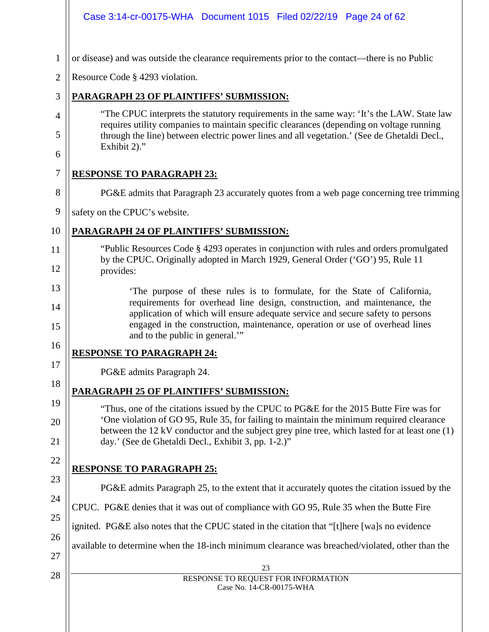|                | Case 3:14-cr-00175-WHA  Document 1015  Filed 02/22/19  Page 24  of 62                                                                                                                                                                    |
|----------------|------------------------------------------------------------------------------------------------------------------------------------------------------------------------------------------------------------------------------------------|
| 1              | or disease) and was outside the clearance requirements prior to the contact—there is no Public                                                                                                                                           |
| $\overline{2}$ | Resource Code § 4293 violation.                                                                                                                                                                                                          |
| 3              | <b>PARAGRAPH 23 OF PLAINTIFFS' SUBMISSION:</b>                                                                                                                                                                                           |
| 4              | "The CPUC interprets the statutory requirements in the same way: 'It's the LAW. State law<br>requires utility companies to maintain specific clearances (depending on voltage running                                                    |
| 5<br>6         | through the line) between electric power lines and all vegetation.' (See de Ghetaldi Decl.,<br>Exhibit 2)."                                                                                                                              |
| 7              | <b>RESPONSE TO PARAGRAPH 23:</b>                                                                                                                                                                                                         |
| 8              | PG&E admits that Paragraph 23 accurately quotes from a web page concerning tree trimming                                                                                                                                                 |
| 9              | safety on the CPUC's website.                                                                                                                                                                                                            |
| 10             | PARAGRAPH 24 OF PLAINTIFFS' SUBMISSION:                                                                                                                                                                                                  |
| 11             | "Public Resources Code § 4293 operates in conjunction with rules and orders promulgated                                                                                                                                                  |
| 12             | by the CPUC. Originally adopted in March 1929, General Order ('GO') 95, Rule 11<br>provides:                                                                                                                                             |
| 13<br>14       | 'The purpose of these rules is to formulate, for the State of California,<br>requirements for overhead line design, construction, and maintenance, the<br>application of which will ensure adequate service and secure safety to persons |
| 15             | engaged in the construction, maintenance, operation or use of overhead lines<br>and to the public in general."                                                                                                                           |
| 16             | <b>RESPONSE TO PARAGRAPH 24:</b>                                                                                                                                                                                                         |
| 17             | PG&E admits Paragraph 24.                                                                                                                                                                                                                |
| 18             | PARAGRAPH 25 OF PLAINTIFFS' SUBMISSION:                                                                                                                                                                                                  |
| 19<br>20       | "Thus, one of the citations issued by the CPUC to PG&E for the 2015 Butte Fire was for<br>One violation of GO 95, Rule 35, for failing to maintain the minimum required clearance                                                        |
| 21             | between the 12 kV conductor and the subject grey pine tree, which lasted for at least one (1)<br>day.' (See de Ghetaldi Decl., Exhibit 3, pp. 1-2.)"                                                                                     |
| 22             | <b>RESPONSE TO PARAGRAPH 25:</b>                                                                                                                                                                                                         |
| 23             | PG&E admits Paragraph 25, to the extent that it accurately quotes the citation issued by the                                                                                                                                             |
| 24             | CPUC. PG&E denies that it was out of compliance with GO 95, Rule 35 when the Butte Fire                                                                                                                                                  |
| 25             | ignited. PG&E also notes that the CPUC stated in the citation that "[t]here [wa]s no evidence                                                                                                                                            |
| 26             | available to determine when the 18-inch minimum clearance was breached/violated, other than the                                                                                                                                          |
| 27             | 23                                                                                                                                                                                                                                       |
| 28             | RESPONSE TO REQUEST FOR INFORMATION<br>Case No. 14-CR-00175-WHA                                                                                                                                                                          |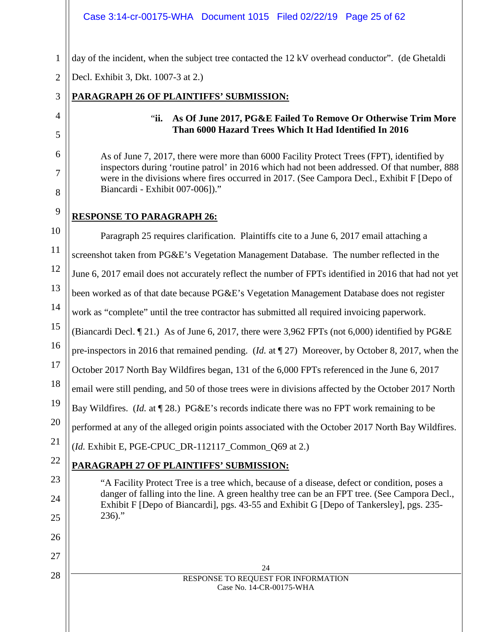#### Case 3:14-cr-00175-WHA Document 1015 Filed 02/22/19 Page 25 of 62

day of the incident, when the subject tree contacted the 12 kV overhead conductor". (de Ghetaldi

2 Decl. Exhibit 3, Dkt. 1007-3 at 2.)

# **PARAGRAPH 26 OF PLAINTIFFS' SUBMISSION:**

# "**ii. As Of June 2017, PG&E Failed To Remove Or Otherwise Trim More Than 6000 Hazard Trees Which It Had Identified In 2016**

As of June 7, 2017, there were more than 6000 Facility Protect Trees (FPT), identified by inspectors during 'routine patrol' in 2016 which had not been addressed. Of that number, 888 were in the divisions where fires occurred in 2017. (See Campora Decl., Exhibit F [Depo of Biancardi - Exhibit 007-006])."

9

1

3

4

5

6

7

8

25

 $236$ )."

26

27

28

# **RESPONSE TO PARAGRAPH 26:**

10 11 12 13 14 15 16 17 18 19 20 21 22 23 24 Paragraph 25 requires clarification. Plaintiffs cite to a June 6, 2017 email attaching a screenshot taken from PG&E's Vegetation Management Database. The number reflected in the June 6, 2017 email does not accurately reflect the number of FPTs identified in 2016 that had not yet been worked as of that date because PG&E's Vegetation Management Database does not register work as "complete" until the tree contractor has submitted all required invoicing paperwork. (Biancardi Decl. ¶ 21.) As of June 6, 2017, there were 3,962 FPTs (not 6,000) identified by PG&E pre-inspectors in 2016 that remained pending. (*Id.* at ¶ 27) Moreover, by October 8, 2017, when the October 2017 North Bay Wildfires began, 131 of the 6,000 FPTs referenced in the June 6, 2017 email were still pending, and 50 of those trees were in divisions affected by the October 2017 North Bay Wildfires. (*Id.* at ¶ 28.) PG&E's records indicate there was no FPT work remaining to be performed at any of the alleged origin points associated with the October 2017 North Bay Wildfires. (*Id.* Exhibit E, PGE-CPUC\_DR-112117\_Common\_Q69 at 2.) **PARAGRAPH 27 OF PLAINTIFFS' SUBMISSION:** "A Facility Protect Tree is a tree which, because of a disease, defect or condition, poses a danger of falling into the line. A green healthy tree can be an FPT tree. (See Campora Decl., Exhibit F [Depo of Biancardi], pgs. 43-55 and Exhibit G [Depo of Tankersley], pgs. 235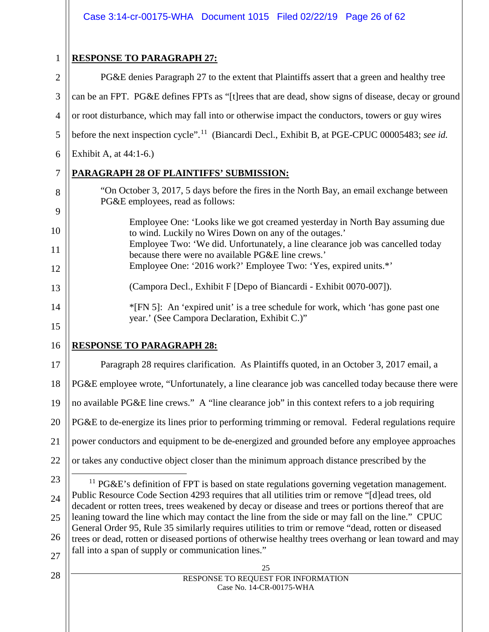1

8

9

# **RESPONSE TO PARAGRAPH 27:**

2 3 4 5 6 7 PG&E denies Paragraph 27 to the extent that Plaintiffs assert that a green and healthy tree can be an FPT. PG&E defines FPTs as "[t]rees that are dead, show signs of disease, decay or ground or root disturbance, which may fall into or otherwise impact the conductors, towers or guy wires before the next inspection cycle".<sup>11</sup> (Biancardi Decl., Exhibit B, at PGE-CPUC 00005483; *see id.* Exhibit A, at 44:1-6.)

# **PARAGRAPH 28 OF PLAINTIFFS' SUBMISSION:**

- "On October 3, 2017, 5 days before the fires in the North Bay, an email exchange between PG&E employees, read as follows:
- 10 11 12 Employee One: 'Looks like we got creamed yesterday in North Bay assuming due to wind. Luckily no Wires Down on any of the outages.' Employee Two: 'We did. Unfortunately, a line clearance job was cancelled today because there were no available PG&E line crews.' Employee One: '2016 work?' Employee Two: 'Yes, expired units.\*'
	- (Campora Decl., Exhibit F [Depo of Biancardi Exhibit 0070-007]).
	- \*[FN 5]: An 'expired unit' is a tree schedule for work, which 'has gone past one year.' (See Campora Declaration, Exhibit C.)"
- 16

13

14

15

# **RESPONSE TO PARAGRAPH 28:**

17 18 19 20 21 22 Paragraph 28 requires clarification. As Plaintiffs quoted, in an October 3, 2017 email, a PG&E employee wrote, "Unfortunately, a line clearance job was cancelled today because there were no available PG&E line crews." A "line clearance job" in this context refers to a job requiring PG&E to de-energize its lines prior to performing trimming or removal. Federal regulations require power conductors and equipment to be de-energized and grounded before any employee approaches or takes any conductive object closer than the minimum approach distance prescribed by the

- <span id="page-25-0"></span>23 24 25 26 27  $11$  PG&E's definition of FPT is based on state regulations governing vegetation management. Public Resource Code Section 4293 requires that all utilities trim or remove "[d]ead trees, old decadent or rotten trees, trees weakened by decay or disease and trees or portions thereof that are leaning toward the line which may contact the line from the side or may fall on the line." CPUC General Order 95, Rule 35 similarly requires utilities to trim or remove "dead, rotten or diseased trees or dead, rotten or diseased portions of otherwise healthy trees overhang or lean toward and may fall into a span of supply or communication lines."
- 28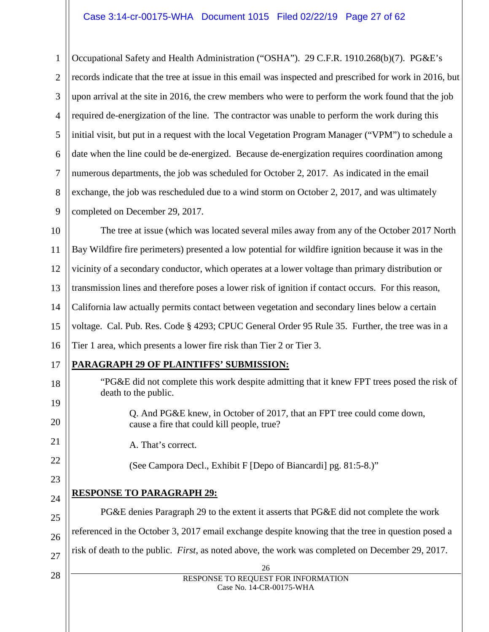#### Case 3:14-cr-00175-WHA Document 1015 Filed 02/22/19 Page 27 of 62

1 2 3 4 5 6 7 8 9 Occupational Safety and Health Administration ("OSHA"). 29 C.F.R. 1910.268(b)(7). PG&E's records indicate that the tree at issue in this email was inspected and prescribed for work in 2016, but upon arrival at the site in 2016, the crew members who were to perform the work found that the job required de-energization of the line. The contractor was unable to perform the work during this initial visit, but put in a request with the local Vegetation Program Manager ("VPM") to schedule a date when the line could be de-energized. Because de-energization requires coordination among numerous departments, the job was scheduled for October 2, 2017. As indicated in the email exchange, the job was rescheduled due to a wind storm on October 2, 2017, and was ultimately completed on December 29, 2017.

10 11 12 13 14 15 16 The tree at issue (which was located several miles away from any of the October 2017 North Bay Wildfire fire perimeters) presented a low potential for wildfire ignition because it was in the vicinity of a secondary conductor, which operates at a lower voltage than primary distribution or transmission lines and therefore poses a lower risk of ignition if contact occurs. For this reason, California law actually permits contact between vegetation and secondary lines below a certain voltage. Cal. Pub. Res. Code § 4293; CPUC General Order 95 Rule 35. Further, the tree was in a Tier 1 area, which presents a lower fire risk than Tier 2 or Tier 3.

17

18

19

20

21

22

23

24

25

26

# **PARAGRAPH 29 OF PLAINTIFFS' SUBMISSION:**

- "PG&E did not complete this work despite admitting that it knew FPT trees posed the risk of death to the public.
	- Q. And PG&E knew, in October of 2017, that an FPT tree could come down, cause a fire that could kill people, true?
	- A. That's correct.
		- (See Campora Decl., Exhibit F [Depo of Biancardi] pg. 81:5-8.)"

# **RESPONSE TO PARAGRAPH 29:**

PG&E denies Paragraph 29 to the extent it asserts that PG&E did not complete the work referenced in the October 3, 2017 email exchange despite knowing that the tree in question posed a risk of death to the public. *First*, as noted above, the work was completed on December 29, 2017.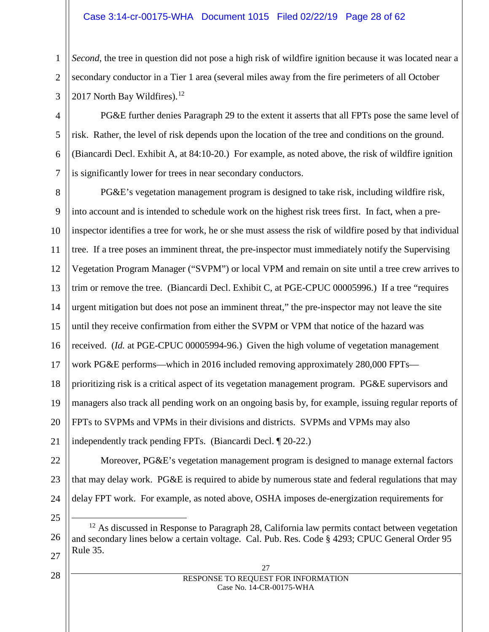#### Case 3:14-cr-00175-WHA Document 1015 Filed 02/22/19 Page 28 of 62

*Second*, the tree in question did not pose a high risk of wildfire ignition because it was located near a secondary conductor in a Tier 1 area (several miles away from the fire perimeters of all October 2017 North Bay Wildfires). $12$ 

PG&E further denies Paragraph 29 to the extent it asserts that all FPTs pose the same level of risk. Rather, the level of risk depends upon the location of the tree and conditions on the ground. (Biancardi Decl. Exhibit A, at 84:10-20.) For example, as noted above, the risk of wildfire ignition is significantly lower for trees in near secondary conductors.

8 9 10 11 12 13 14 15 16 17 18 19 20 21 PG&E's vegetation management program is designed to take risk, including wildfire risk, into account and is intended to schedule work on the highest risk trees first. In fact, when a preinspector identifies a tree for work, he or she must assess the risk of wildfire posed by that individual tree. If a tree poses an imminent threat, the pre-inspector must immediately notify the Supervising Vegetation Program Manager ("SVPM") or local VPM and remain on site until a tree crew arrives to trim or remove the tree. (Biancardi Decl. Exhibit C, at PGE-CPUC 00005996.) If a tree "requires urgent mitigation but does not pose an imminent threat," the pre-inspector may not leave the site until they receive confirmation from either the SVPM or VPM that notice of the hazard was received. (*Id.* at PGE-CPUC 00005994-96.) Given the high volume of vegetation management work PG&E performs—which in 2016 included removing approximately 280,000 FPTs prioritizing risk is a critical aspect of its vegetation management program. PG&E supervisors and managers also track all pending work on an ongoing basis by, for example, issuing regular reports of FPTs to SVPMs and VPMs in their divisions and districts. SVPMs and VPMs may also independently track pending FPTs. (Biancardi Decl. ¶ 20-22.)

22 23 24 Moreover, PG&E's vegetation management program is designed to manage external factors that may delay work. PG&E is required to abide by numerous state and federal regulations that may delay FPT work. For example, as noted above, OSHA imposes de-energization requirements for

<span id="page-27-0"></span>25

26

27 RESPONSE TO REQUEST FOR INFORMATION Case No. 14-CR-00175-WHA

1

2

3

4

5

6

7

28

<sup>&</sup>lt;sup>12</sup> As discussed in Response to Paragraph 28, California law permits contact between vegetation and secondary lines below a certain voltage. Cal. Pub. Res. Code § 4293; CPUC General Order 95 Rule 35.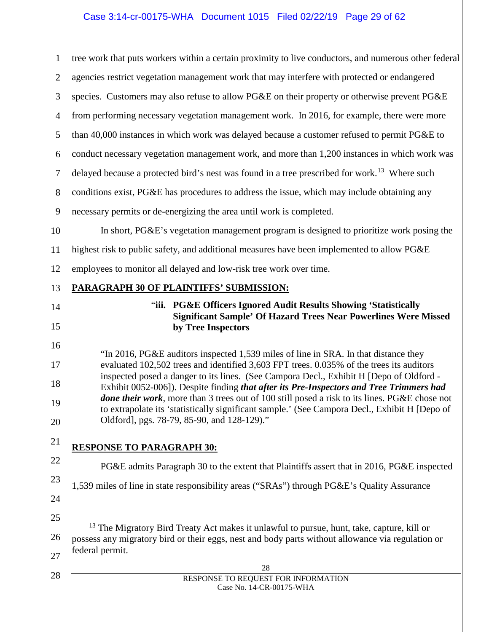### Case 3:14-cr-00175-WHA Document 1015 Filed 02/22/19 Page 29 of 62

<span id="page-28-0"></span>28 RESPONSE TO REQUEST FOR INFORMATION Case No. 14-CR-00175-WHA 1 2 3 4 5 6 7 8 9 10 11 12 13 14 15 16 17 18 19 20 21 22 23 24 25 26 27 28 tree work that puts workers within a certain proximity to live conductors, and numerous other federal agencies restrict vegetation management work that may interfere with protected or endangered species. Customers may also refuse to allow PG&E on their property or otherwise prevent PG&E from performing necessary vegetation management work. In 2016, for example, there were more than 40,000 instances in which work was delayed because a customer refused to permit PG&E to conduct necessary vegetation management work, and more than 1,200 instances in which work was delayed because a protected bird's nest was found in a tree prescribed for work.<sup>[13](#page-28-0)</sup> Where such conditions exist, PG&E has procedures to address the issue, which may include obtaining any necessary permits or de-energizing the area until work is completed. In short, PG&E's vegetation management program is designed to prioritize work posing the highest risk to public safety, and additional measures have been implemented to allow PG&E employees to monitor all delayed and low-risk tree work over time. **PARAGRAPH 30 OF PLAINTIFFS' SUBMISSION:** "**iii. PG&E Officers Ignored Audit Results Showing 'Statistically Significant Sample' Of Hazard Trees Near Powerlines Were Missed by Tree Inspectors** "In 2016, PG&E auditors inspected 1,539 miles of line in SRA. In that distance they evaluated 102,502 trees and identified 3,603 FPT trees. 0.035% of the trees its auditors inspected posed a danger to its lines. (See Campora Decl., Exhibit H [Depo of Oldford - Exhibit 0052-006]). Despite finding *that after its Pre-Inspectors and Tree Trimmers had done their work*, more than 3 trees out of 100 still posed a risk to its lines. PG&E chose not to extrapolate its 'statistically significant sample.' (See Campora Decl., Exhibit H [Depo of Oldford], pgs. 78-79, 85-90, and 128-129)." **RESPONSE TO PARAGRAPH 30:** PG&E admits Paragraph 30 to the extent that Plaintiffs assert that in 2016, PG&E inspected 1,539 miles of line in state responsibility areas ("SRAs") through PG&E's Quality Assurance <sup>13</sup> The Migratory Bird Treaty Act makes it unlawful to pursue, hunt, take, capture, kill or possess any migratory bird or their eggs, nest and body parts without allowance via regulation or federal permit.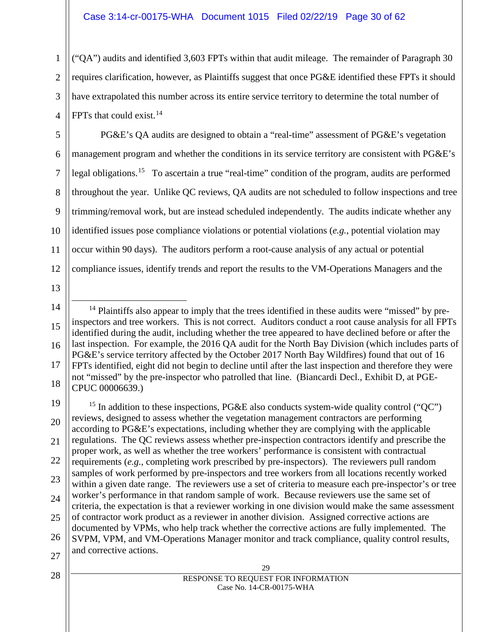#### Case 3:14-cr-00175-WHA Document 1015 Filed 02/22/19 Page 30 of 62

("QA") audits and identified 3,603 FPTs within that audit mileage. The remainder of Paragraph 30 requires clarification, however, as Plaintiffs suggest that once PG&E identified these FPTs it should have extrapolated this number across its entire service territory to determine the total number of FPTs that could exist.  $14$ 

5 6 7 8 9 10 11 12 PG&E's QA audits are designed to obtain a "real-time" assessment of PG&E's vegetation management program and whether the conditions in its service territory are consistent with PG&E's legal obligations.<sup>[15](#page-29-1)</sup> To ascertain a true "real-time" condition of the program, audits are performed throughout the year. Unlike QC reviews, QA audits are not scheduled to follow inspections and tree trimming/removal work, but are instead scheduled independently. The audits indicate whether any identified issues pose compliance violations or potential violations (*e.g.*, potential violation may occur within 90 days). The auditors perform a root-cause analysis of any actual or potential compliance issues, identify trends and report the results to the VM-Operations Managers and the

13

1

2

3

4

<span id="page-29-1"></span>19 20 21 22 23 24 25 26 27 <sup>15</sup> In addition to these inspections, PG&E also conducts system-wide quality control ("QC") reviews, designed to assess whether the vegetation management contractors are performing according to PG&E's expectations, including whether they are complying with the applicable regulations. The QC reviews assess whether pre-inspection contractors identify and prescribe the proper work, as well as whether the tree workers' performance is consistent with contractual requirements (*e.g.*, completing work prescribed by pre-inspectors). The reviewers pull random samples of work performed by pre-inspectors and tree workers from all locations recently worked within a given date range. The reviewers use a set of criteria to measure each pre-inspector's or tree worker's performance in that random sample of work. Because reviewers use the same set of criteria, the expectation is that a reviewer working in one division would make the same assessment of contractor work product as a reviewer in another division. Assigned corrective actions are documented by VPMs, who help track whether the corrective actions are fully implemented. The SVPM, VPM, and VM-Operations Manager monitor and track compliance, quality control results, and corrective actions.

<span id="page-29-0"></span><sup>14</sup> 15 16 17 18  $<sup>14</sup>$  Plaintiffs also appear to imply that the trees identified in these audits were "missed" by pre-</sup> inspectors and tree workers. This is not correct. Auditors conduct a root cause analysis for all FPTs identified during the audit, including whether the tree appeared to have declined before or after the last inspection. For example, the 2016 QA audit for the North Bay Division (which includes parts of PG&E's service territory affected by the October 2017 North Bay Wildfires) found that out of 16 FPTs identified, eight did not begin to decline until after the last inspection and therefore they were not "missed" by the pre-inspector who patrolled that line. (Biancardi Decl., Exhibit D, at PGE-CPUC 00006639.)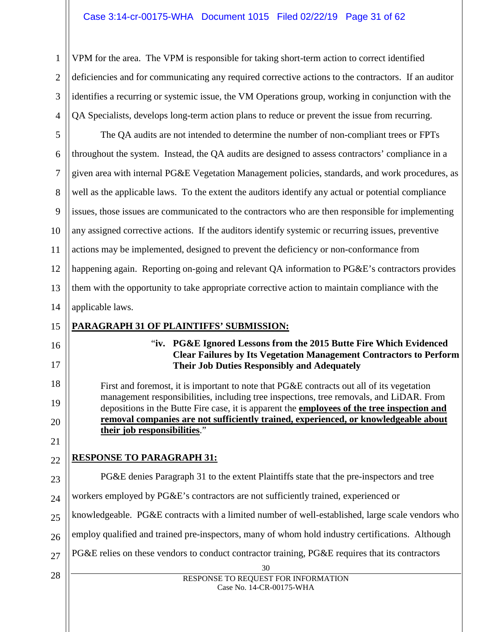#### Case 3:14-cr-00175-WHA Document 1015 Filed 02/22/19 Page 31 of 62

VPM for the area. The VPM is responsible for taking short-term action to correct identified deficiencies and for communicating any required corrective actions to the contractors. If an auditor identifies a recurring or systemic issue, the VM Operations group, working in conjunction with the QA Specialists, develops long-term action plans to reduce or prevent the issue from recurring.

5 6 7 8 9 10 11 12 13 14 The QA audits are not intended to determine the number of non-compliant trees or FPTs throughout the system. Instead, the QA audits are designed to assess contractors' compliance in a given area with internal PG&E Vegetation Management policies, standards, and work procedures, as well as the applicable laws. To the extent the auditors identify any actual or potential compliance issues, those issues are communicated to the contractors who are then responsible for implementing any assigned corrective actions. If the auditors identify systemic or recurring issues, preventive actions may be implemented, designed to prevent the deficiency or non-conformance from happening again. Reporting on-going and relevant QA information to PG&E's contractors provides them with the opportunity to take appropriate corrective action to maintain compliance with the applicable laws.

#### 15 **PARAGRAPH 31 OF PLAINTIFFS' SUBMISSION:**

# 16

17

18

19

20

21

22

1

2

3

4

"**iv. PG&E Ignored Lessons from the 2015 Butte Fire Which Evidenced Clear Failures by Its Vegetation Management Contractors to Perform Their Job Duties Responsibly and Adequately** 

First and foremost, it is important to note that PG&E contracts out all of its vegetation management responsibilities, including tree inspections, tree removals, and LiDAR. From depositions in the Butte Fire case, it is apparent the **employees of the tree inspection and removal companies are not sufficiently trained, experienced, or knowledgeable about their job responsibilities**."

# **RESPONSE TO PARAGRAPH 31:**

30 RESPONSE TO REQUEST FOR INFORMATION Case No. 14-CR-00175-WHA 23 24 25 26 27 28 PG&E denies Paragraph 31 to the extent Plaintiffs state that the pre-inspectors and tree workers employed by PG&E's contractors are not sufficiently trained, experienced or knowledgeable. PG&E contracts with a limited number of well-established, large scale vendors who employ qualified and trained pre-inspectors, many of whom hold industry certifications. Although PG&E relies on these vendors to conduct contractor training, PG&E requires that its contractors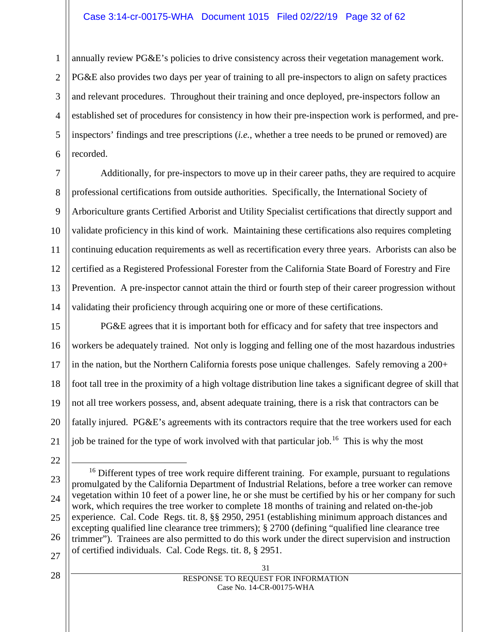#### Case 3:14-cr-00175-WHA Document 1015 Filed 02/22/19 Page 32 of 62

1 2 3 4 5 6 annually review PG&E's policies to drive consistency across their vegetation management work. PG&E also provides two days per year of training to all pre-inspectors to align on safety practices and relevant procedures. Throughout their training and once deployed, pre-inspectors follow an established set of procedures for consistency in how their pre-inspection work is performed, and preinspectors' findings and tree prescriptions (*i.e.*, whether a tree needs to be pruned or removed) are recorded.

7 8 9 10 11 12 13 14 Additionally, for pre-inspectors to move up in their career paths, they are required to acquire professional certifications from outside authorities. Specifically, the International Society of Arboriculture grants Certified Arborist and Utility Specialist certifications that directly support and validate proficiency in this kind of work. Maintaining these certifications also requires completing continuing education requirements as well as recertification every three years. Arborists can also be certified as a Registered Professional Forester from the California State Board of Forestry and Fire Prevention. A pre-inspector cannot attain the third or fourth step of their career progression without validating their proficiency through acquiring one or more of these certifications.

15 16 17 18 19 20 21 PG&E agrees that it is important both for efficacy and for safety that tree inspectors and workers be adequately trained. Not only is logging and felling one of the most hazardous industries in the nation, but the Northern California forests pose unique challenges. Safely removing a 200+ foot tall tree in the proximity of a high voltage distribution line takes a significant degree of skill that not all tree workers possess, and, absent adequate training, there is a risk that contractors can be fatally injured. PG&E's agreements with its contractors require that the tree workers used for each job be trained for the type of work involved with that particular job.<sup>[16](#page-31-0)</sup> This is why the most

22

<span id="page-31-0"></span>23 24 25 26 27 <sup>16</sup> Different types of tree work require different training. For example, pursuant to regulations promulgated by the California Department of Industrial Relations, before a tree worker can remove vegetation within 10 feet of a power line, he or she must be certified by his or her company for such work, which requires the tree worker to complete 18 months of training and related on-the-job experience. Cal. Code Regs. tit. 8, §§ 2950, 2951 (establishing minimum approach distances and excepting qualified line clearance tree trimmers); § 2700 (defining "qualified line clearance tree trimmer"). Trainees are also permitted to do this work under the direct supervision and instruction of certified individuals. Cal. Code Regs. tit. 8, § 2951.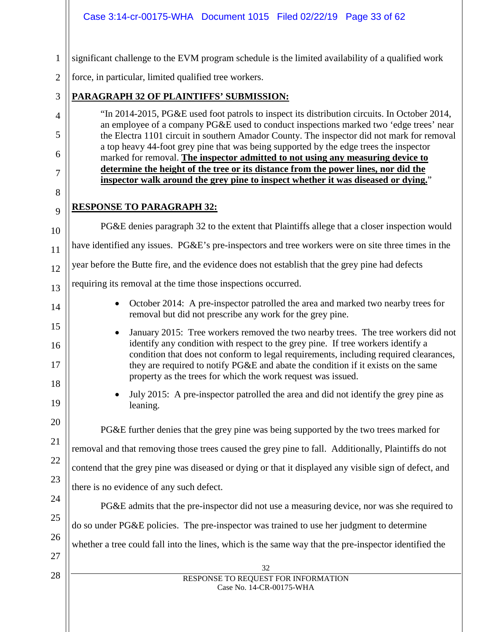|                | Case 3:14-cr-00175-WHA Document 1015 Filed 02/22/19 Page 33 of 62                                                                                                                                                                                                   |
|----------------|---------------------------------------------------------------------------------------------------------------------------------------------------------------------------------------------------------------------------------------------------------------------|
|                |                                                                                                                                                                                                                                                                     |
| $\mathbf{1}$   | significant challenge to the EVM program schedule is the limited availability of a qualified work                                                                                                                                                                   |
| $\overline{2}$ | force, in particular, limited qualified tree workers.                                                                                                                                                                                                               |
| 3              | PARAGRAPH 32 OF PLAINTIFFS' SUBMISSION:                                                                                                                                                                                                                             |
| $\overline{4}$ | "In 2014-2015, PG&E used foot patrols to inspect its distribution circuits. In October 2014,<br>an employee of a company PG&E used to conduct inspections marked two 'edge trees' near                                                                              |
| 5              | the Electra 1101 circuit in southern Amador County. The inspector did not mark for removal<br>a top heavy 44-foot grey pine that was being supported by the edge trees the inspector                                                                                |
| 6              | marked for removal. The inspector admitted to not using any measuring device to                                                                                                                                                                                     |
| $\overline{7}$ | determine the height of the tree or its distance from the power lines, nor did the<br>inspector walk around the grey pine to inspect whether it was diseased or dying."                                                                                             |
| 8              |                                                                                                                                                                                                                                                                     |
| 9              | <b>RESPONSE TO PARAGRAPH 32:</b>                                                                                                                                                                                                                                    |
| 10             | PG&E denies paragraph 32 to the extent that Plaintiffs allege that a closer inspection would                                                                                                                                                                        |
| 11             | have identified any issues. PG&E's pre-inspectors and tree workers were on site three times in the                                                                                                                                                                  |
| 12             | year before the Butte fire, and the evidence does not establish that the grey pine had defects                                                                                                                                                                      |
| 13             | requiring its removal at the time those inspections occurred.                                                                                                                                                                                                       |
| 14             | October 2014: A pre-inspector patrolled the area and marked two nearby trees for<br>$\bullet$<br>removal but did not prescribe any work for the grey pine.                                                                                                          |
| 15<br>16       | January 2015: Tree workers removed the two nearby trees. The tree workers did not<br>٠<br>identify any condition with respect to the grey pine. If tree workers identify a<br>condition that does not conform to legal requirements, including required clearances, |
| 17<br>18       | they are required to notify PG&E and abate the condition if it exists on the same<br>property as the trees for which the work request was issued.                                                                                                                   |
| 19             | July 2015: A pre-inspector patrolled the area and did not identify the grey pine as<br>leaning.                                                                                                                                                                     |
| 20             | PG&E further denies that the grey pine was being supported by the two trees marked for                                                                                                                                                                              |
| 21             | removal and that removing those trees caused the grey pine to fall. Additionally, Plaintiffs do not                                                                                                                                                                 |
| 22<br>23       | contend that the grey pine was diseased or dying or that it displayed any visible sign of defect, and                                                                                                                                                               |
|                | there is no evidence of any such defect.                                                                                                                                                                                                                            |
| 24             | PG&E admits that the pre-inspector did not use a measuring device, nor was she required to                                                                                                                                                                          |
| 25             | do so under PG&E policies. The pre-inspector was trained to use her judgment to determine                                                                                                                                                                           |
| 26<br>27       | whether a tree could fall into the lines, which is the same way that the pre-inspector identified the                                                                                                                                                               |
| 28             | 32                                                                                                                                                                                                                                                                  |
|                | RESPONSE TO REQUEST FOR INFORMATION<br>Case No. 14-CR-00175-WHA                                                                                                                                                                                                     |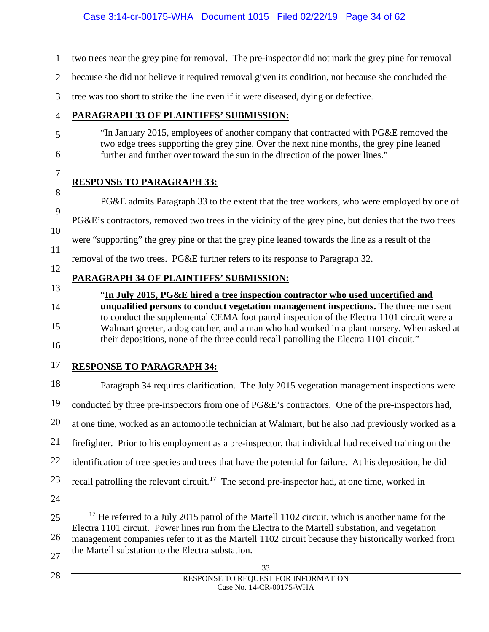two trees near the grey pine for removal. The pre-inspector did not mark the grey pine for removal

2 because she did not believe it required removal given its condition, not because she concluded the

3 tree was too short to strike the line even if it were diseased, dying or defective.

# **PARAGRAPH 33 OF PLAINTIFFS' SUBMISSION:**

"In January 2015, employees of another company that contracted with PG&E removed the two edge trees supporting the grey pine. Over the next nine months, the grey pine leaned further and further over toward the sun in the direction of the power lines."

# **RESPONSE TO PARAGRAPH 33:**

PG&E admits Paragraph 33 to the extent that the tree workers, who were employed by one of PG&E's contractors, removed two trees in the vicinity of the grey pine, but denies that the two trees were "supporting" the grey pine or that the grey pine leaned towards the line as a result of the removal of the two trees. PG&E further refers to its response to Paragraph 32.

# **PARAGRAPH 34 OF PLAINTIFFS' SUBMISSION:**

"**In July 2015, PG&E hired a tree inspection contractor who used uncertified and unqualified persons to conduct vegetation management inspections.** The three men sent to conduct the supplemental CEMA foot patrol inspection of the Electra 1101 circuit were a Walmart greeter, a dog catcher, and a man who had worked in a plant nursery. When asked at their depositions, none of the three could recall patrolling the Electra 1101 circuit."

16 17

1

4

5

6

7

8

9

10

11

12

13

14

15

# **RESPONSE TO PARAGRAPH 34:**

18 19 20 21 22 23 Paragraph 34 requires clarification. The July 2015 vegetation management inspections were conducted by three pre-inspectors from one of PG&E's contractors. One of the pre-inspectors had, at one time, worked as an automobile technician at Walmart, but he also had previously worked as a firefighter. Prior to his employment as a pre-inspector, that individual had received training on the identification of tree species and trees that have the potential for failure. At his deposition, he did recall patrolling the relevant circuit.<sup>17</sup> The second pre-inspector had, at one time, worked in

24

<span id="page-33-0"></span>25

26

 $17$  He referred to a July 2015 patrol of the Martell 1102 circuit, which is another name for the Electra 1101 circuit. Power lines run from the Electra to the Martell substation, and vegetation management companies refer to it as the Martell 1102 circuit because they historically worked from the Martell substation to the Electra substation.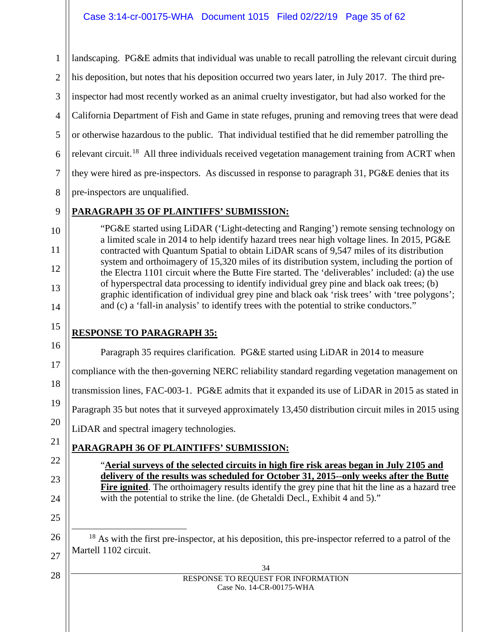1 2 3 4 5 6 7 8 9 10 11 12 13 14 15 16 17 18 19 20 21 22 23 24 25 landscaping. PG&E admits that individual was unable to recall patrolling the relevant circuit during his deposition, but notes that his deposition occurred two years later, in July 2017. The third preinspector had most recently worked as an animal cruelty investigator, but had also worked for the California Department of Fish and Game in state refuges, pruning and removing trees that were dead or otherwise hazardous to the public. That individual testified that he did remember patrolling the relevant circuit.<sup>[18](#page-34-0)</sup> All three individuals received vegetation management training from ACRT when they were hired as pre-inspectors. As discussed in response to paragraph 31, PG&E denies that its pre-inspectors are unqualified. **PARAGRAPH 35 OF PLAINTIFFS' SUBMISSION:** "PG&E started using LiDAR ('Light-detecting and Ranging') remote sensing technology on a limited scale in 2014 to help identify hazard trees near high voltage lines. In 2015, PG&E contracted with Quantum Spatial to obtain LiDAR scans of 9,547 miles of its distribution system and orthoimagery of 15,320 miles of its distribution system, including the portion of the Electra 1101 circuit where the Butte Fire started. The 'deliverables' included: (a) the use of hyperspectral data processing to identify individual grey pine and black oak trees; (b) graphic identification of individual grey pine and black oak 'risk trees' with 'tree polygons'; and (c) a 'fall-in analysis' to identify trees with the potential to strike conductors." **RESPONSE TO PARAGRAPH 35:** Paragraph 35 requires clarification. PG&E started using LiDAR in 2014 to measure compliance with the then-governing NERC reliability standard regarding vegetation management on transmission lines, FAC-003-1. PG&E admits that it expanded its use of LiDAR in 2015 as stated in Paragraph 35 but notes that it surveyed approximately 13,450 distribution circuit miles in 2015 using LiDAR and spectral imagery technologies. **PARAGRAPH 36 OF PLAINTIFFS' SUBMISSION:** "**Aerial surveys of the selected circuits in high fire risk areas began in July 2105 and delivery of the results was scheduled for October 31, 2015--only weeks after the Butte Fire ignited**. The orthoimagery results identify the grey pine that hit the line as a hazard tree with the potential to strike the line. (de Ghetaldi Decl., Exhibit 4 and 5)."

<sup>18</sup> As with the first pre-inspector, at his deposition, this pre-inspector referred to a patrol of the Martell 1102 circuit.

<span id="page-34-0"></span>26

27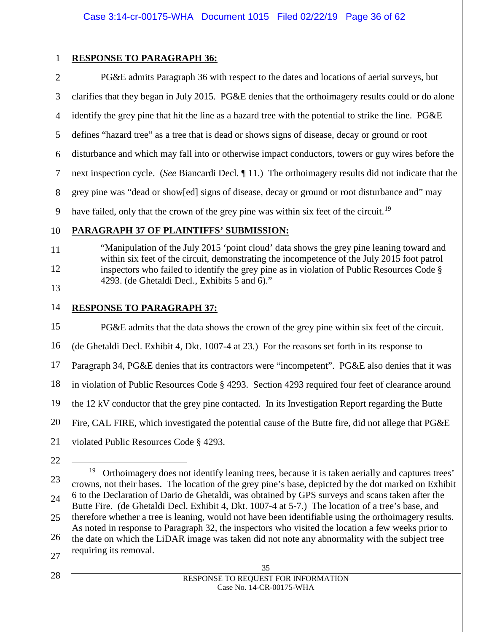1

# **RESPONSE TO PARAGRAPH 36:**

2 3 4 5 6 7 8 9 PG&E admits Paragraph 36 with respect to the dates and locations of aerial surveys, but clarifies that they began in July 2015. PG&E denies that the orthoimagery results could or do alone identify the grey pine that hit the line as a hazard tree with the potential to strike the line. PG&E defines "hazard tree" as a tree that is dead or shows signs of disease, decay or ground or root disturbance and which may fall into or otherwise impact conductors, towers or guy wires before the next inspection cycle. (*See* Biancardi Decl. ¶ 11.) The orthoimagery results did not indicate that the grey pine was "dead or show[ed] signs of disease, decay or ground or root disturbance and" may have failed, only that the crown of the grey pine was within six feet of the circuit.<sup>[19](#page-35-0)</sup>

# 10

11

12

13

15

# **PARAGRAPH 37 OF PLAINTIFFS' SUBMISSION:**

"Manipulation of the July 2015 'point cloud' data shows the grey pine leaning toward and within six feet of the circuit, demonstrating the incompetence of the July 2015 foot patrol inspectors who failed to identify the grey pine as in violation of Public Resources Code § 4293. (de Ghetaldi Decl., Exhibits 5 and 6)."

#### 14 **RESPONSE TO PARAGRAPH 37:**

PG&E admits that the data shows the crown of the grey pine within six feet of the circuit.

16 (de Ghetaldi Decl. Exhibit 4, Dkt. 1007-4 at 23.) For the reasons set forth in its response to

17 Paragraph 34, PG&E denies that its contractors were "incompetent". PG&E also denies that it was

18 in violation of Public Resources Code § 4293. Section 4293 required four feet of clearance around

19 the 12 kV conductor that the grey pine contacted. In its Investigation Report regarding the Butte

20 Fire, CAL FIRE, which investigated the potential cause of the Butte fire, did not allege that PG&E

21 violated Public Resources Code § 4293.

22

<span id="page-35-0"></span><sup>23</sup> 24 25 26 27 <sup>19</sup> Orthoimagery does not identify leaning trees, because it is taken aerially and captures trees' crowns, not their bases. The location of the grey pine's base, depicted by the dot marked on Exhibit 6 to the Declaration of Dario de Ghetaldi, was obtained by GPS surveys and scans taken after the Butte Fire. (de Ghetaldi Decl. Exhibit 4, Dkt. 1007-4 at 5-7.) The location of a tree's base, and therefore whether a tree is leaning, would not have been identifiable using the orthoimagery results. As noted in response to Paragraph 32, the inspectors who visited the location a few weeks prior to the date on which the LiDAR image was taken did not note any abnormality with the subject tree requiring its removal.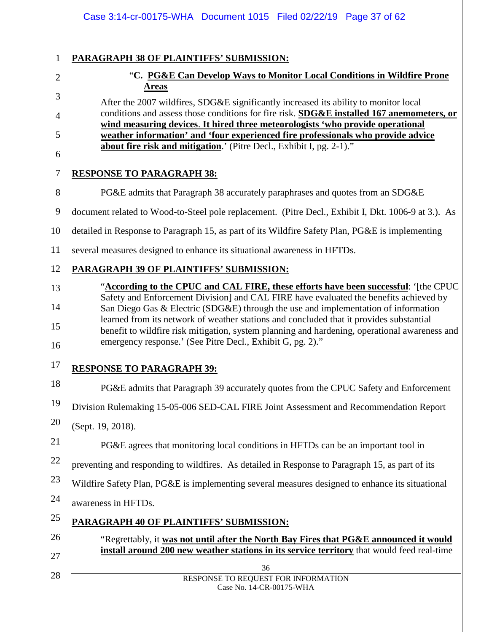|    | Case 3:14-cr-00175-WHA Document 1015 Filed 02/22/19 Page 37 of 62                                                                                                                                                                                      |
|----|--------------------------------------------------------------------------------------------------------------------------------------------------------------------------------------------------------------------------------------------------------|
| 1  | PARAGRAPH 38 OF PLAINTIFFS' SUBMISSION:                                                                                                                                                                                                                |
| 2  | "C. PG&E Can Develop Ways to Monitor Local Conditions in Wildfire Prone                                                                                                                                                                                |
| 3  | <b>Areas</b><br>After the 2007 wildfires, SDG&E significantly increased its ability to monitor local                                                                                                                                                   |
| 4  | conditions and assess those conditions for fire risk. SDG&E installed 167 anemometers, or                                                                                                                                                              |
| 5  | wind measuring devices. It hired three meteorologists 'who provide operational<br>weather information' and 'four experienced fire professionals who provide advice                                                                                     |
| 6  | about fire risk and mitigation.' (Pitre Decl., Exhibit I, pg. 2-1)."                                                                                                                                                                                   |
| 7  | <b>RESPONSE TO PARAGRAPH 38:</b>                                                                                                                                                                                                                       |
| 8  | PG&E admits that Paragraph 38 accurately paraphrases and quotes from an SDG&E                                                                                                                                                                          |
| 9  | document related to Wood-to-Steel pole replacement. (Pitre Decl., Exhibit I, Dkt. 1006-9 at 3.). As                                                                                                                                                    |
| 10 | detailed in Response to Paragraph 15, as part of its Wildfire Safety Plan, PG&E is implementing                                                                                                                                                        |
| 11 | several measures designed to enhance its situational awareness in HFTDs.                                                                                                                                                                               |
| 12 | <b>PARAGRAPH 39 OF PLAINTIFFS' SUBMISSION:</b>                                                                                                                                                                                                         |
| 13 | "According to the CPUC and CAL FIRE, these efforts have been successful: '[the CPUC                                                                                                                                                                    |
| 14 | Safety and Enforcement Division] and CAL FIRE have evaluated the benefits achieved by<br>San Diego Gas & Electric (SDG&E) through the use and implementation of information                                                                            |
| 15 | learned from its network of weather stations and concluded that it provides substantial<br>benefit to wildfire risk mitigation, system planning and hardening, operational awareness and<br>emergency response.' (See Pitre Decl., Exhibit G, pg. 2)." |
| 16 |                                                                                                                                                                                                                                                        |
| 17 | <b>RESPONSE TO PARAGRAPH 39:</b>                                                                                                                                                                                                                       |
| 18 | PG&E admits that Paragraph 39 accurately quotes from the CPUC Safety and Enforcement                                                                                                                                                                   |
| 19 | Division Rulemaking 15-05-006 SED-CAL FIRE Joint Assessment and Recommendation Report                                                                                                                                                                  |
| 20 | (Sept. 19, 2018).                                                                                                                                                                                                                                      |
| 21 | PG&E agrees that monitoring local conditions in HFTDs can be an important tool in                                                                                                                                                                      |
| 22 | preventing and responding to wildfires. As detailed in Response to Paragraph 15, as part of its                                                                                                                                                        |
| 23 | Wildfire Safety Plan, PG&E is implementing several measures designed to enhance its situational                                                                                                                                                        |
| 24 | awareness in HFTDs.                                                                                                                                                                                                                                    |
| 25 | PARAGRAPH 40 OF PLAINTIFFS' SUBMISSION:                                                                                                                                                                                                                |
| 26 | "Regrettably, it was not until after the North Bay Fires that PG&E announced it would<br>install around 200 new weather stations in its service territory that would feed real-time                                                                    |
| 27 | 36                                                                                                                                                                                                                                                     |
| 28 | RESPONSE TO REQUEST FOR INFORMATION<br>Case No. 14-CR-00175-WHA                                                                                                                                                                                        |
|    |                                                                                                                                                                                                                                                        |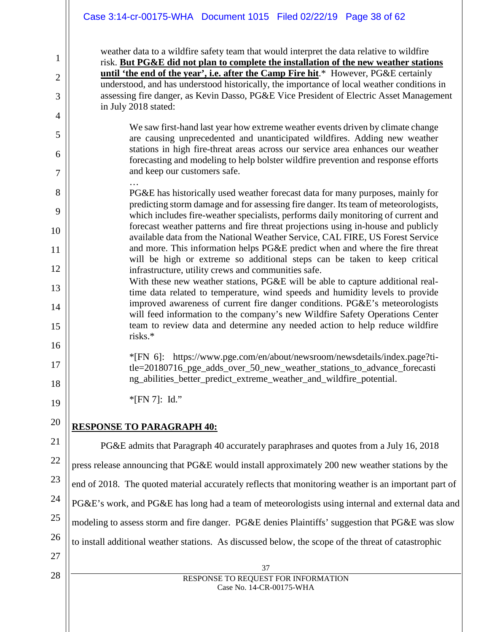#### Case 3:14-cr-00175-WHA Document 1015 Filed 02/22/19 Page 38 of 62

weather data to a wildfire safety team that would interpret the data relative to wildfire risk. **But PG&E did not plan to complete the installation of the new weather stations until 'the end of the year', i.e. after the Camp Fire hit**.\* However, PG&E certainly understood, and has understood historically, the importance of local weather conditions in assessing fire danger, as Kevin Dasso, PG&E Vice President of Electric Asset Management in July 2018 stated:

We saw first-hand last year how extreme weather events driven by climate change are causing unprecedented and unanticipated wildfires. Adding new weather stations in high fire-threat areas across our service area enhances our weather forecasting and modeling to help bolster wildfire prevention and response efforts and keep our customers safe.

- … PG&E has historically used weather forecast data for many purposes, mainly for predicting storm damage and for assessing fire danger. Its team of meteorologists, which includes fire-weather specialists, performs daily monitoring of current and forecast weather patterns and fire threat projections using in-house and publicly available data from the National Weather Service, CAL FIRE, US Forest Service and more. This information helps PG&E predict when and where the fire threat will be high or extreme so additional steps can be taken to keep critical infrastructure, utility crews and communities safe.
- With these new weather stations, PG&E will be able to capture additional realtime data related to temperature, wind speeds and humidity levels to provide improved awareness of current fire danger conditions. PG&E's meteorologists will feed information to the company's new Wildfire Safety Operations Center team to review data and determine any needed action to help reduce wildfire risks.\*

\*[FN 6]: https://www.pge.com/en/about/newsroom/newsdetails/index.page?title=20180716 pge adds over 50 new weather stations to advance forecasti ng abilities better predict extreme weather and wildfire potential.

\*[FN 7]: Id."

# **RESPONSE TO PARAGRAPH 40:**

PG&E admits that Paragraph 40 accurately paraphrases and quotes from a July 16, 2018 press release announcing that PG&E would install approximately 200 new weather stations by the end of 2018. The quoted material accurately reflects that monitoring weather is an important part of PG&E's work, and PG&E has long had a team of meteorologists using internal and external data and modeling to assess storm and fire danger. PG&E denies Plaintiffs' suggestion that PG&E was slow to install additional weather stations. As discussed below, the scope of the threat of catastrophic

27 28

1

2

3

4

5

6

7

8

9

10

11

12

13

14

15

16

17

18

19

20

21

22

23

24

25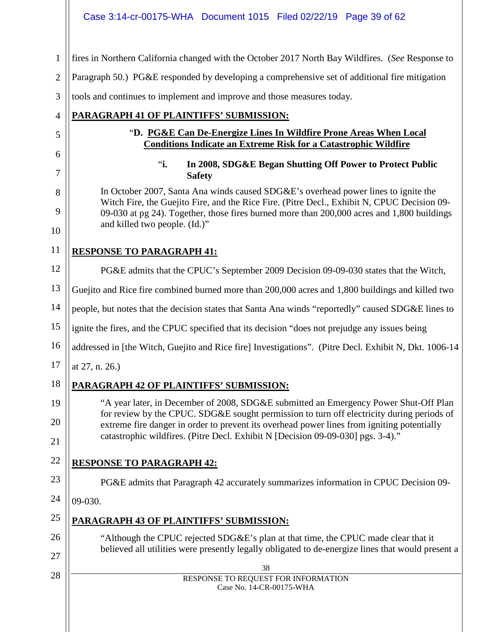### Case 3:14-cr-00175-WHA Document 1015 Filed 02/22/19 Page 39 of 62

1 fires in Northern California changed with the October 2017 North Bay Wildfires. (*See* Response to

2 Paragraph 50.) PG&E responded by developing a comprehensive set of additional fire mitigation

3 tools and continues to implement and improve and those measures today.

# **PARAGRAPH 41 OF PLAINTIFFS' SUBMISSION:**

# "**D. PG&E Can De-Energize Lines In Wildfire Prone Areas When Local Conditions Indicate an Extreme Risk for a Catastrophic Wildfire**

# "**i. In 2008, SDG&E Began Shutting Off Power to Protect Public Safety**

In October 2007, Santa Ana winds caused SDG&E's overhead power lines to ignite the Witch Fire, the Guejito Fire, and the Rice Fire. (Pitre Decl., Exhibit N, CPUC Decision 09- 09-030 at pg 24). Together, those fires burned more than 200,000 acres and 1,800 buildings and killed two people. (Id.)"

# 11

4

5

6

7

8

9

10

12

**RESPONSE TO PARAGRAPH 41:**

PG&E admits that the CPUC's September 2009 Decision 09-09-030 states that the Witch,

13 Guejito and Rice fire combined burned more than 200,000 acres and 1,800 buildings and killed two

14 people, but notes that the decision states that Santa Ana winds "reportedly" caused SDG&E lines to

15 ignite the fires, and the CPUC specified that its decision "does not prejudge any issues being

16 addressed in [the Witch, Guejito and Rice fire] Investigations". (Pitre Decl. Exhibit N, Dkt. 1006-14

17 at 27, n. 26.)

18

19

20

# **PARAGRAPH 42 OF PLAINTIFFS' SUBMISSION:**

"A year later, in December of 2008, SDG&E submitted an Emergency Power Shut-Off Plan for review by the CPUC. SDG&E sought permission to turn off electricity during periods of extreme fire danger in order to prevent its overhead power lines from igniting potentially catastrophic wildfires. (Pitre Decl. Exhibit N [Decision 09-09-030] pgs. 3-4)."

# 21 22

23

26

27

28

**RESPONSE TO PARAGRAPH 42:**

PG&E admits that Paragraph 42 accurately summarizes information in CPUC Decision 09-

24 09-030.

#### 25 **PARAGRAPH 43 OF PLAINTIFFS' SUBMISSION:**

"Although the CPUC rejected SDG&E's plan at that time, the CPUC made clear that it believed all utilities were presently legally obligated to de-energize lines that would present a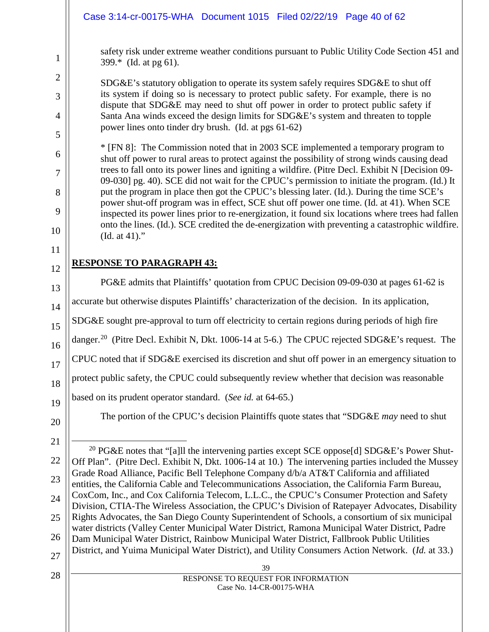safety risk under extreme weather conditions pursuant to Public Utility Code Section 451 and 399.\* (Id. at pg 61).

SDG&E's statutory obligation to operate its system safely requires SDG&E to shut off its system if doing so is necessary to protect public safety. For example, there is no dispute that SDG&E may need to shut off power in order to protect public safety if Santa Ana winds exceed the design limits for SDG&E's system and threaten to topple power lines onto tinder dry brush. (Id. at pgs 61-62)

\* [FN 8]: The Commission noted that in 2003 SCE implemented a temporary program to shut off power to rural areas to protect against the possibility of strong winds causing dead trees to fall onto its power lines and igniting a wildfire. (Pitre Decl. Exhibit N [Decision 09- 09-030] pg. 40). SCE did not wait for the CPUC's permission to initiate the program. (Id.) It put the program in place then got the CPUC's blessing later. (Id.). During the time SCE's power shut-off program was in effect, SCE shut off power one time. (Id. at 41). When SCE inspected its power lines prior to re-energization, it found six locations where trees had fallen onto the lines. (Id.). SCE credited the de-energization with preventing a catastrophic wildfire. (Id. at 41)."

# **RESPONSE TO PARAGRAPH 43:**

20 PG&E admits that Plaintiffs' quotation from CPUC Decision 09-09-030 at pages 61-62 is accurate but otherwise disputes Plaintiffs' characterization of the decision. In its application, SDG&E sought pre-approval to turn off electricity to certain regions during periods of high fire danger.<sup>[20](#page-39-0)</sup> (Pitre Decl. Exhibit N, Dkt. 1006-14 at 5-6.) The CPUC rejected SDG&E's request. The CPUC noted that if SDG&E exercised its discretion and shut off power in an emergency situation to protect public safety, the CPUC could subsequently review whether that decision was reasonable based on its prudent operator standard. (*See id.* at 64-65.) The portion of the CPUC's decision Plaintiffs quote states that "SDG&E *may* need to shut <sup>20</sup> PG&E notes that "[a]ll the intervening parties except SCE oppose[d] SDG&E's Power Shut-Off Plan". (Pitre Decl. Exhibit N, Dkt. 1006-14 at 10.) The intervening parties included the Mussey Grade Road Alliance, Pacific Bell Telephone Company d/b/a AT&T California and affiliated entities, the California Cable and Telecommunications Association, the California Farm Bureau,

24 25 26 27 CoxCom, Inc., and Cox California Telecom, L.L.C., the CPUC's Consumer Protection and Safety Division, CTIA-The Wireless Association, the CPUC's Division of Ratepayer Advocates, Disability Rights Advocates, the San Diego County Superintendent of Schools, a consortium of six municipal water districts (Valley Center Municipal Water District, Ramona Municipal Water District, Padre Dam Municipal Water District, Rainbow Municipal Water District, Fallbrook Public Utilities District, and Yuima Municipal Water District), and Utility Consumers Action Network. (*Id.* at 33.)

# 28

1

2

3

4

5

6

7

8

9

10

11

12

13

14

15

16

17

18

19

<span id="page-39-0"></span>21

22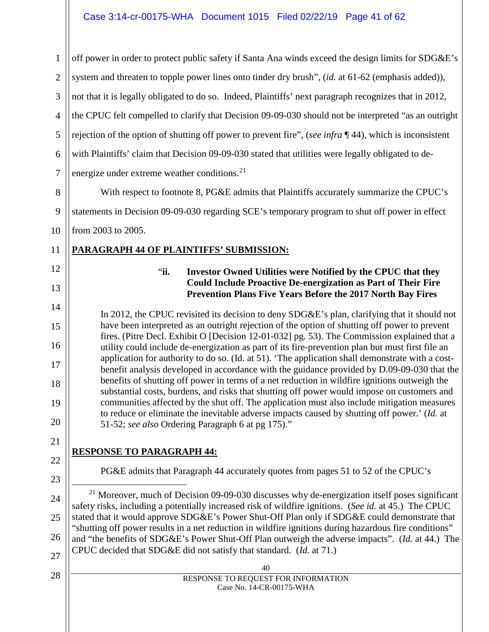<span id="page-40-0"></span>40 RESPONSE TO REQUEST FOR INFORMATION Case No. 14-CR-00175-WHA 1 2 3 4 5 6 7 8 9 10 11 12 13 14 15 16 17 18 19 20 21 22 23 24 25 26 27 28 off power in order to protect public safety if Santa Ana winds exceed the design limits for SDG&E's system and threaten to topple power lines onto tinder dry brush", (*id.* at 61-62 (emphasis added)), not that it is legally obligated to do so. Indeed, Plaintiffs' next paragraph recognizes that in 2012, the CPUC felt compelled to clarify that Decision 09-09-030 should not be interpreted "as an outright rejection of the option of shutting off power to prevent fire", (*see infra* ¶ 44), which is inconsistent with Plaintiffs' claim that Decision 09-09-030 stated that utilities were legally obligated to de-energize under extreme weather conditions.<sup>[21](#page-40-0)</sup> With respect to footnote 8, PG&E admits that Plaintiffs accurately summarize the CPUC's statements in Decision 09-09-030 regarding SCE's temporary program to shut off power in effect from 2003 to 2005. **PARAGRAPH 44 OF PLAINTIFFS' SUBMISSION:** "**ii. Investor Owned Utilities were Notified by the CPUC that they Could Include Proactive De-energization as Part of Their Fire Prevention Plans Five Years Before the 2017 North Bay Fires** In 2012, the CPUC revisited its decision to deny SDG&E's plan, clarifying that it should not have been interpreted as an outright rejection of the option of shutting off power to prevent fires. (Pitre Decl. Exhibit O [Decision 12-01-032] pg. 53). The Commission explained that a utility could include de-energization as part of its fire-prevention plan but must first file an application for authority to do so. (Id. at 51). 'The application shall demonstrate with a costbenefit analysis developed in accordance with the guidance provided by D.09-09-030 that the benefits of shutting off power in terms of a net reduction in wildfire ignitions outweigh the substantial costs, burdens, and risks that shutting off power would impose on customers and communities affected by the shut off. The application must also include mitigation measures to reduce or eliminate the inevitable adverse impacts caused by shutting off power.' (*Id.* at 51-52; *see also* Ordering Paragraph 6 at pg 175)." **RESPONSE TO PARAGRAPH 44:** PG&E admits that Paragraph 44 accurately quotes from pages 51 to 52 of the CPUC's  $21$  Moreover, much of Decision 09-09-030 discusses why de-energization itself poses significant safety risks, including a potentially increased risk of wildfire ignitions. (*See id.* at 45.) The CPUC stated that it would approve SDG&E's Power Shut-Off Plan only if SDG&E could demonstrate that "shutting off power results in a net reduction in wildfire ignitions during hazardous fire conditions" and "the benefits of SDG&E's Power Shut-Off Plan outweigh the adverse impacts". (*Id.* at 44.) The CPUC decided that SDG&E did not satisfy that standard. (*Id.* at 71.)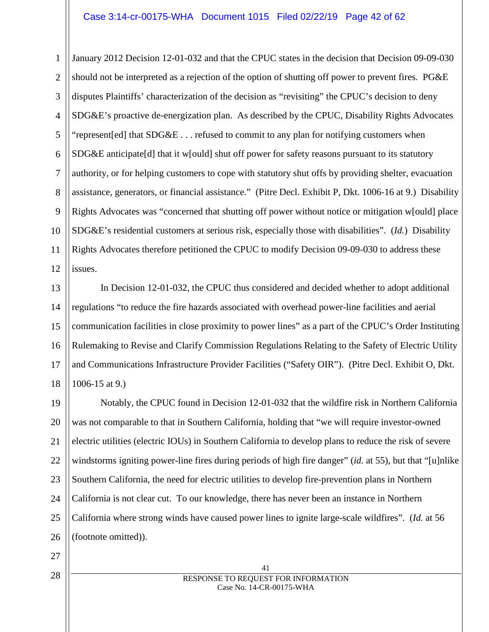#### Case 3:14-cr-00175-WHA Document 1015 Filed 02/22/19 Page 42 of 62

1 2 3 4 5 6 7 8 9 10 11 12 January 2012 Decision 12-01-032 and that the CPUC states in the decision that Decision 09-09-030 should not be interpreted as a rejection of the option of shutting off power to prevent fires. PG&E disputes Plaintiffs' characterization of the decision as "revisiting" the CPUC's decision to deny SDG&E's proactive de-energization plan. As described by the CPUC, Disability Rights Advocates "represent[ed] that SDG&E . . . refused to commit to any plan for notifying customers when SDG&E anticipate[d] that it w[ould] shut off power for safety reasons pursuant to its statutory authority, or for helping customers to cope with statutory shut offs by providing shelter, evacuation assistance, generators, or financial assistance." (Pitre Decl. Exhibit P, Dkt. 1006-16 at 9.) Disability Rights Advocates was "concerned that shutting off power without notice or mitigation w[ould] place SDG&E's residential customers at serious risk, especially those with disabilities". (*Id.*) Disability Rights Advocates therefore petitioned the CPUC to modify Decision 09-09-030 to address these issues.

13 14 15 16 17 18 In Decision 12-01-032, the CPUC thus considered and decided whether to adopt additional regulations "to reduce the fire hazards associated with overhead power-line facilities and aerial communication facilities in close proximity to power lines" as a part of the CPUC's Order Instituting Rulemaking to Revise and Clarify Commission Regulations Relating to the Safety of Electric Utility and Communications Infrastructure Provider Facilities ("Safety OIR"). (Pitre Decl. Exhibit O, Dkt. 1006-15 at 9.)

19 20 21 22 23 24 25 26 Notably, the CPUC found in Decision 12-01-032 that the wildfire risk in Northern California was not comparable to that in Southern California, holding that "we will require investor-owned electric utilities (electric IOUs) in Southern California to develop plans to reduce the risk of severe windstorms igniting power-line fires during periods of high fire danger" (*id.* at 55), but that "[u]nlike Southern California, the need for electric utilities to develop fire-prevention plans in Northern California is not clear cut. To our knowledge, there has never been an instance in Northern California where strong winds have caused power lines to ignite large-scale wildfires". (*Id.* at 56 (footnote omitted)).

27

28

41 RESPONSE TO REQUEST FOR INFORMATION Case No. 14-CR-00175-WHA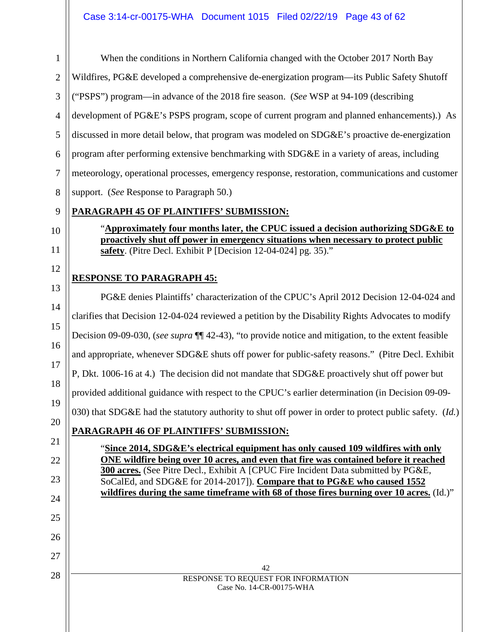1 2 3 4 5 6 7 8 9 When the conditions in Northern California changed with the October 2017 North Bay Wildfires, PG&E developed a comprehensive de-energization program—its Public Safety Shutoff ("PSPS") program—in advance of the 2018 fire season. (*See* WSP at 94-109 (describing development of PG&E's PSPS program, scope of current program and planned enhancements).) As discussed in more detail below, that program was modeled on SDG&E's proactive de-energization program after performing extensive benchmarking with SDG&E in a variety of areas, including meteorology, operational processes, emergency response, restoration, communications and customer support. (*See* Response to Paragraph 50.) **PARAGRAPH 45 OF PLAINTIFFS' SUBMISSION:**

"**Approximately four months later, the CPUC issued a decision authorizing SDG&E to proactively shut off power in emergency situations when necessary to protect public safety**. (Pitre Decl. Exhibit P [Decision 12-04-024] pg. 35)."

# **RESPONSE TO PARAGRAPH 45:**

10

11

12

42 RESPONSE TO REQUEST FOR INFORMATION Case No. 14-CR-00175-WHA 13 14 15 16 17 18 19 20 21 22 23 24 25 26 27 28 PG&E denies Plaintiffs' characterization of the CPUC's April 2012 Decision 12-04-024 and clarifies that Decision 12-04-024 reviewed a petition by the Disability Rights Advocates to modify Decision 09-09-030, (*see supra* ¶¶ 42-43), "to provide notice and mitigation, to the extent feasible and appropriate, whenever SDG&E shuts off power for public-safety reasons." (Pitre Decl. Exhibit P, Dkt. 1006-16 at 4.) The decision did not mandate that SDG&E proactively shut off power but provided additional guidance with respect to the CPUC's earlier determination (in Decision 09-09- 030) that SDG&E had the statutory authority to shut off power in order to protect public safety. (*Id.*) **PARAGRAPH 46 OF PLAINTIFFS' SUBMISSION:** "**Since 2014, SDG&E's electrical equipment has only caused 109 wildfires with only ONE wildfire being over 10 acres, and even that fire was contained before it reached 300 acres.** (See Pitre Decl., Exhibit A [CPUC Fire Incident Data submitted by PG&E, SoCalEd, and SDG&E for 2014-2017]). **Compare that to PG&E who caused 1552 wildfires during the same timeframe with 68 of those fires burning over 10 acres.** (Id.)"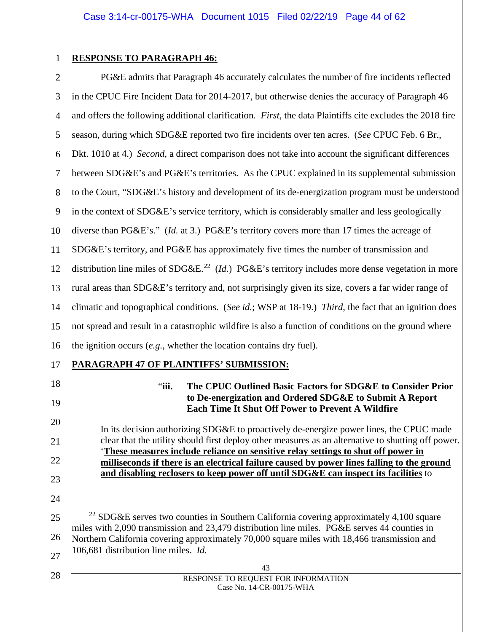# 1

# **RESPONSE TO PARAGRAPH 46:**

**PARAGRAPH 47 OF PLAINTIFFS' SUBMISSION:**

2 3 4 5 6 7 8 9 10 11 12 13 14 15 16 PG&E admits that Paragraph 46 accurately calculates the number of fire incidents reflected in the CPUC Fire Incident Data for 2014-2017, but otherwise denies the accuracy of Paragraph 46 and offers the following additional clarification. *First*, the data Plaintiffs cite excludes the 2018 fire season, during which SDG&E reported two fire incidents over ten acres. (*See* CPUC Feb. 6 Br., Dkt. 1010 at 4.) *Second*, a direct comparison does not take into account the significant differences between SDG&E's and PG&E's territories. As the CPUC explained in its supplemental submission to the Court, "SDG&E's history and development of its de-energization program must be understood in the context of SDG&E's service territory, which is considerably smaller and less geologically diverse than PG&E's." (*Id.* at 3.) PG&E's territory covers more than 17 times the acreage of SDG&E's territory, and PG&E has approximately five times the number of transmission and distribution line miles of SDG&E.<sup>22</sup> (*Id.*) PG&E's territory includes more dense vegetation in more rural areas than SDG&E's territory and, not surprisingly given its size, covers a far wider range of climatic and topographical conditions. (*See id.*; WSP at 18-19.) *Third*, the fact that an ignition does not spread and result in a catastrophic wildfire is also a function of conditions on the ground where the ignition occurs (*e.g.*, whether the location contains dry fuel).

# 17

18

19

20

21

22

23

24

<span id="page-43-0"></span>25

26

27

28

#### "**iii. The CPUC Outlined Basic Factors for SDG&E to Consider Prior to De-energization and Ordered SDG&E to Submit A Report Each Time It Shut Off Power to Prevent A Wildfire**

In its decision authorizing SDG&E to proactively de-energize power lines, the CPUC made clear that the utility should first deploy other measures as an alternative to shutting off power. '**These measures include reliance on sensitive relay settings to shut off power in milliseconds if there is an electrical failure caused by power lines falling to the ground and disabling reclosers to keep power off until SDG&E can inspect its facilities** to

43 RESPONSE TO REQUEST FOR INFORMATION Case No. 14-CR-00175-WHA

<sup>&</sup>lt;sup>22</sup> SDG&E serves two counties in Southern California covering approximately 4,100 square miles with 2,090 transmission and 23,479 distribution line miles. PG&E serves 44 counties in Northern California covering approximately 70,000 square miles with 18,466 transmission and 106,681 distribution line miles. *Id.*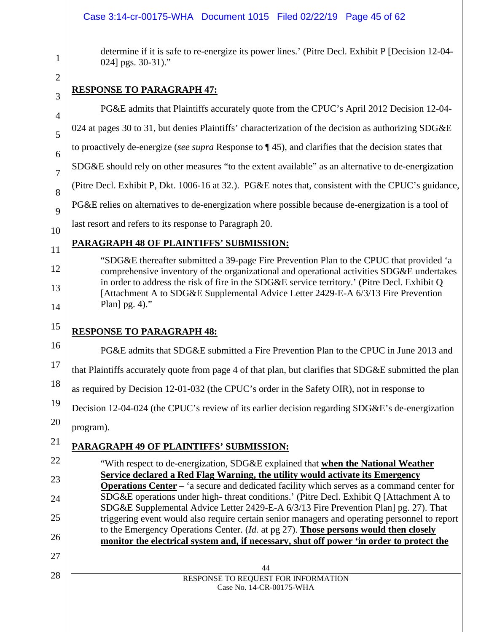# Case 3:14-cr-00175-WHA Document 1015 Filed 02/22/19 Page 45 of 62

determine if it is safe to re-energize its power lines.' (Pitre Decl. Exhibit P [Decision 12-04- 024] pgs. 30-31)."

# **RESPONSE TO PARAGRAPH 47:**

| $\overline{4}$ | PG&E admits that Plaintiffs accurately quote from the CPUC's April 2012 Decision 12-04-                                                                                               |
|----------------|---------------------------------------------------------------------------------------------------------------------------------------------------------------------------------------|
| 5              | 024 at pages 30 to 31, but denies Plaintiffs' characterization of the decision as authorizing SDG&E                                                                                   |
| 6              | to proactively de-energize (see supra Response to $\P$ 45), and clarifies that the decision states that                                                                               |
| 7              | SDG&E should rely on other measures "to the extent available" as an alternative to de-energization                                                                                    |
| 8              | (Pitre Decl. Exhibit P, Dkt. 1006-16 at 32.). PG&E notes that, consistent with the CPUC's guidance,                                                                                   |
| 9              | PG&E relies on alternatives to de-energization where possible because de-energization is a tool of                                                                                    |
| 10             | last resort and refers to its response to Paragraph 20.                                                                                                                               |
| 11             | PARAGRAPH 48 OF PLAINTIFFS' SUBMISSION:                                                                                                                                               |
| 12             | "SDG&E thereafter submitted a 39-page Fire Prevention Plan to the CPUC that provided 'a<br>comprehensive inventory of the organizational and operational activities SDG&E undertakes  |
| 13             | in order to address the risk of fire in the SDG&E service territory.' (Pitre Decl. Exhibit Q<br>[Attachment A to SDG&E Supplemental Advice Letter 2429-E-A 6/3/13 Fire Prevention     |
| 14             | Plan] $pg. 4$ )."                                                                                                                                                                     |
| 15             | <b>RESPONSE TO PARAGRAPH 48:</b>                                                                                                                                                      |
| 16             | PG&E admits that SDG&E submitted a Fire Prevention Plan to the CPUC in June 2013 and                                                                                                  |
| 17             | that Plaintiffs accurately quote from page 4 of that plan, but clarifies that SDG&E submitted the plan                                                                                |
| 18             | as required by Decision 12-01-032 (the CPUC's order in the Safety OIR), not in response to                                                                                            |
| 19             | Decision 12-04-024 (the CPUC's review of its earlier decision regarding SDG&E's de-energization                                                                                       |
| 20             | program).                                                                                                                                                                             |
| 21             | PARAGRAPH 49 OF PLAINTIFFS' SUBMISSION:                                                                                                                                               |
| 22             | "With respect to de-energization, SDG&E explained that when the National Weather                                                                                                      |
| 23             | Service declared a Red Flag Warning, the utility would activate its Emergency<br><b>Operations Center</b> – 'a secure and dedicated facility which serves as a command center for     |
| 24             | SDG&E operations under high- threat conditions.' (Pitre Decl. Exhibit Q [Attachment A to<br>SDG&E Supplemental Advice Letter 2429-E-A 6/3/13 Fire Prevention Plan] pg. 27). That      |
| 25             | triggering event would also require certain senior managers and operating personnel to report<br>to the Emergency Operations Center. (Id. at pg 27). Those persons would then closely |
| 26             | monitor the electrical system and, if necessary, shut off power 'in order to protect the                                                                                              |
| 27             | 44                                                                                                                                                                                    |
| 28             | RESPONSE TO REQUEST FOR INFORMATION<br>Case No. 14-CR-00175-WHA                                                                                                                       |
|                |                                                                                                                                                                                       |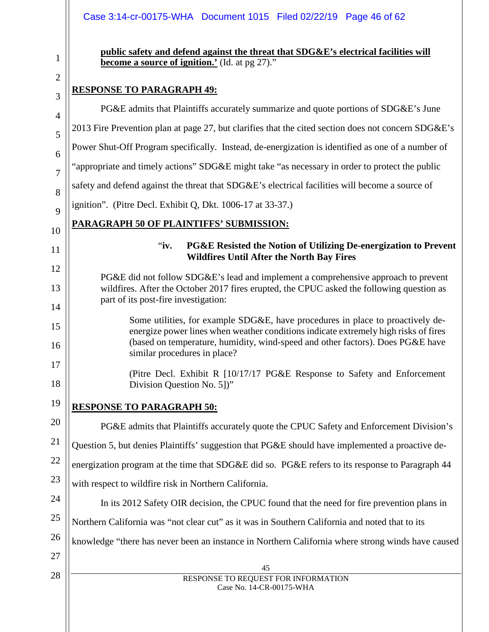#### Case 3:14-cr-00175-WHA Document 1015 Filed 02/22/19 Page 46 of 62

| $\mathbf 1$          |
|----------------------|
| 2                    |
|                      |
| 1                    |
| 5                    |
| 6                    |
| 7                    |
| 8                    |
| $\overline{9}$       |
| 10                   |
| 11                   |
| 12                   |
| 13                   |
| 14                   |
| 15                   |
| 16                   |
| 17                   |
| 18                   |
| 19                   |
| 20                   |
| 21                   |
| 22                   |
| 23                   |
| 24                   |
| 25                   |
| 26<br>$\overline{ }$ |
|                      |

**public safety and defend against the threat that SDG&E's electrical facilities will become a source of ignition.'** (Id. at pg 27)."

# **RESPONSE TO PARAGRAPH 49:**

45 RESPONSE TO REQUEST FOR INFORMATION Case No. 14-CR-00175-WHA 27 28 PG&E admits that Plaintiffs accurately summarize and quote portions of SDG&E's June 2013 Fire Prevention plan at page 27, but clarifies that the cited section does not concern SDG&E's Power Shut-Off Program specifically. Instead, de-energization is identified as one of a number of "appropriate and timely actions" SDG&E might take "as necessary in order to protect the public safety and defend against the threat that SDG&E's electrical facilities will become a source of ignition". (Pitre Decl. Exhibit Q, Dkt. 1006-17 at 33-37.) **PARAGRAPH 50 OF PLAINTIFFS' SUBMISSION:** "**iv. PG&E Resisted the Notion of Utilizing De-energization to Prevent Wildfires Until After the North Bay Fires** PG&E did not follow SDG&E's lead and implement a comprehensive approach to prevent wildfires. After the October 2017 fires erupted, the CPUC asked the following question as part of its post-fire investigation: Some utilities, for example SDG&E, have procedures in place to proactively deenergize power lines when weather conditions indicate extremely high risks of fires (based on temperature, humidity, wind-speed and other factors). Does PG&E have similar procedures in place? (Pitre Decl. Exhibit R [10/17/17 PG&E Response to Safety and Enforcement Division Question No. 5])" **RESPONSE TO PARAGRAPH 50:** PG&E admits that Plaintiffs accurately quote the CPUC Safety and Enforcement Division's Question 5, but denies Plaintiffs' suggestion that PG&E should have implemented a proactive deenergization program at the time that SDG&E did so. PG&E refers to its response to Paragraph 44 with respect to wildfire risk in Northern California. In its 2012 Safety OIR decision, the CPUC found that the need for fire prevention plans in Northern California was "not clear cut" as it was in Southern California and noted that to its knowledge "there has never been an instance in Northern California where strong winds have caused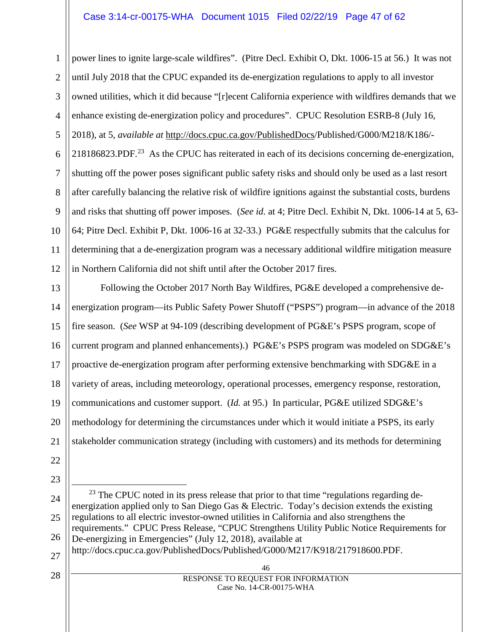#### Case 3:14-cr-00175-WHA Document 1015 Filed 02/22/19 Page 47 of 62

1 2 3 4 5 6 7 8 9 10 11 12 power lines to ignite large-scale wildfires". (Pitre Decl. Exhibit O, Dkt. 1006-15 at 56.) It was not until July 2018 that the CPUC expanded its de-energization regulations to apply to all investor owned utilities, which it did because "[r]ecent California experience with wildfires demands that we enhance existing de-energization policy and procedures". CPUC Resolution ESRB-8 (July 16, 2018), at 5, *available at* http://docs.cpuc.ca.gov/PublishedDocs/Published/G000/M218/K186/- 218186823.PDF.<sup>23</sup> As the CPUC has reiterated in each of its decisions concerning de-energization, shutting off the power poses significant public safety risks and should only be used as a last resort after carefully balancing the relative risk of wildfire ignitions against the substantial costs, burdens and risks that shutting off power imposes. (*See id.* at 4; Pitre Decl. Exhibit N, Dkt. 1006-14 at 5, 63- 64; Pitre Decl. Exhibit P, Dkt. 1006-16 at 32-33.) PG&E respectfully submits that the calculus for determining that a de-energization program was a necessary additional wildfire mitigation measure in Northern California did not shift until after the October 2017 fires.

13 14 15 16 17 18 19 20 21 Following the October 2017 North Bay Wildfires, PG&E developed a comprehensive deenergization program—its Public Safety Power Shutoff ("PSPS") program—in advance of the 2018 fire season. (*See* WSP at 94-109 (describing development of PG&E's PSPS program, scope of current program and planned enhancements).) PG&E's PSPS program was modeled on SDG&E's proactive de-energization program after performing extensive benchmarking with SDG&E in a variety of areas, including meteorology, operational processes, emergency response, restoration, communications and customer support. (*Id.* at 95.) In particular, PG&E utilized SDG&E's methodology for determining the circumstances under which it would initiate a PSPS, its early stakeholder communication strategy (including with customers) and its methods for determining

- 22
- 23

28

<span id="page-46-0"></span>24 25 26 27  $^{23}$  The CPUC noted in its press release that prior to that time "regulations regarding deenergization applied only to San Diego Gas & Electric. Today's decision extends the existing regulations to all electric investor-owned utilities in California and also strengthens the requirements." CPUC Press Release, "CPUC Strengthens Utility Public Notice Requirements for De-energizing in Emergencies" (July 12, 2018), available at http://docs.cpuc.ca.gov/PublishedDocs/Published/G000/M217/K918/217918600.PDF.

> 46 RESPONSE TO REQUEST FOR INFORMATION Case No. 14-CR-00175-WHA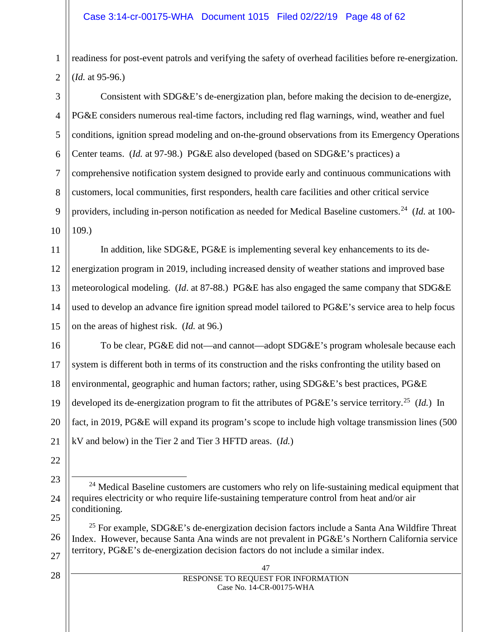readiness for post-event patrols and verifying the safety of overhead facilities before re-energization. (*Id.* at 95-96.)

Consistent with SDG&E's de-energization plan, before making the decision to de-energize, PG&E considers numerous real-time factors, including red flag warnings, wind, weather and fuel conditions, ignition spread modeling and on-the-ground observations from its Emergency Operations Center teams. (*Id.* at 97-98.) PG&E also developed (based on SDG&E's practices) a comprehensive notification system designed to provide early and continuous communications with customers, local communities, first responders, health care facilities and other critical service providers, including in-person notification as needed for Medical Baseline customers.[24](#page-47-0) (*Id.* at 100- 109.)

In addition, like SDG&E, PG&E is implementing several key enhancements to its deenergization program in 2019, including increased density of weather stations and improved base meteorological modeling. (*Id*. at 87-88.) PG&E has also engaged the same company that SDG&E used to develop an advance fire ignition spread model tailored to PG&E's service area to help focus on the areas of highest risk. (*Id.* at 96.)

To be clear, PG&E did not—and cannot—adopt SDG&E's program wholesale because each system is different both in terms of its construction and the risks confronting the utility based on environmental, geographic and human factors; rather, using SDG&E's best practices, PG&E developed its de-energization program to fit the attributes of PG&E's service territory.[25](#page-47-1) (*Id.*) In fact, in 2019, PG&E will expand its program's scope to include high voltage transmission lines (500 kV and below) in the Tier 2 and Tier 3 HFTD areas. (*Id.*)

24 <sup>24</sup> Medical Baseline customers are customers who rely on life-sustaining medical equipment that requires electricity or who require life-sustaining temperature control from heat and/or air conditioning.

<span id="page-47-1"></span>26 27 <sup>25</sup> For example, SDG&E's de-energization decision factors include a Santa Ana Wildfire Threat Index. However, because Santa Ana winds are not prevalent in PG&E's Northern California service territory, PG&E's de-energization decision factors do not include a similar index.

1

- <span id="page-47-0"></span>23
- 25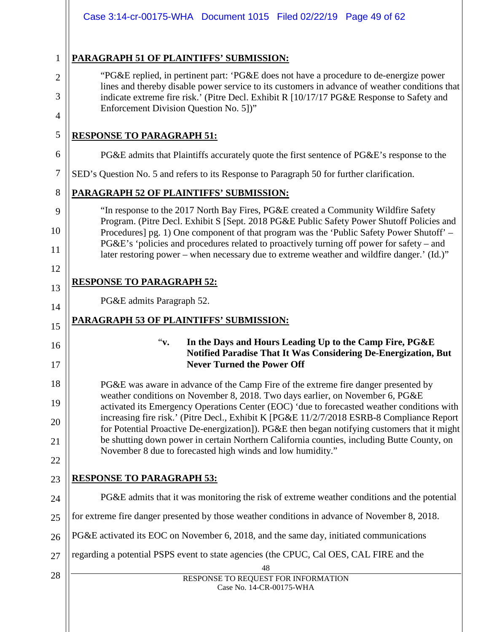# **PARAGRAPH 51 OF PLAINTIFFS' SUBMISSION:**

- "PG&E replied, in pertinent part: 'PG&E does not have a procedure to de-energize power lines and thereby disable power service to its customers in advance of weather conditions that indicate extreme fire risk.' (Pitre Decl. Exhibit R [10/17/17 PG&E Response to Safety and Enforcement Division Question No. 5])"
- 5

1

2

3

4

6

8

9

10

11

12

13

14

15

17

18

19

20

21

# **RESPONSE TO PARAGRAPH 51:**

PG&E admits that Plaintiffs accurately quote the first sentence of PG&E's response to the

7 SED's Question No. 5 and refers to its Response to Paragraph 50 for further clarification.

# **PARAGRAPH 52 OF PLAINTIFFS' SUBMISSION:**

"In response to the 2017 North Bay Fires, PG&E created a Community Wildfire Safety Program. (Pitre Decl. Exhibit S [Sept. 2018 PG&E Public Safety Power Shutoff Policies and Procedures] pg. 1) One component of that program was the 'Public Safety Power Shutoff' – PG&E's 'policies and procedures related to proactively turning off power for safety – and later restoring power – when necessary due to extreme weather and wildfire danger.' (Id.)"

# **RESPONSE TO PARAGRAPH 52:**

PG&E admits Paragraph 52.

# **PARAGRAPH 53 OF PLAINTIFFS' SUBMISSION:**

16

#### "**v. In the Days and Hours Leading Up to the Camp Fire, PG&E Notified Paradise That It Was Considering De-Energization, But Never Turned the Power Off**

PG&E was aware in advance of the Camp Fire of the extreme fire danger presented by weather conditions on November 8, 2018. Two days earlier, on November 6, PG&E activated its Emergency Operations Center (EOC) 'due to forecasted weather conditions with increasing fire risk.' (Pitre Decl., Exhibit K [PG&E 11/2/7/2018 ESRB-8 Compliance Report for Potential Proactive De-energization]). PG&E then began notifying customers that it might be shutting down power in certain Northern California counties, including Butte County, on November 8 due to forecasted high winds and low humidity."

# 22 23

# **RESPONSE TO PARAGRAPH 53:**

- 24 25 PG&E admits that it was monitoring the risk of extreme weather conditions and the potential for extreme fire danger presented by those weather conditions in advance of November 8, 2018.
- 26 PG&E activated its EOC on November 6, 2018, and the same day, initiated communications
- 27 regarding a potential PSPS event to state agencies (the CPUC, Cal OES, CAL FIRE and the
- 28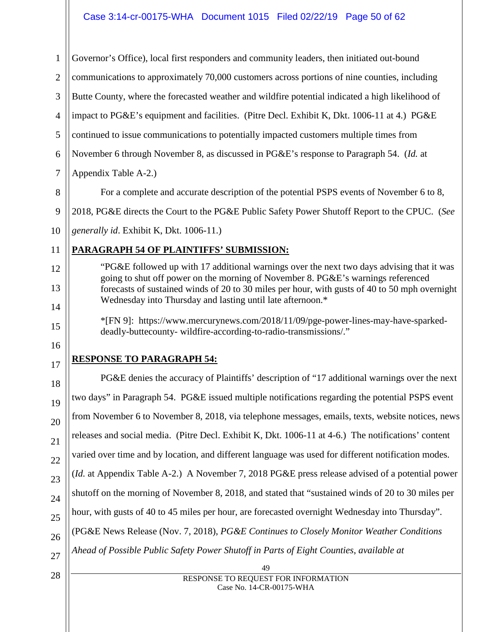### Case 3:14-cr-00175-WHA Document 1015 Filed 02/22/19 Page 50 of 62

49 RESPONSE TO REQUEST FOR INFORMATION Case No. 14-CR-00175-WHA 1 2 3 4 5 6 7 8 9 10 11 12 13 14 15 16 17 18 19 20 21 22 23 24 25 26 27 28 Governor's Office), local first responders and community leaders, then initiated out-bound communications to approximately 70,000 customers across portions of nine counties, including Butte County, where the forecasted weather and wildfire potential indicated a high likelihood of impact to PG&E's equipment and facilities. (Pitre Decl. Exhibit K, Dkt. 1006-11 at 4.) PG&E continued to issue communications to potentially impacted customers multiple times from November 6 through November 8, as discussed in PG&E's response to Paragraph 54. (*Id.* at Appendix Table A-2.) For a complete and accurate description of the potential PSPS events of November 6 to 8, 2018, PG&E directs the Court to the PG&E Public Safety Power Shutoff Report to the CPUC. (*See generally id*. Exhibit K, Dkt. 1006-11.) **PARAGRAPH 54 OF PLAINTIFFS' SUBMISSION:** "PG&E followed up with 17 additional warnings over the next two days advising that it was going to shut off power on the morning of November 8. PG&E's warnings referenced forecasts of sustained winds of 20 to 30 miles per hour, with gusts of 40 to 50 mph overnight Wednesday into Thursday and lasting until late afternoon.\* \*[FN 9]: https://www.mercurynews.com/2018/11/09/pge-power-lines-may-have-sparkeddeadly-buttecounty- wildfire-according-to-radio-transmissions/." **RESPONSE TO PARAGRAPH 54:** PG&E denies the accuracy of Plaintiffs' description of "17 additional warnings over the next two days" in Paragraph 54. PG&E issued multiple notifications regarding the potential PSPS event from November 6 to November 8, 2018, via telephone messages, emails, texts, website notices, news releases and social media. (Pitre Decl. Exhibit K, Dkt. 1006-11 at 4-6.) The notifications' content varied over time and by location, and different language was used for different notification modes. (*Id.* at Appendix Table A-2.) A November 7, 2018 PG&E press release advised of a potential power shutoff on the morning of November 8, 2018, and stated that "sustained winds of 20 to 30 miles per hour, with gusts of 40 to 45 miles per hour, are forecasted overnight Wednesday into Thursday". (PG&E News Release (Nov. 7, 2018), *PG&E Continues to Closely Monitor Weather Conditions Ahead of Possible Public Safety Power Shutoff in Parts of Eight Counties*, *available at*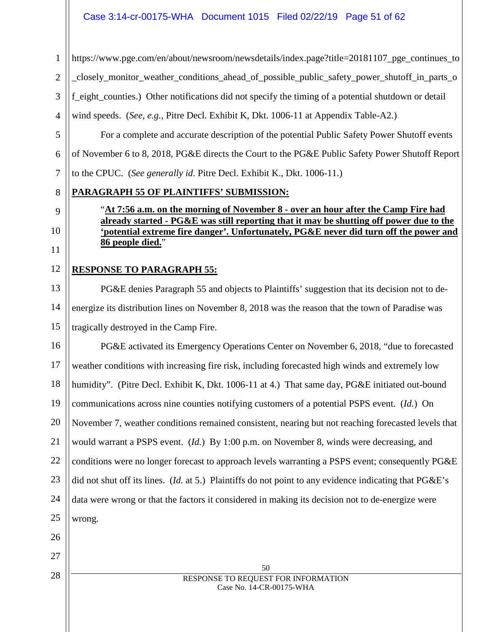### Case 3:14-cr-00175-WHA Document 1015 Filed 02/22/19 Page 51 of 62

https://www.pge.com/en/about/newsroom/newsdetails/index.page?title=20181107 pge\_continues\_to

2 \_closely\_monitor\_weather\_conditions\_ahead\_of\_possible\_public\_safety\_power\_shutoff\_in\_parts\_o

3 f\_eight\_counties.) Other notifications did not specify the timing of a potential shutdown or detail

wind speeds. (*See, e.g.*, Pitre Decl. Exhibit K, Dkt. 1006-11 at Appendix Table-A2.)

For a complete and accurate description of the potential Public Safety Power Shutoff events of November 6 to 8, 2018, PG&E directs the Court to the PG&E Public Safety Power Shutoff Report to the CPUC. (*See generally id*. Pitre Decl. Exhibit K., Dkt. 1006-11.)

# **PARAGRAPH 55 OF PLAINTIFFS' SUBMISSION:**

# "**At 7:56 a.m. on the morning of November 8 - over an hour after the Camp Fire had already started - PG&E was still reporting that it may be shutting off power due to the 'potential extreme fire danger'. Unfortunately, PG&E never did turn off the power and 86 people died.**"

#### 12 **RESPONSE TO PARAGRAPH 55:**

1

4

5

6

7

8

9

10

11

26

27

28

13 14 15 PG&E denies Paragraph 55 and objects to Plaintiffs' suggestion that its decision not to deenergize its distribution lines on November 8, 2018 was the reason that the town of Paradise was tragically destroyed in the Camp Fire.

16 17 18 19 20 21 22 23 24 25 PG&E activated its Emergency Operations Center on November 6, 2018, "due to forecasted weather conditions with increasing fire risk, including forecasted high winds and extremely low humidity". (Pitre Decl. Exhibit K, Dkt. 1006-11 at 4.) That same day, PG&E initiated out-bound communications across nine counties notifying customers of a potential PSPS event. (*Id.*) On November 7, weather conditions remained consistent, nearing but not reaching forecasted levels that would warrant a PSPS event. (*Id.*) By 1:00 p.m. on November 8, winds were decreasing, and conditions were no longer forecast to approach levels warranting a PSPS event; consequently PG&E did not shut off its lines. (*Id.* at 5.) Plaintiffs do not point to any evidence indicating that PG&E's data were wrong or that the factors it considered in making its decision not to de-energize were wrong.

> 50 RESPONSE TO REQUEST FOR INFORMATION Case No. 14-CR-00175-WHA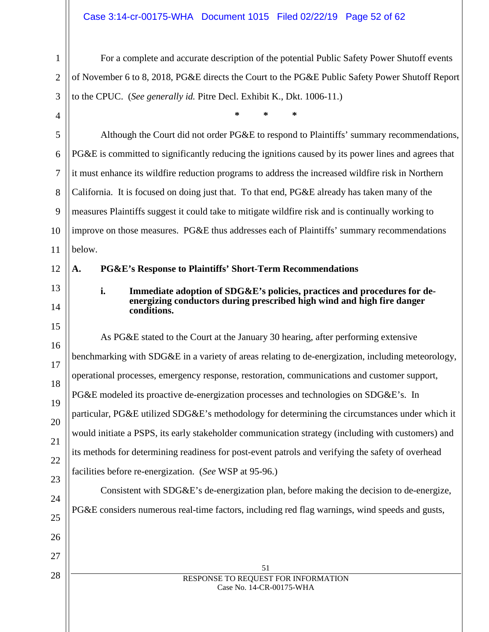#### Case 3:14-cr-00175-WHA Document 1015 Filed 02/22/19 Page 52 of 62

For a complete and accurate description of the potential Public Safety Power Shutoff events of November 6 to 8, 2018, PG&E directs the Court to the PG&E Public Safety Power Shutoff Report to the CPUC. (*See generally id.* Pitre Decl. Exhibit K., Dkt. 1006-11.)

**\* \* \***

Although the Court did not order PG&E to respond to Plaintiffs' summary recommendations, PG&E is committed to significantly reducing the ignitions caused by its power lines and agrees that it must enhance its wildfire reduction programs to address the increased wildfire risk in Northern California. It is focused on doing just that. To that end, PG&E already has taken many of the measures Plaintiffs suggest it could take to mitigate wildfire risk and is continually working to improve on those measures. PG&E thus addresses each of Plaintiffs' summary recommendations below.

#### **A. PG&E's Response to Plaintiffs' Short-Term Recommendations**

**i. Immediate adoption of SDG&E's policies, practices and procedures for deenergizing conductors during prescribed high wind and high fire danger conditions.**

As PG&E stated to the Court at the January 30 hearing, after performing extensive benchmarking with SDG&E in a variety of areas relating to de-energization, including meteorology, operational processes, emergency response, restoration, communications and customer support, PG&E modeled its proactive de-energization processes and technologies on SDG&E's. In particular, PG&E utilized SDG&E's methodology for determining the circumstances under which it would initiate a PSPS, its early stakeholder communication strategy (including with customers) and its methods for determining readiness for post-event patrols and verifying the safety of overhead facilities before re-energization. (*See* WSP at 95-96.)

Consistent with SDG&E's de-energization plan, before making the decision to de-energize, PG&E considers numerous real-time factors, including red flag warnings, wind speeds and gusts,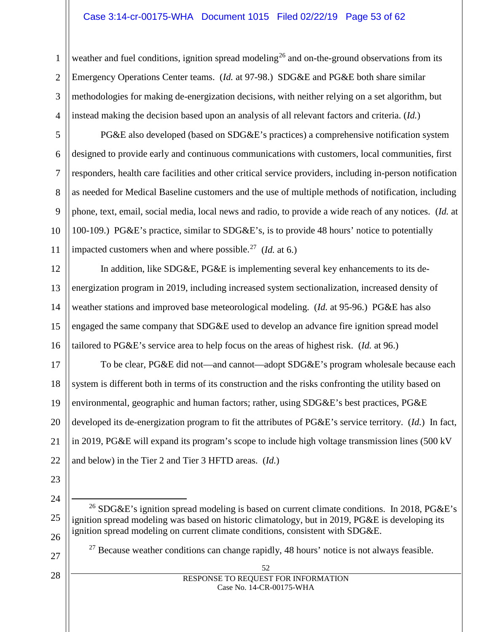#### Case 3:14-cr-00175-WHA Document 1015 Filed 02/22/19 Page 53 of 62

weather and fuel conditions, ignition spread modeling<sup>[26](#page-52-0)</sup> and on-the-ground observations from its Emergency Operations Center teams. (*Id.* at 97-98.) SDG&E and PG&E both share similar methodologies for making de-energization decisions, with neither relying on a set algorithm, but instead making the decision based upon an analysis of all relevant factors and criteria. (*Id.*)

PG&E also developed (based on SDG&E's practices) a comprehensive notification system designed to provide early and continuous communications with customers, local communities, first responders, health care facilities and other critical service providers, including in-person notification as needed for Medical Baseline customers and the use of multiple methods of notification, including phone, text, email, social media, local news and radio, to provide a wide reach of any notices. (*Id.* at 100-109.) PG&E's practice, similar to SDG&E's, is to provide 48 hours' notice to potentially impacted customers when and where possible.[27](#page-52-1) (*Id.* at 6.)

12 13 14 15 16 In addition, like SDG&E, PG&E is implementing several key enhancements to its deenergization program in 2019, including increased system sectionalization, increased density of weather stations and improved base meteorological modeling. (*Id.* at 95-96.) PG&E has also engaged the same company that SDG&E used to develop an advance fire ignition spread model tailored to PG&E's service area to help focus on the areas of highest risk. (*Id.* at 96.)

17 18 19 20 21 22 To be clear, PG&E did not—and cannot—adopt SDG&E's program wholesale because each system is different both in terms of its construction and the risks confronting the utility based on environmental, geographic and human factors; rather, using SDG&E's best practices, PG&E developed its de-energization program to fit the attributes of PG&E's service territory. (*Id.*) In fact, in 2019, PG&E will expand its program's scope to include high voltage transmission lines (500 kV and below) in the Tier 2 and Tier 3 HFTD areas. (*Id.*)

23

1

2

3

4

5

6

7

8

9

10

11

<span id="page-52-0"></span>24

25

<span id="page-52-1"></span>26

- <sup>26</sup> SDG&E's ignition spread modeling is based on current climate conditions. In 2018, PG&E's ignition spread modeling was based on historic climatology, but in 2019, PG&E is developing its ignition spread modeling on current climate conditions, consistent with SDG&E.
	- $27$  Because weather conditions can change rapidly, 48 hours' notice is not always feasible.

28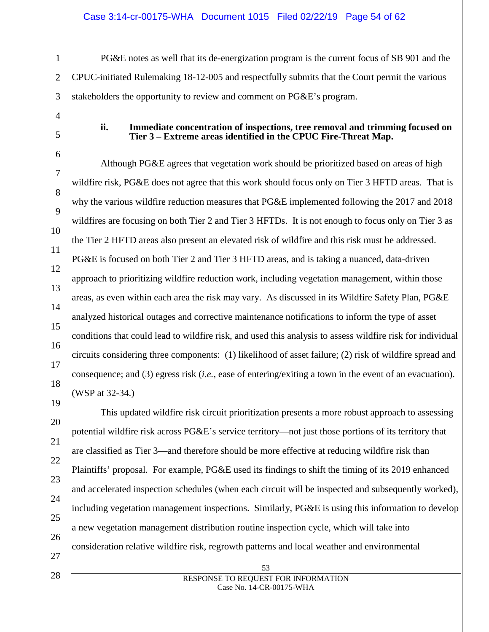#### Case 3:14-cr-00175-WHA Document 1015 Filed 02/22/19 Page 54 of 62

PG&E notes as well that its de-energization program is the current focus of SB 901 and the CPUC-initiated Rulemaking 18-12-005 and respectfully submits that the Court permit the various stakeholders the opportunity to review and comment on PG&E's program.

#### **ii. Immediate concentration of inspections, tree removal and trimming focused on Tier 3 – Extreme areas identified in the CPUC Fire-Threat Map.**

Although PG&E agrees that vegetation work should be prioritized based on areas of high wildfire risk, PG&E does not agree that this work should focus only on Tier 3 HFTD areas. That is why the various wildfire reduction measures that PG&E implemented following the 2017 and 2018 wildfires are focusing on both Tier 2 and Tier 3 HFTDs. It is not enough to focus only on Tier 3 as the Tier 2 HFTD areas also present an elevated risk of wildfire and this risk must be addressed. PG&E is focused on both Tier 2 and Tier 3 HFTD areas, and is taking a nuanced, data-driven approach to prioritizing wildfire reduction work, including vegetation management, within those areas, as even within each area the risk may vary. As discussed in its Wildfire Safety Plan, PG&E analyzed historical outages and corrective maintenance notifications to inform the type of asset conditions that could lead to wildfire risk, and used this analysis to assess wildfire risk for individual circuits considering three components: (1) likelihood of asset failure; (2) risk of wildfire spread and consequence; and (3) egress risk (*i.e.*, ease of entering/exiting a town in the event of an evacuation). (WSP at 32-34.)

This updated wildfire risk circuit prioritization presents a more robust approach to assessing potential wildfire risk across PG&E's service territory—not just those portions of its territory that are classified as Tier 3—and therefore should be more effective at reducing wildfire risk than Plaintiffs' proposal. For example, PG&E used its findings to shift the timing of its 2019 enhanced and accelerated inspection schedules (when each circuit will be inspected and subsequently worked), including vegetation management inspections. Similarly, PG&E is using this information to develop a new vegetation management distribution routine inspection cycle, which will take into consideration relative wildfire risk, regrowth patterns and local weather and environmental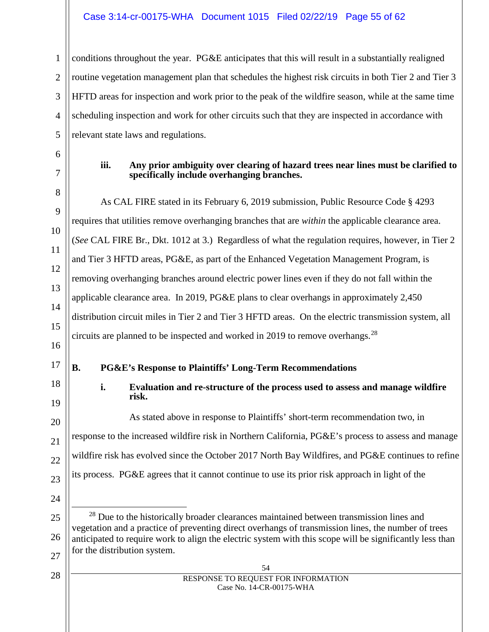#### Case 3:14-cr-00175-WHA Document 1015 Filed 02/22/19 Page 55 of 62

conditions throughout the year. PG&E anticipates that this will result in a substantially realigned routine vegetation management plan that schedules the highest risk circuits in both Tier 2 and Tier 3 HFTD areas for inspection and work prior to the peak of the wildfire season, while at the same time scheduling inspection and work for other circuits such that they are inspected in accordance with relevant state laws and regulations.

1

2

#### **iii. Any prior ambiguity over clearing of hazard trees near lines must be clarified to specifically include overhanging branches.**

As CAL FIRE stated in its February 6, 2019 submission, Public Resource Code § 4293 requires that utilities remove overhanging branches that are *within* the applicable clearance area. (*See* CAL FIRE Br., Dkt. 1012 at 3.) Regardless of what the regulation requires, however, in Tier 2 and Tier 3 HFTD areas, PG&E, as part of the Enhanced Vegetation Management Program, is removing overhanging branches around electric power lines even if they do not fall within the applicable clearance area. In 2019, PG&E plans to clear overhangs in approximately 2,450 distribution circuit miles in Tier 2 and Tier 3 HFTD areas. On the electric transmission system, all circuits are planned to be inspected and worked in 2019 to remove overhangs.<sup>[28](#page-54-0)</sup>

# **B. PG&E's Response to Plaintiffs' Long-Term Recommendations**

**i. Evaluation and re-structure of the process used to assess and manage wildfire risk.**

As stated above in response to Plaintiffs' short-term recommendation two, in response to the increased wildfire risk in Northern California, PG&E's process to assess and manage wildfire risk has evolved since the October 2017 North Bay Wildfires, and PG&E continues to refine its process. PG&E agrees that it cannot continue to use its prior risk approach in light of the

- <span id="page-54-0"></span><sup>28</sup> Due to the historically broader clearances maintained between transmission lines and vegetation and a practice of preventing direct overhangs of transmission lines, the number of trees anticipated to require work to align the electric system with this scope will be significantly less than for the distribution system.
	- 54 RESPONSE TO REQUEST FOR INFORMATION Case No. 14-CR-00175-WHA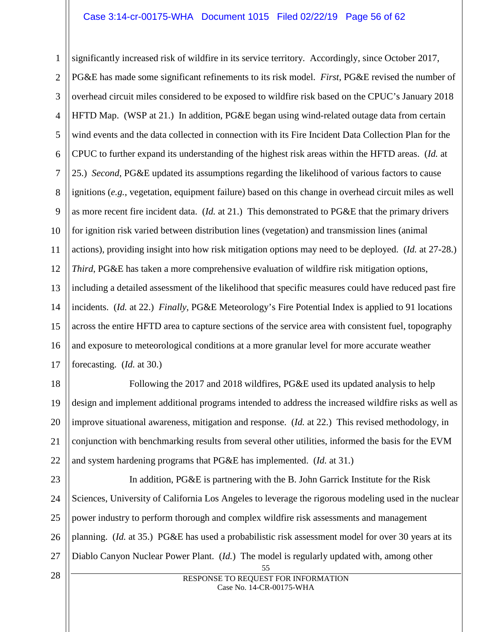# Case 3:14-cr-00175-WHA Document 1015 Filed 02/22/19 Page 56 of 62

1 2 3 4 5 6 7 8 9 10 11 12 13 14 15 16 17 significantly increased risk of wildfire in its service territory. Accordingly, since October 2017, PG&E has made some significant refinements to its risk model. *First*, PG&E revised the number of overhead circuit miles considered to be exposed to wildfire risk based on the CPUC's January 2018 HFTD Map. (WSP at 21.) In addition, PG&E began using wind-related outage data from certain wind events and the data collected in connection with its Fire Incident Data Collection Plan for the CPUC to further expand its understanding of the highest risk areas within the HFTD areas. (*Id.* at 25.) *Second*, PG&E updated its assumptions regarding the likelihood of various factors to cause ignitions (*e.g.*, vegetation, equipment failure) based on this change in overhead circuit miles as well as more recent fire incident data. (*Id.* at 21.) This demonstrated to PG&E that the primary drivers for ignition risk varied between distribution lines (vegetation) and transmission lines (animal actions), providing insight into how risk mitigation options may need to be deployed. (*Id.* at 27-28.) *Third*, PG&E has taken a more comprehensive evaluation of wildfire risk mitigation options, including a detailed assessment of the likelihood that specific measures could have reduced past fire incidents. (*Id.* at 22.) *Finally*, PG&E Meteorology's Fire Potential Index is applied to 91 locations across the entire HFTD area to capture sections of the service area with consistent fuel, topography and exposure to meteorological conditions at a more granular level for more accurate weather forecasting. (*Id.* at 30.)

18 19 20 21 22 Following the 2017 and 2018 wildfires, PG&E used its updated analysis to help design and implement additional programs intended to address the increased wildfire risks as well as improve situational awareness, mitigation and response. (*Id.* at 22.) This revised methodology, in conjunction with benchmarking results from several other utilities, informed the basis for the EVM and system hardening programs that PG&E has implemented. (*Id.* at 31.)

23 24 25 26 27 In addition, PG&E is partnering with the B. John Garrick Institute for the Risk Sciences, University of California Los Angeles to leverage the rigorous modeling used in the nuclear power industry to perform thorough and complex wildfire risk assessments and management planning. (*Id.* at 35.) PG&E has used a probabilistic risk assessment model for over 30 years at its Diablo Canyon Nuclear Power Plant. (*Id.*) The model is regularly updated with, among other

28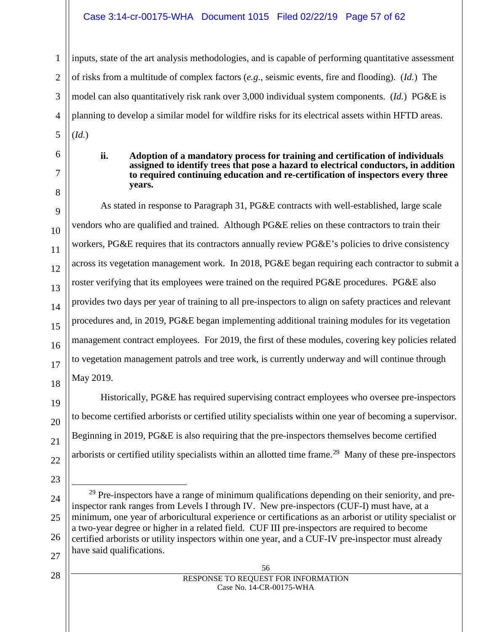#### Case 3:14-cr-00175-WHA Document 1015 Filed 02/22/19 Page 57 of 62

inputs, state of the art analysis methodologies, and is capable of performing quantitative assessment of risks from a multitude of complex factors (*e.g.*, seismic events, fire and flooding). (*Id.*) The model can also quantitatively risk rank over 3,000 individual system components. (*Id.*) PG&E is planning to develop a similar model for wildfire risks for its electrical assets within HFTD areas. (*Id.*)

8

9

10

11

12

13

14

15

16

17

18

19

20

21

22

1

2

3

4

5

#### **ii. Adoption of a mandatory process for training and certification of individuals assigned to identify trees that pose a hazard to electrical conductors, in addition to required continuing education and re-certification of inspectors every three years.**

As stated in response to Paragraph 31, PG&E contracts with well-established, large scale vendors who are qualified and trained. Although PG&E relies on these contractors to train their workers, PG&E requires that its contractors annually review PG&E's policies to drive consistency across its vegetation management work. In 2018, PG&E began requiring each contractor to submit a roster verifying that its employees were trained on the required PG&E procedures. PG&E also provides two days per year of training to all pre-inspectors to align on safety practices and relevant procedures and, in 2019, PG&E began implementing additional training modules for its vegetation management contract employees. For 2019, the first of these modules, covering key policies related to vegetation management patrols and tree work, is currently underway and will continue through May 2019.

Historically, PG&E has required supervising contract employees who oversee pre-inspectors to become certified arborists or certified utility specialists within one year of becoming a supervisor. Beginning in 2019, PG&E is also requiring that the pre-inspectors themselves become certified arborists or certified utility specialists within an allotted time frame.<sup>[29](#page-56-0)</sup> Many of these pre-inspectors

25

26

27

<sup>6</sup> 7

<span id="page-56-0"></span><sup>23</sup> 24

 $29$  Pre-inspectors have a range of minimum qualifications depending on their seniority, and preinspector rank ranges from Levels I through IV. New pre-inspectors (CUF-I) must have, at a minimum, one year of arboricultural experience or certifications as an arborist or utility specialist or a two-year degree or higher in a related field. CUF III pre-inspectors are required to become certified arborists or utility inspectors within one year, and a CUF-IV pre-inspector must already have said qualifications.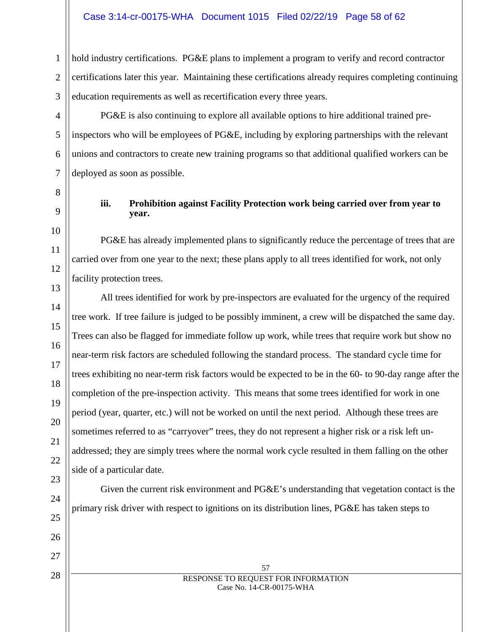#### Case 3:14-cr-00175-WHA Document 1015 Filed 02/22/19 Page 58 of 62

hold industry certifications. PG&E plans to implement a program to verify and record contractor certifications later this year. Maintaining these certifications already requires completing continuing education requirements as well as recertification every three years.

PG&E is also continuing to explore all available options to hire additional trained preinspectors who will be employees of PG&E, including by exploring partnerships with the relevant unions and contractors to create new training programs so that additional qualified workers can be deployed as soon as possible.

#### **iii. Prohibition against Facility Protection work being carried over from year to year.**

PG&E has already implemented plans to significantly reduce the percentage of trees that are carried over from one year to the next; these plans apply to all trees identified for work, not only facility protection trees.

All trees identified for work by pre-inspectors are evaluated for the urgency of the required tree work. If tree failure is judged to be possibly imminent, a crew will be dispatched the same day. Trees can also be flagged for immediate follow up work, while trees that require work but show no near-term risk factors are scheduled following the standard process. The standard cycle time for trees exhibiting no near-term risk factors would be expected to be in the 60- to 90-day range after the completion of the pre-inspection activity. This means that some trees identified for work in one period (year, quarter, etc.) will not be worked on until the next period. Although these trees are sometimes referred to as "carryover" trees, they do not represent a higher risk or a risk left unaddressed; they are simply trees where the normal work cycle resulted in them falling on the other side of a particular date.

Given the current risk environment and PG&E's understanding that vegetation contact is the primary risk driver with respect to ignitions on its distribution lines, PG&E has taken steps to

1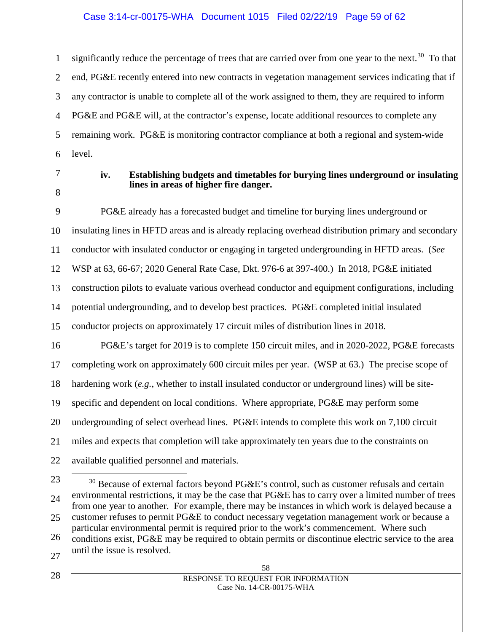#### Case 3:14-cr-00175-WHA Document 1015 Filed 02/22/19 Page 59 of 62

1 2 3 4 5 6 significantly reduce the percentage of trees that are carried over from one year to the next.<sup>[30](#page-58-0)</sup> To that end, PG&E recently entered into new contracts in vegetation management services indicating that if any contractor is unable to complete all of the work assigned to them, they are required to inform PG&E and PG&E will, at the contractor's expense, locate additional resources to complete any remaining work. PG&E is monitoring contractor compliance at both a regional and system-wide level.

7 8

#### **iv. Establishing budgets and timetables for burying lines underground or insulating lines in areas of higher fire danger.**

9 10 11 12 13 14 15 PG&E already has a forecasted budget and timeline for burying lines underground or insulating lines in HFTD areas and is already replacing overhead distribution primary and secondary conductor with insulated conductor or engaging in targeted undergrounding in HFTD areas. (*See*  WSP at 63, 66-67; 2020 General Rate Case, Dkt. 976-6 at 397-400.) In 2018, PG&E initiated construction pilots to evaluate various overhead conductor and equipment configurations, including potential undergrounding, and to develop best practices. PG&E completed initial insulated conductor projects on approximately 17 circuit miles of distribution lines in 2018.

16 17 18 19 20 21 22 PG&E's target for 2019 is to complete 150 circuit miles, and in 2020-2022, PG&E forecasts completing work on approximately 600 circuit miles per year. (WSP at 63.) The precise scope of hardening work (*e.g.*, whether to install insulated conductor or underground lines) will be sitespecific and dependent on local conditions. Where appropriate, PG&E may perform some undergrounding of select overhead lines. PG&E intends to complete this work on 7,100 circuit miles and expects that completion will take approximately ten years due to the constraints on available qualified personnel and materials.

<span id="page-58-0"></span>23 24 25 26 27  $30$  Because of external factors beyond PG&E's control, such as customer refusals and certain environmental restrictions, it may be the case that PG&E has to carry over a limited number of trees from one year to another. For example, there may be instances in which work is delayed because a customer refuses to permit PG&E to conduct necessary vegetation management work or because a particular environmental permit is required prior to the work's commencement. Where such conditions exist, PG&E may be required to obtain permits or discontinue electric service to the area until the issue is resolved.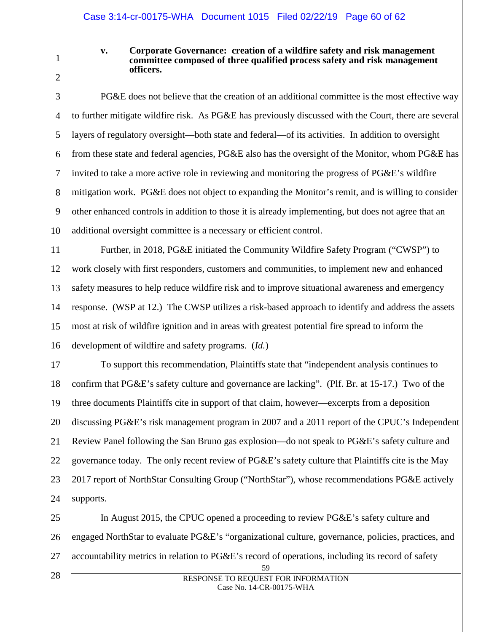1

2

#### **v. Corporate Governance: creation of a wildfire safety and risk management committee composed of three qualified process safety and risk management officers.**

3 4 5 6 7 8 9 10 PG&E does not believe that the creation of an additional committee is the most effective way to further mitigate wildfire risk. As PG&E has previously discussed with the Court, there are several layers of regulatory oversight—both state and federal—of its activities. In addition to oversight from these state and federal agencies, PG&E also has the oversight of the Monitor, whom PG&E has invited to take a more active role in reviewing and monitoring the progress of PG&E's wildfire mitigation work. PG&E does not object to expanding the Monitor's remit, and is willing to consider other enhanced controls in addition to those it is already implementing, but does not agree that an additional oversight committee is a necessary or efficient control.

11 12 13 14 15 16 Further, in 2018, PG&E initiated the Community Wildfire Safety Program ("CWSP") to work closely with first responders, customers and communities, to implement new and enhanced safety measures to help reduce wildfire risk and to improve situational awareness and emergency response. (WSP at 12.) The CWSP utilizes a risk-based approach to identify and address the assets most at risk of wildfire ignition and in areas with greatest potential fire spread to inform the development of wildfire and safety programs. (*Id.*)

17 18 19 20 21 22 23 24 To support this recommendation, Plaintiffs state that "independent analysis continues to confirm that PG&E's safety culture and governance are lacking". (Plf. Br. at 15-17.) Two of the three documents Plaintiffs cite in support of that claim, however—excerpts from a deposition discussing PG&E's risk management program in 2007 and a 2011 report of the CPUC's Independent Review Panel following the San Bruno gas explosion—do not speak to PG&E's safety culture and governance today. The only recent review of PG&E's safety culture that Plaintiffs cite is the May 2017 report of NorthStar Consulting Group ("NorthStar"), whose recommendations PG&E actively supports.

25 26 27 In August 2015, the CPUC opened a proceeding to review PG&E's safety culture and engaged NorthStar to evaluate PG&E's "organizational culture, governance, policies, practices, and accountability metrics in relation to PG&E's record of operations, including its record of safety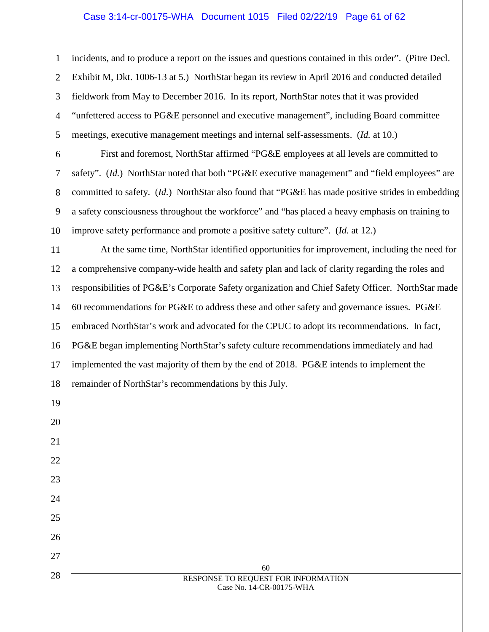#### Case 3:14-cr-00175-WHA Document 1015 Filed 02/22/19 Page 61 of 62

1

2

3

4

5

6

7

8

9

19

20

21

22

23

24

25

26

27

28

incidents, and to produce a report on the issues and questions contained in this order". (Pitre Decl. Exhibit M, Dkt. 1006-13 at 5.) NorthStar began its review in April 2016 and conducted detailed fieldwork from May to December 2016. In its report, NorthStar notes that it was provided "unfettered access to PG&E personnel and executive management", including Board committee meetings, executive management meetings and internal self-assessments. (*Id.* at 10.)

10 First and foremost, NorthStar affirmed "PG&E employees at all levels are committed to safety". (*Id.*) NorthStar noted that both "PG&E executive management" and "field employees" are committed to safety. (*Id.*) NorthStar also found that "PG&E has made positive strides in embedding a safety consciousness throughout the workforce" and "has placed a heavy emphasis on training to improve safety performance and promote a positive safety culture". (*Id.* at 12.)

11 12 13 14 15 16 17 18 At the same time, NorthStar identified opportunities for improvement, including the need for a comprehensive company-wide health and safety plan and lack of clarity regarding the roles and responsibilities of PG&E's Corporate Safety organization and Chief Safety Officer. NorthStar made 60 recommendations for PG&E to address these and other safety and governance issues. PG&E embraced NorthStar's work and advocated for the CPUC to adopt its recommendations. In fact, PG&E began implementing NorthStar's safety culture recommendations immediately and had implemented the vast majority of them by the end of 2018. PG&E intends to implement the remainder of NorthStar's recommendations by this July.